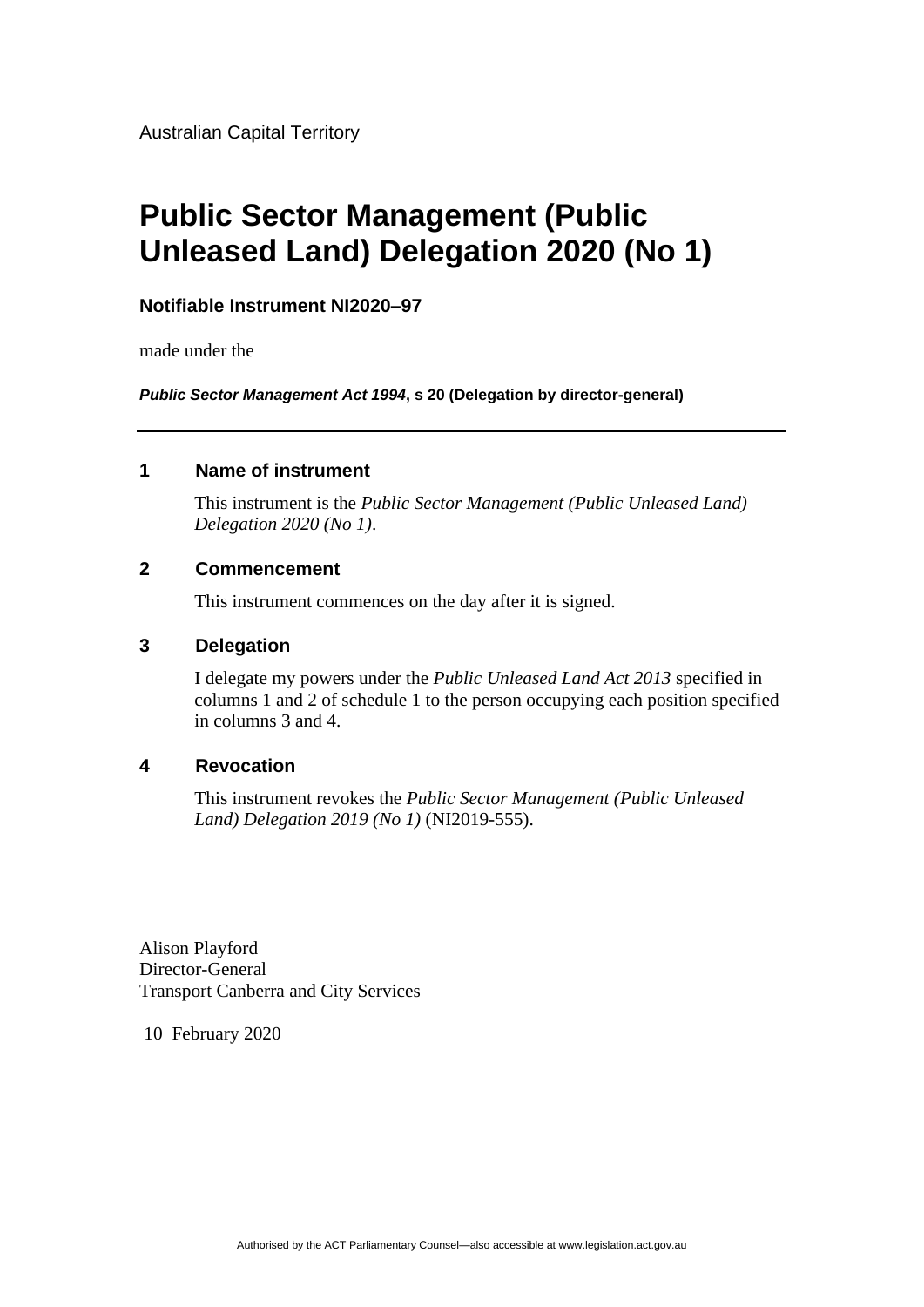Australian Capital Territory

# **Public Sector Management (Public Unleased Land) Delegation 2020 (No 1)**

## **Notifiable Instrument NI2020–97**

made under the

*Public Sector Management Act 1994***, s 20 (Delegation by director-general)**

#### **1 Name of instrument**

This instrument is the *Public Sector Management (Public Unleased Land) Delegation 2020 (No 1)*.

#### **2 Commencement**

This instrument commences on the day after it is signed.

#### **3 Delegation**

I delegate my powers under the *Public Unleased Land Act 2013* specified in columns 1 and 2 of schedule 1 to the person occupying each position specified in columns 3 and 4.

### **4 Revocation**

This instrument revokes the *Public Sector Management (Public Unleased Land) Delegation 2019 (No 1)* (NI2019-555).

Alison Playford Director-General Transport Canberra and City Services

10 February 2020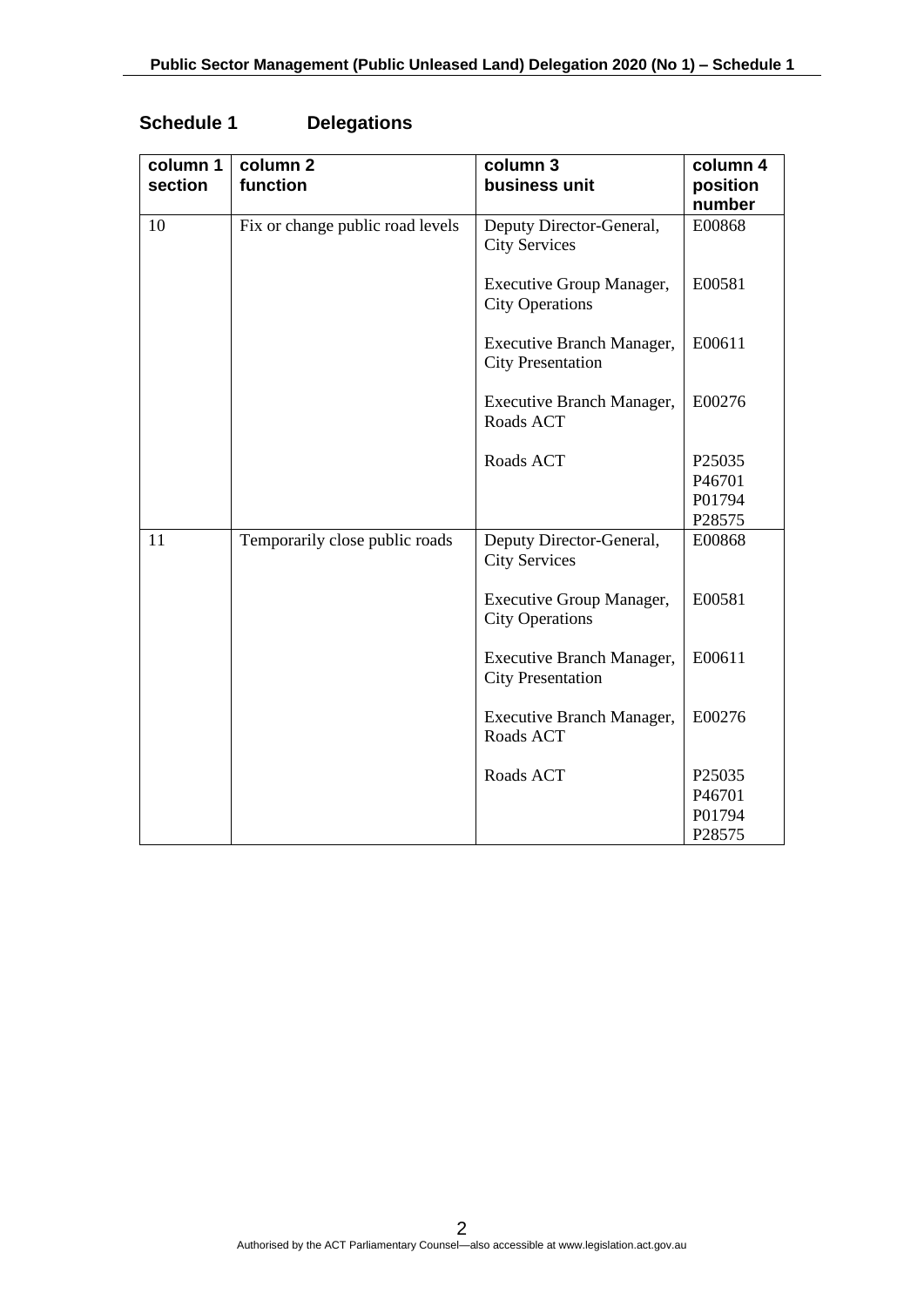| column 1<br>section | column 2<br>function             | column 3<br>business unit                                 | column 4<br>position |
|---------------------|----------------------------------|-----------------------------------------------------------|----------------------|
|                     |                                  |                                                           | number               |
| 10                  | Fix or change public road levels | Deputy Director-General,<br><b>City Services</b>          | E00868               |
|                     |                                  | <b>Executive Group Manager,</b><br><b>City Operations</b> | E00581               |
|                     |                                  | Executive Branch Manager,<br><b>City Presentation</b>     | E00611               |
|                     |                                  | Executive Branch Manager,<br>Roads ACT                    | E00276               |
|                     |                                  | Roads ACT                                                 | P <sub>25035</sub>   |
|                     |                                  |                                                           | P46701               |
|                     |                                  |                                                           | P01794               |
|                     |                                  |                                                           | P28575               |
| 11                  | Temporarily close public roads   | Deputy Director-General,<br><b>City Services</b>          | E00868               |
|                     |                                  | <b>Executive Group Manager,</b><br><b>City Operations</b> | E00581               |
|                     |                                  | Executive Branch Manager,<br><b>City Presentation</b>     | E00611               |
|                     |                                  | Executive Branch Manager,<br>Roads ACT                    | E00276               |
|                     |                                  | Roads ACT                                                 | P <sub>25035</sub>   |
|                     |                                  |                                                           | P46701               |
|                     |                                  |                                                           | P01794               |
|                     |                                  |                                                           | P28575               |

# **Schedule 1 Delegations**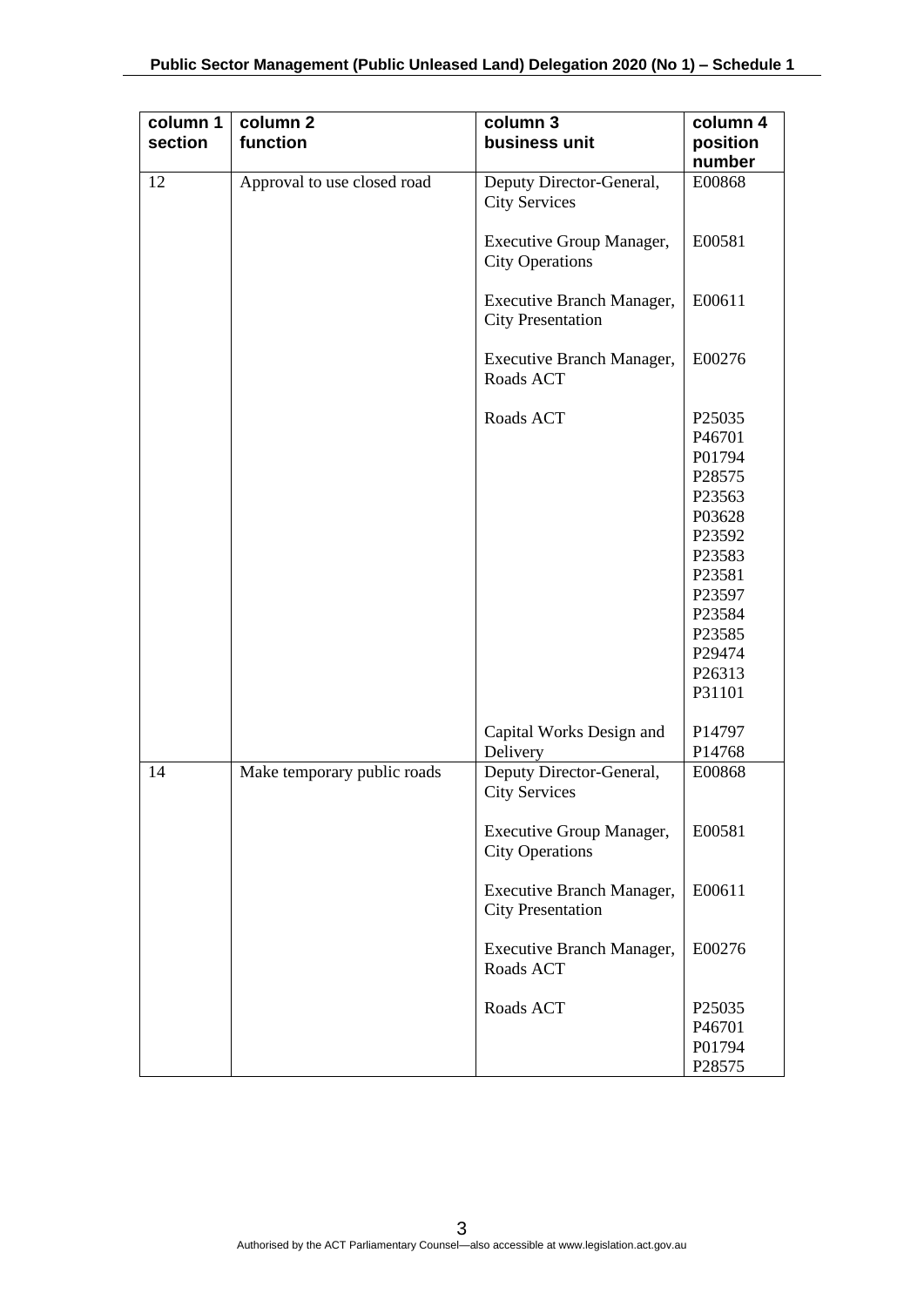| column 1 | column <sub>2</sub>         | column 3                                              | column 4                                                                                                                                           |
|----------|-----------------------------|-------------------------------------------------------|----------------------------------------------------------------------------------------------------------------------------------------------------|
| section  | function                    | business unit                                         | position<br>number                                                                                                                                 |
| 12       | Approval to use closed road | Deputy Director-General,<br><b>City Services</b>      | E00868                                                                                                                                             |
|          |                             | Executive Group Manager,<br><b>City Operations</b>    | E00581                                                                                                                                             |
|          |                             | Executive Branch Manager,<br><b>City Presentation</b> | E00611                                                                                                                                             |
|          |                             | Executive Branch Manager,<br>Roads ACT                | E00276                                                                                                                                             |
|          |                             | Roads ACT                                             | P25035<br>P46701<br>P01794<br>P28575<br>P23563<br>P03628<br>P23592<br>P23583<br>P23581<br>P23597<br>P23584<br>P23585<br>P29474<br>P26313<br>P31101 |
|          |                             | Capital Works Design and<br>Delivery                  | P14797<br>P14768                                                                                                                                   |
| 14       | Make temporary public roads | Deputy Director-General,<br><b>City Services</b>      | E00868                                                                                                                                             |
|          |                             | Executive Group Manager,<br><b>City Operations</b>    | E00581                                                                                                                                             |
|          |                             | Executive Branch Manager,<br><b>City Presentation</b> | E00611                                                                                                                                             |
|          |                             | Executive Branch Manager,<br>Roads ACT                | E00276                                                                                                                                             |
|          |                             | Roads ACT                                             | P25035<br>P46701<br>P01794<br>P28575                                                                                                               |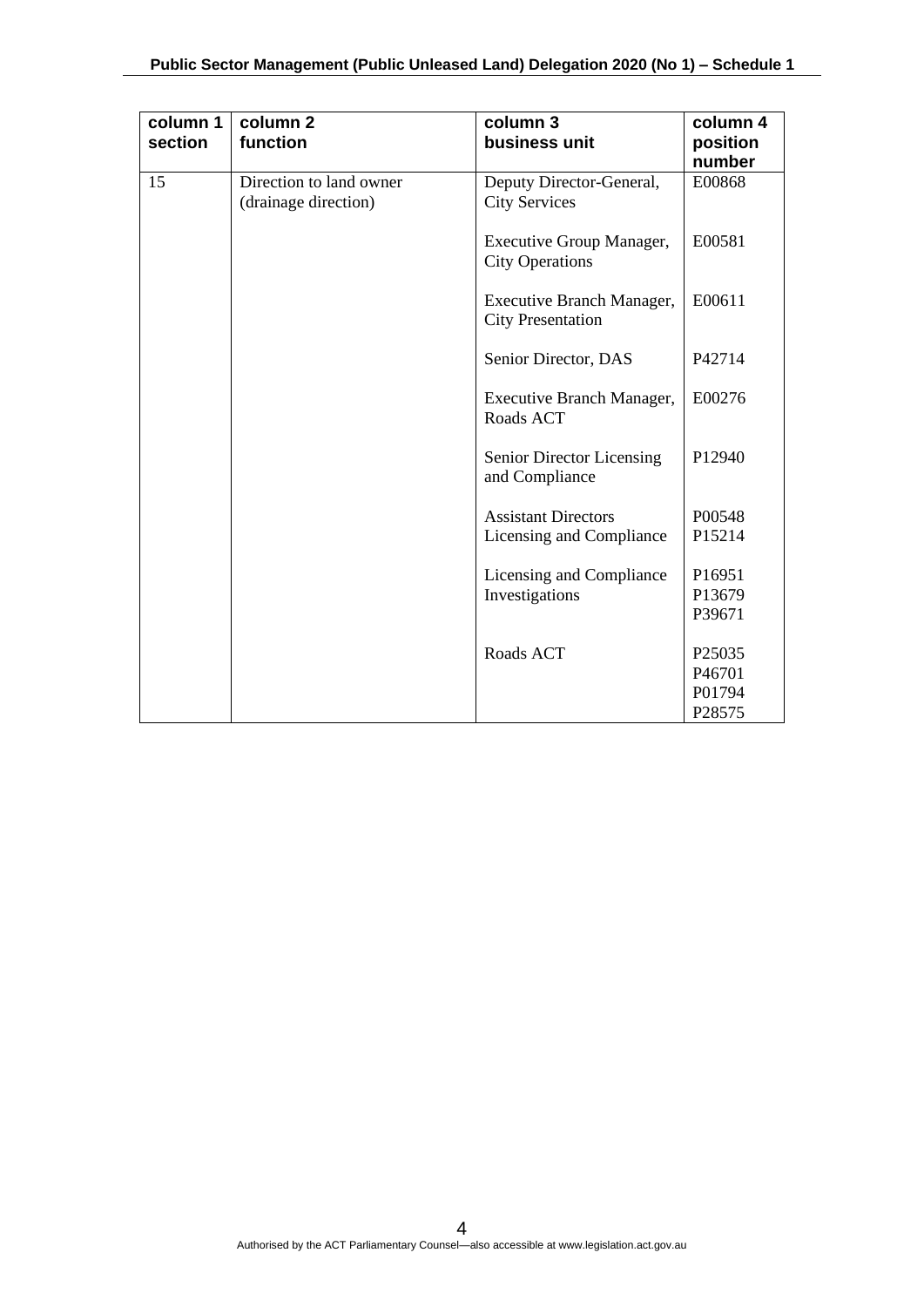| column 1<br>section | column <sub>2</sub><br>function                 | column 3<br>business unit                                 | column 4<br>position<br>number |
|---------------------|-------------------------------------------------|-----------------------------------------------------------|--------------------------------|
| 15                  | Direction to land owner<br>(drainage direction) | Deputy Director-General,<br><b>City Services</b>          | E00868                         |
|                     |                                                 | <b>Executive Group Manager,</b><br><b>City Operations</b> | E00581                         |
|                     |                                                 | Executive Branch Manager,<br><b>City Presentation</b>     | E00611                         |
|                     |                                                 | Senior Director, DAS                                      | P42714                         |
|                     |                                                 | <b>Executive Branch Manager,</b><br>Roads ACT             | E00276                         |
|                     |                                                 | Senior Director Licensing<br>and Compliance               | P <sub>12940</sub>             |
|                     |                                                 | <b>Assistant Directors</b>                                | P00548                         |
|                     |                                                 | Licensing and Compliance                                  | P15214                         |
|                     |                                                 | Licensing and Compliance                                  | P16951                         |
|                     |                                                 | Investigations                                            | P13679                         |
|                     |                                                 |                                                           | P39671                         |
|                     |                                                 | Roads ACT                                                 | P25035                         |
|                     |                                                 |                                                           | P46701                         |
|                     |                                                 |                                                           | P01794                         |
|                     |                                                 |                                                           | P28575                         |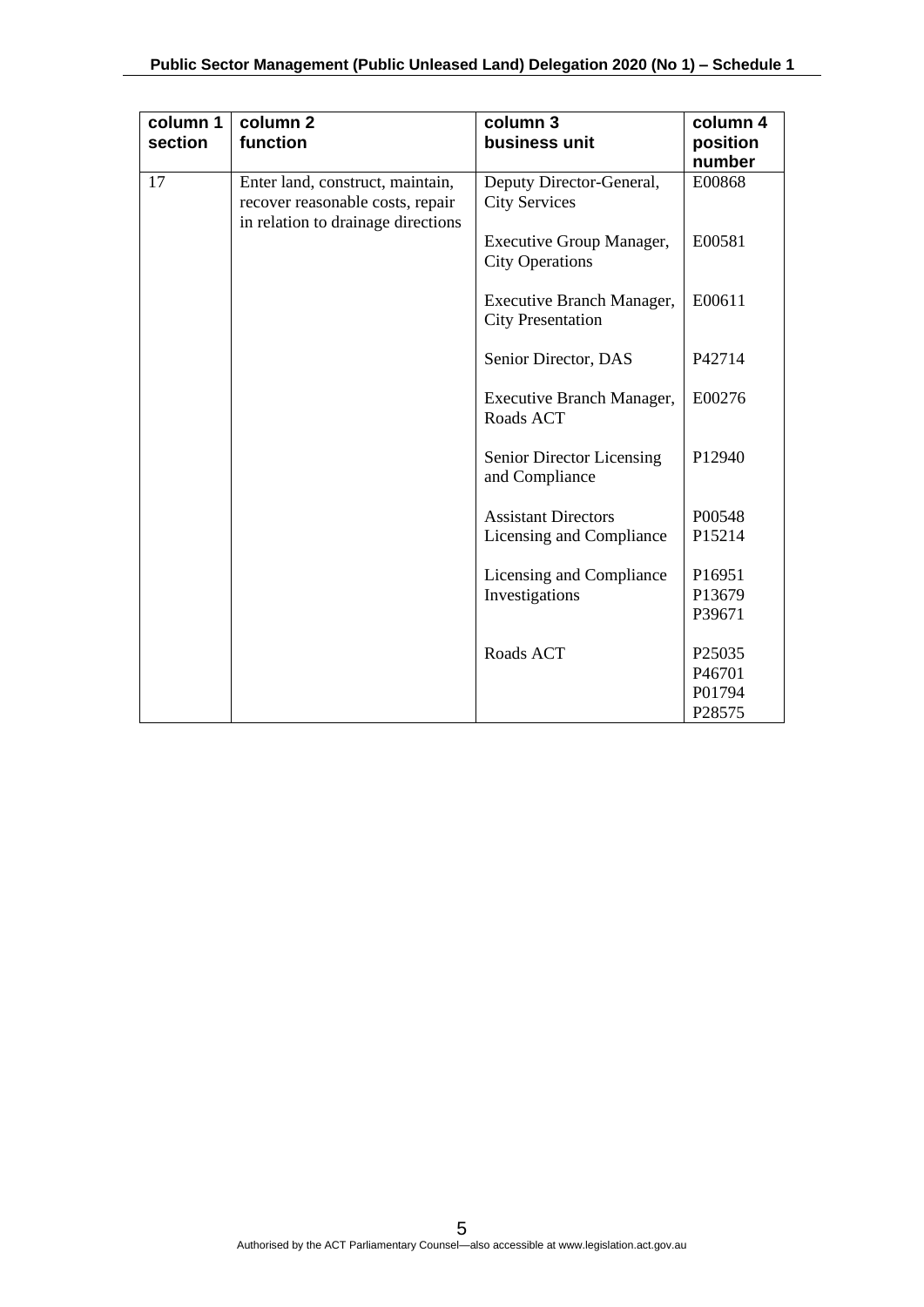| column 1<br>section | column <sub>2</sub><br>function                                                                            | column 3<br>business unit                             | column 4<br>position<br>number |
|---------------------|------------------------------------------------------------------------------------------------------------|-------------------------------------------------------|--------------------------------|
| 17                  | Enter land, construct, maintain,<br>recover reasonable costs, repair<br>in relation to drainage directions | Deputy Director-General,<br><b>City Services</b>      | E00868                         |
|                     |                                                                                                            | Executive Group Manager,<br><b>City Operations</b>    | E00581                         |
|                     |                                                                                                            | Executive Branch Manager,<br><b>City Presentation</b> | E00611                         |
|                     |                                                                                                            | Senior Director, DAS                                  | P42714                         |
|                     |                                                                                                            | Executive Branch Manager,<br>Roads ACT                | E00276                         |
|                     |                                                                                                            | Senior Director Licensing<br>and Compliance           | P12940                         |
|                     |                                                                                                            | <b>Assistant Directors</b>                            | P00548                         |
|                     |                                                                                                            | Licensing and Compliance                              | P15214                         |
|                     |                                                                                                            | Licensing and Compliance                              | P16951                         |
|                     |                                                                                                            | Investigations                                        | P13679                         |
|                     |                                                                                                            |                                                       | P39671                         |
|                     |                                                                                                            | Roads ACT                                             | P <sub>25035</sub>             |
|                     |                                                                                                            |                                                       | P46701                         |
|                     |                                                                                                            |                                                       | P01794                         |
|                     |                                                                                                            |                                                       | P28575                         |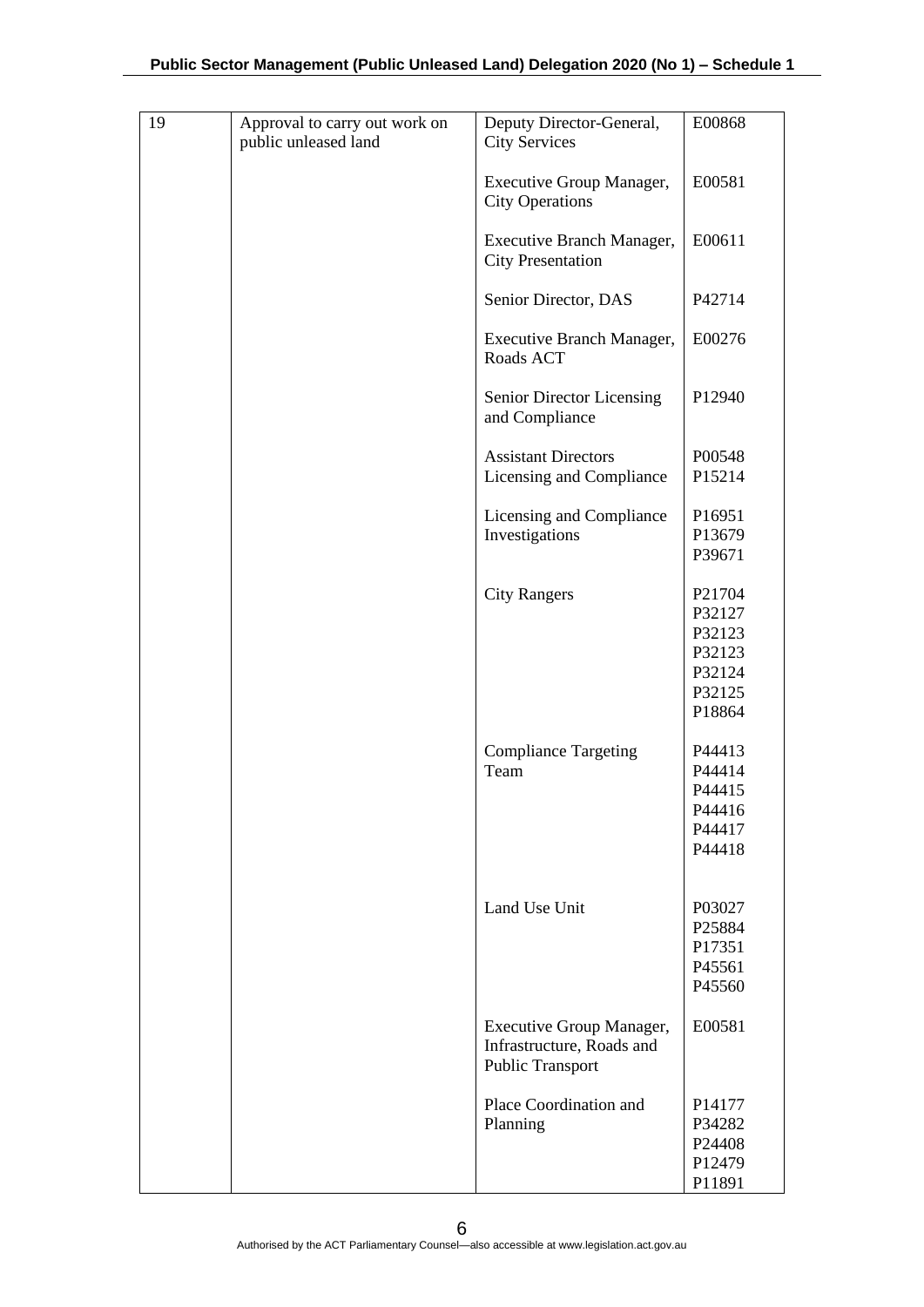| 19 | Approval to carry out work on<br>public unleased land | Deputy Director-General,<br><b>City Services</b>                                 | E00868                                                             |
|----|-------------------------------------------------------|----------------------------------------------------------------------------------|--------------------------------------------------------------------|
|    |                                                       | <b>Executive Group Manager,</b><br><b>City Operations</b>                        | E00581                                                             |
|    |                                                       | Executive Branch Manager,<br><b>City Presentation</b>                            | E00611                                                             |
|    |                                                       | Senior Director, DAS                                                             | P42714                                                             |
|    |                                                       | Executive Branch Manager,<br>Roads ACT                                           | E00276                                                             |
|    |                                                       | Senior Director Licensing<br>and Compliance                                      | P12940                                                             |
|    |                                                       | <b>Assistant Directors</b><br>Licensing and Compliance                           | P00548<br>P15214                                                   |
|    |                                                       | Licensing and Compliance<br>Investigations                                       | P16951<br>P13679<br>P39671                                         |
|    |                                                       | <b>City Rangers</b>                                                              | P21704<br>P32127<br>P32123<br>P32123<br>P32124<br>P32125<br>P18864 |
|    |                                                       | <b>Compliance Targeting</b><br>Team                                              | P44413<br>P44414<br>P44415<br>P44416<br>P44417<br>P44418           |
|    |                                                       | Land Use Unit                                                                    | P03027<br>P25884<br>P17351<br>P45561<br>P45560                     |
|    |                                                       | Executive Group Manager,<br>Infrastructure, Roads and<br><b>Public Transport</b> | E00581                                                             |
|    |                                                       | Place Coordination and<br>Planning                                               | P14177<br>P34282<br>P24408<br>P12479<br>P11891                     |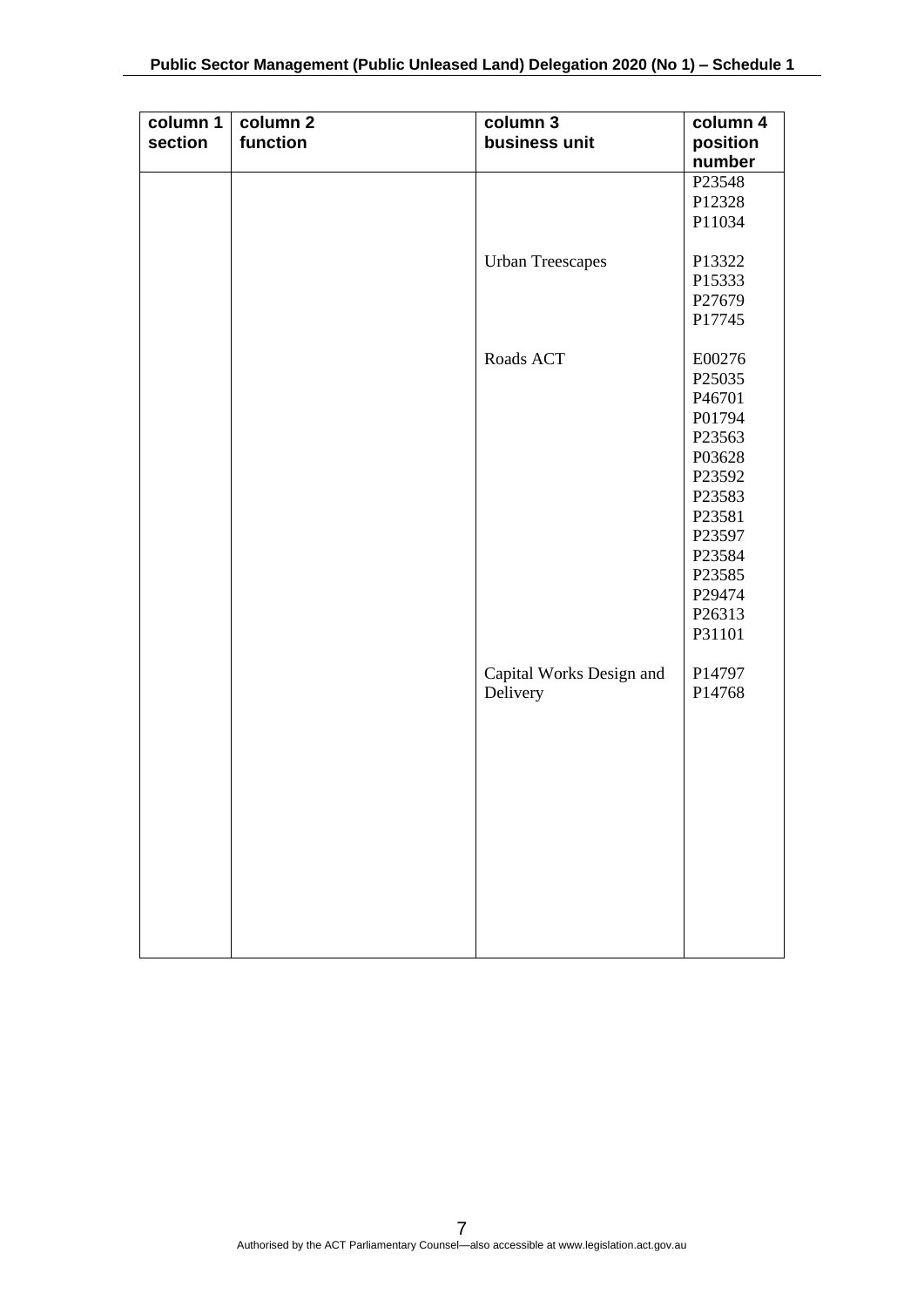| column 1 | column 2 | column 3                 | column 4 |
|----------|----------|--------------------------|----------|
| section  | function | business unit            | position |
|          |          |                          | number   |
|          |          |                          | P23548   |
|          |          |                          | P12328   |
|          |          |                          | P11034   |
|          |          |                          |          |
|          |          | <b>Urban Treescapes</b>  | P13322   |
|          |          |                          | P15333   |
|          |          |                          | P27679   |
|          |          |                          | P17745   |
|          |          |                          |          |
|          |          | Roads ACT                | E00276   |
|          |          |                          | P25035   |
|          |          |                          | P46701   |
|          |          |                          | P01794   |
|          |          |                          | P23563   |
|          |          |                          | P03628   |
|          |          |                          | P23592   |
|          |          |                          | P23583   |
|          |          |                          | P23581   |
|          |          |                          | P23597   |
|          |          |                          | P23584   |
|          |          |                          | P23585   |
|          |          |                          | P29474   |
|          |          |                          | P26313   |
|          |          |                          | P31101   |
|          |          |                          |          |
|          |          | Capital Works Design and | P14797   |
|          |          | Delivery                 | P14768   |
|          |          |                          |          |
|          |          |                          |          |
|          |          |                          |          |
|          |          |                          |          |
|          |          |                          |          |
|          |          |                          |          |
|          |          |                          |          |
|          |          |                          |          |
|          |          |                          |          |
|          |          |                          |          |
|          |          |                          |          |
|          |          |                          |          |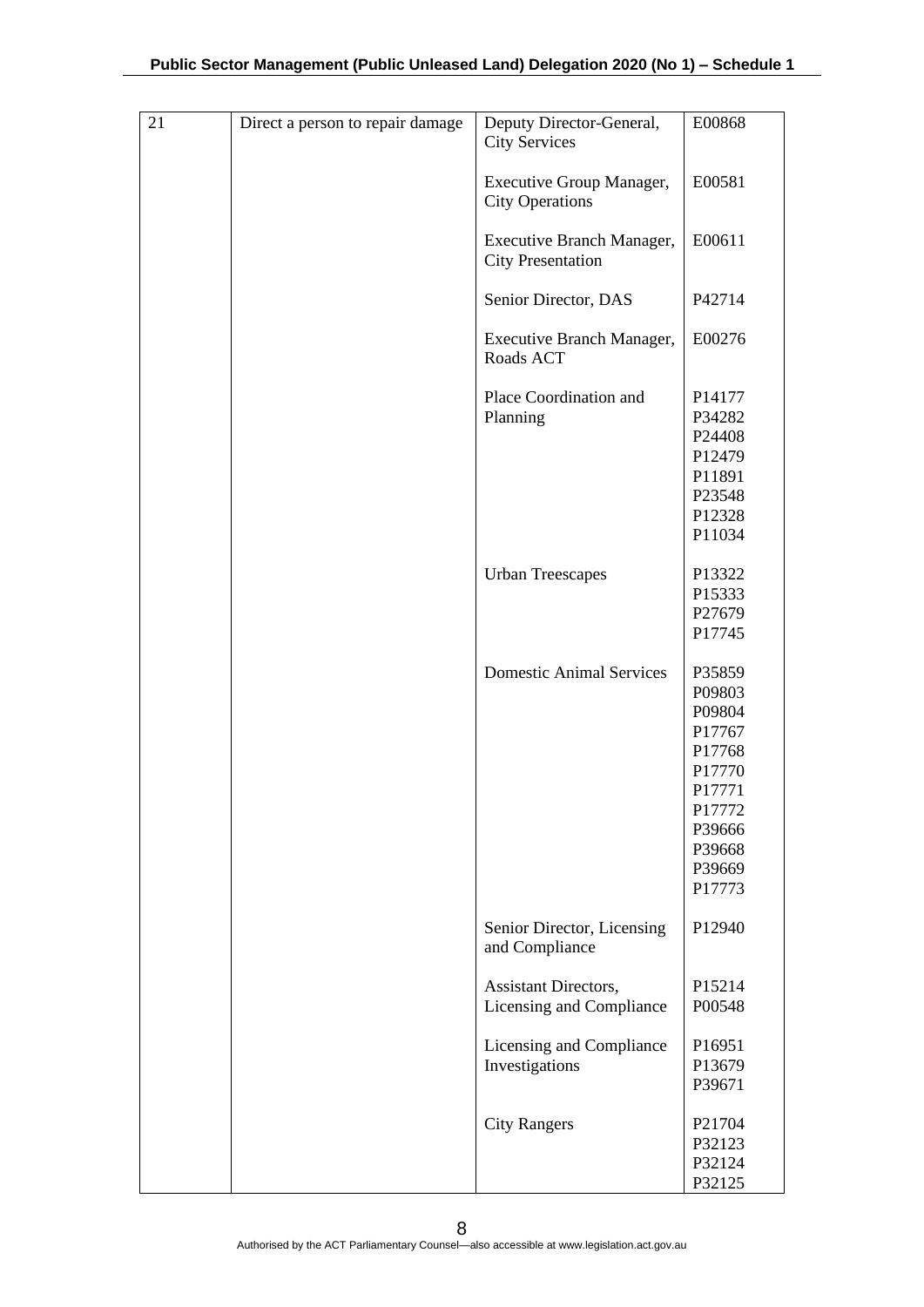| 21 | Direct a person to repair damage | Deputy Director-General,<br><b>City Services</b>          | E00868                                                                                                               |
|----|----------------------------------|-----------------------------------------------------------|----------------------------------------------------------------------------------------------------------------------|
|    |                                  | <b>Executive Group Manager,</b><br><b>City Operations</b> | E00581                                                                                                               |
|    |                                  | Executive Branch Manager,<br><b>City Presentation</b>     | E00611                                                                                                               |
|    |                                  | Senior Director, DAS                                      | P42714                                                                                                               |
|    |                                  | Executive Branch Manager,<br>Roads ACT                    | E00276                                                                                                               |
|    |                                  | Place Coordination and<br>Planning                        | P14177<br>P34282<br>P24408<br>P12479<br>P11891<br>P23548<br>P12328<br>P11034                                         |
|    |                                  | <b>Urban Treescapes</b>                                   | P13322<br>P15333<br>P27679<br>P17745                                                                                 |
|    |                                  | <b>Domestic Animal Services</b>                           | P35859<br>P09803<br>P09804<br>P17767<br>P17768<br>P17770<br>P17771<br>P17772<br>P39666<br>P39668<br>P39669<br>P17773 |
|    |                                  | Senior Director, Licensing<br>and Compliance              | P12940                                                                                                               |
|    |                                  | Assistant Directors,<br>Licensing and Compliance          | P15214<br>P00548                                                                                                     |
|    |                                  | Licensing and Compliance<br>Investigations                | P16951<br>P13679<br>P39671                                                                                           |
|    |                                  | <b>City Rangers</b>                                       | P21704<br>P32123<br>P32124<br>P32125                                                                                 |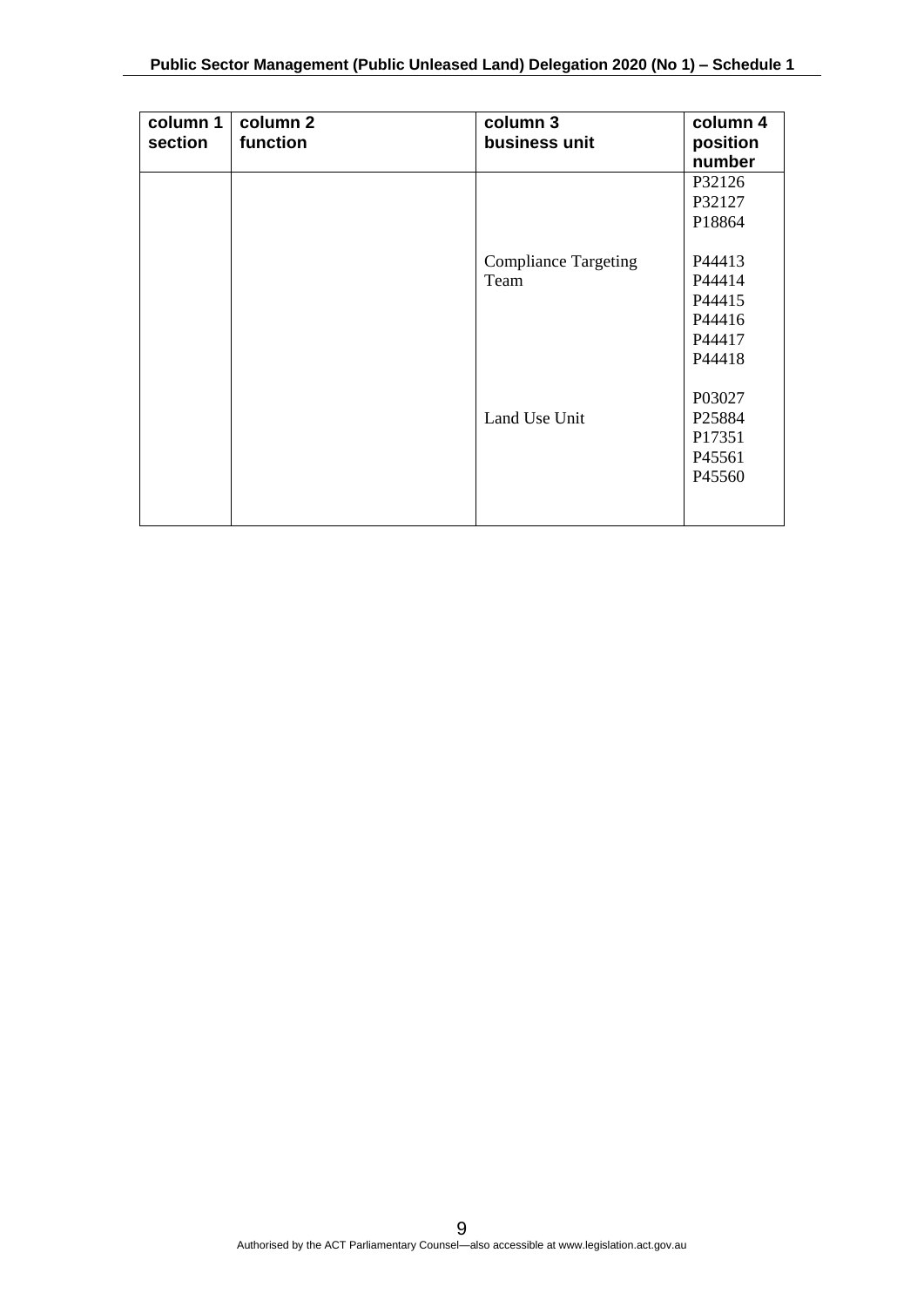| column 1<br>section | column 2<br>function | column 3<br>business unit   | column 4<br>position<br>number |
|---------------------|----------------------|-----------------------------|--------------------------------|
|                     |                      |                             | P32126                         |
|                     |                      |                             | P32127                         |
|                     |                      |                             | P18864                         |
|                     |                      | <b>Compliance Targeting</b> | P44413                         |
|                     |                      | Team                        | P44414                         |
|                     |                      |                             | P44415                         |
|                     |                      |                             | P44416                         |
|                     |                      |                             | P44417                         |
|                     |                      |                             | P44418                         |
|                     |                      |                             |                                |
|                     |                      |                             | P03027                         |
|                     |                      | Land Use Unit               | P <sub>25884</sub>             |
|                     |                      |                             | P17351                         |
|                     |                      |                             | P45561                         |
|                     |                      |                             | P45560                         |
|                     |                      |                             |                                |
|                     |                      |                             |                                |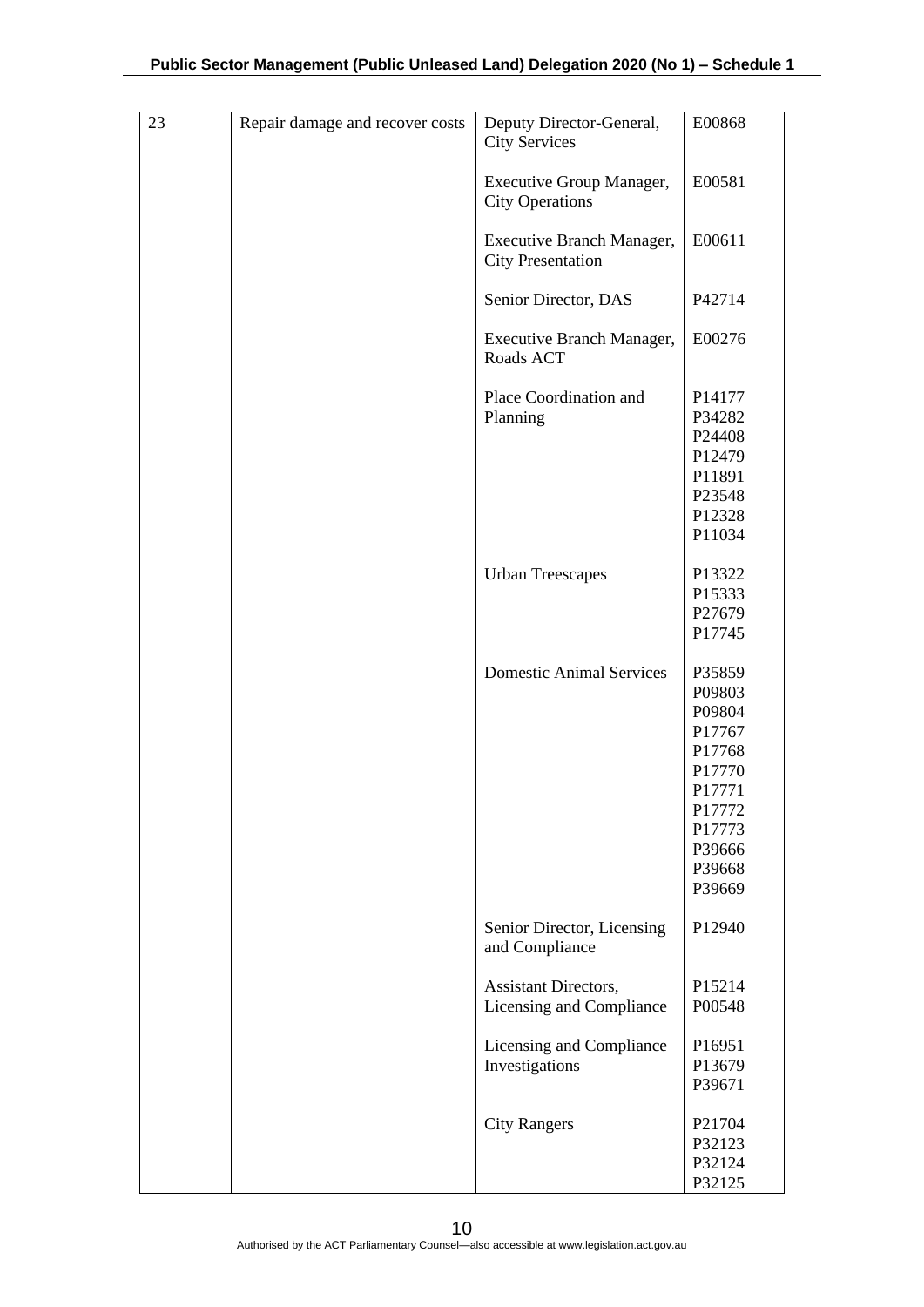| 23 | Repair damage and recover costs | Deputy Director-General,<br><b>City Services</b>          | E00868                                                                                                               |
|----|---------------------------------|-----------------------------------------------------------|----------------------------------------------------------------------------------------------------------------------|
|    |                                 | <b>Executive Group Manager,</b><br><b>City Operations</b> | E00581                                                                                                               |
|    |                                 | Executive Branch Manager,<br><b>City Presentation</b>     | E00611                                                                                                               |
|    |                                 | Senior Director, DAS                                      | P42714                                                                                                               |
|    |                                 | <b>Executive Branch Manager,</b><br>Roads ACT             | E00276                                                                                                               |
|    |                                 | Place Coordination and<br>Planning                        | P14177<br>P34282<br>P24408<br>P12479<br>P11891<br>P23548<br>P12328<br>P11034                                         |
|    |                                 | <b>Urban Treescapes</b>                                   | P13322<br>P15333<br>P27679<br>P17745                                                                                 |
|    |                                 | <b>Domestic Animal Services</b>                           | P35859<br>P09803<br>P09804<br>P17767<br>P17768<br>P17770<br>P17771<br>P17772<br>P17773<br>P39666<br>P39668<br>P39669 |
|    |                                 | Senior Director, Licensing<br>and Compliance              | P12940                                                                                                               |
|    |                                 | Assistant Directors,<br>Licensing and Compliance          | P15214<br>P00548                                                                                                     |
|    |                                 | Licensing and Compliance<br>Investigations                | P16951<br>P13679<br>P39671                                                                                           |
|    |                                 | <b>City Rangers</b>                                       | P21704<br>P32123<br>P32124<br>P32125                                                                                 |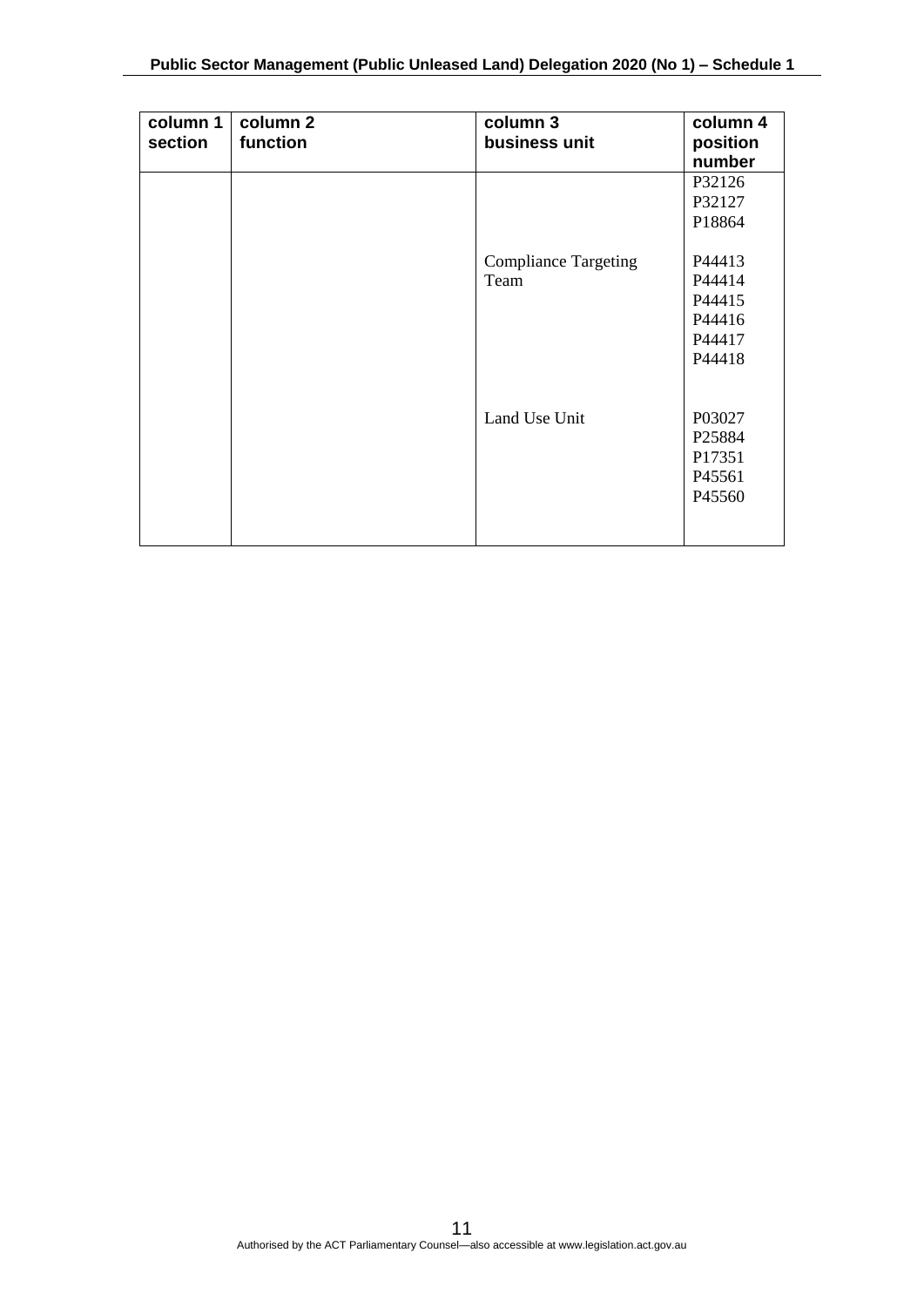| column 1<br>section | column 2<br>function | column 3<br>business unit   | column 4<br>position<br>number |
|---------------------|----------------------|-----------------------------|--------------------------------|
|                     |                      |                             | P32126                         |
|                     |                      |                             | P32127                         |
|                     |                      |                             |                                |
|                     |                      |                             | P18864                         |
|                     |                      | <b>Compliance Targeting</b> | P44413                         |
|                     |                      | Team                        | P44414                         |
|                     |                      |                             | P44415                         |
|                     |                      |                             | P44416                         |
|                     |                      |                             | P44417                         |
|                     |                      |                             | P44418                         |
|                     |                      |                             |                                |
|                     |                      |                             |                                |
|                     |                      | Land Use Unit               | P03027                         |
|                     |                      |                             | P25884                         |
|                     |                      |                             | P17351                         |
|                     |                      |                             | P45561                         |
|                     |                      |                             | P45560                         |
|                     |                      |                             |                                |
|                     |                      |                             |                                |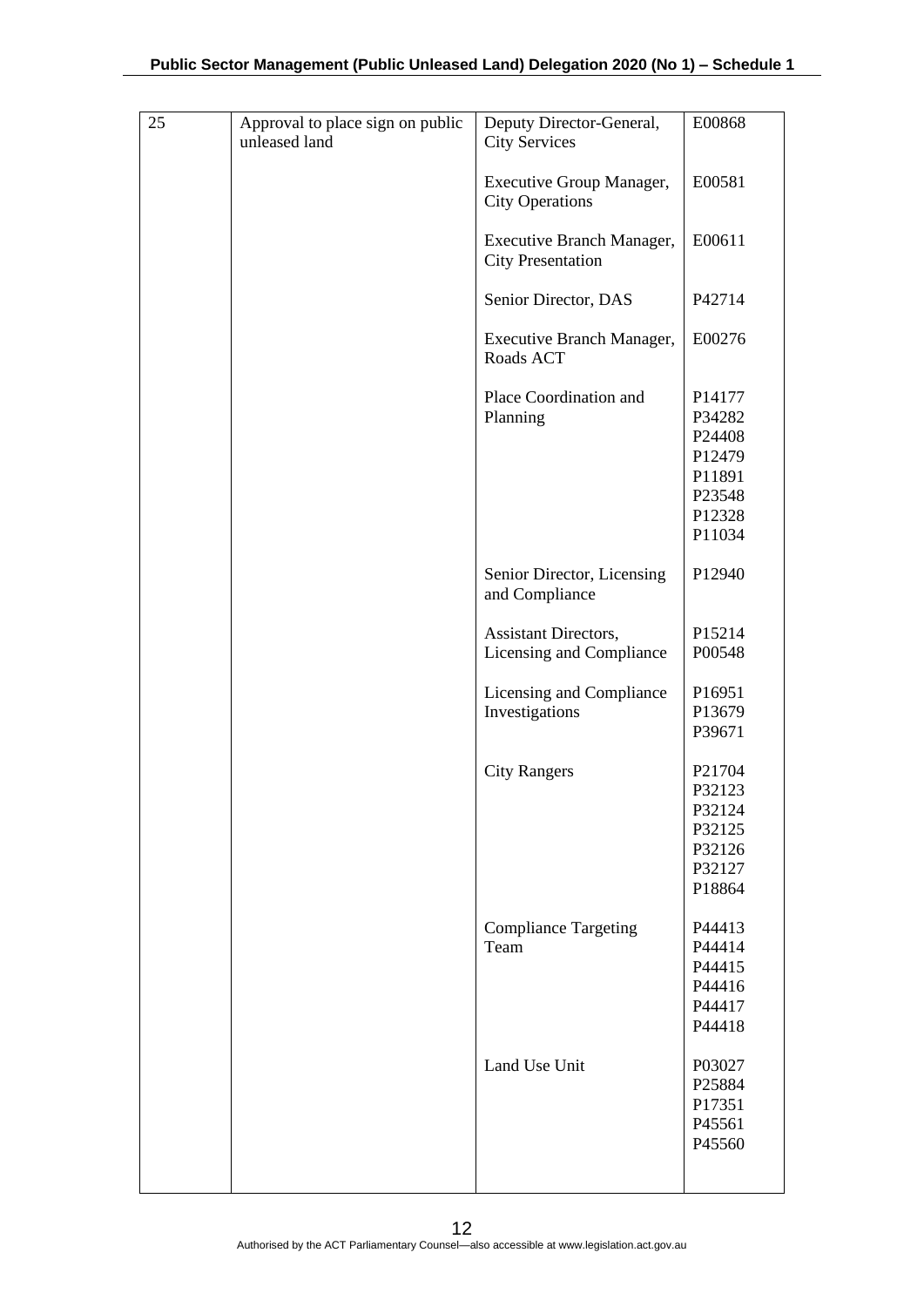| 25 | Approval to place sign on public<br>unleased land | Deputy Director-General,<br><b>City Services</b>          | E00868                                                                       |
|----|---------------------------------------------------|-----------------------------------------------------------|------------------------------------------------------------------------------|
|    |                                                   | <b>Executive Group Manager,</b><br><b>City Operations</b> | E00581                                                                       |
|    |                                                   | Executive Branch Manager,<br><b>City Presentation</b>     | E00611                                                                       |
|    |                                                   | Senior Director, DAS                                      | P42714                                                                       |
|    |                                                   | <b>Executive Branch Manager,</b><br>Roads ACT             | E00276                                                                       |
|    |                                                   | Place Coordination and<br>Planning                        | P14177<br>P34282<br>P24408<br>P12479<br>P11891<br>P23548<br>P12328<br>P11034 |
|    |                                                   | Senior Director, Licensing<br>and Compliance              | P12940                                                                       |
|    |                                                   | Assistant Directors,                                      | P15214                                                                       |
|    |                                                   | Licensing and Compliance                                  | P00548                                                                       |
|    |                                                   | Licensing and Compliance                                  | P16951                                                                       |
|    |                                                   | Investigations                                            | P13679<br>P39671                                                             |
|    |                                                   | <b>City Rangers</b>                                       | P21704<br>P32123<br>P32124<br>P32125<br>P32126<br>P32127<br>P18864           |
|    |                                                   | <b>Compliance Targeting</b>                               | P44413                                                                       |
|    |                                                   | Team                                                      | P44414<br>P44415                                                             |
|    |                                                   |                                                           | P44416                                                                       |
|    |                                                   |                                                           | P44417                                                                       |
|    |                                                   |                                                           | P44418                                                                       |
|    |                                                   | Land Use Unit                                             | P03027<br>P25884<br>P17351<br>P45561<br>P45560                               |
|    |                                                   |                                                           |                                                                              |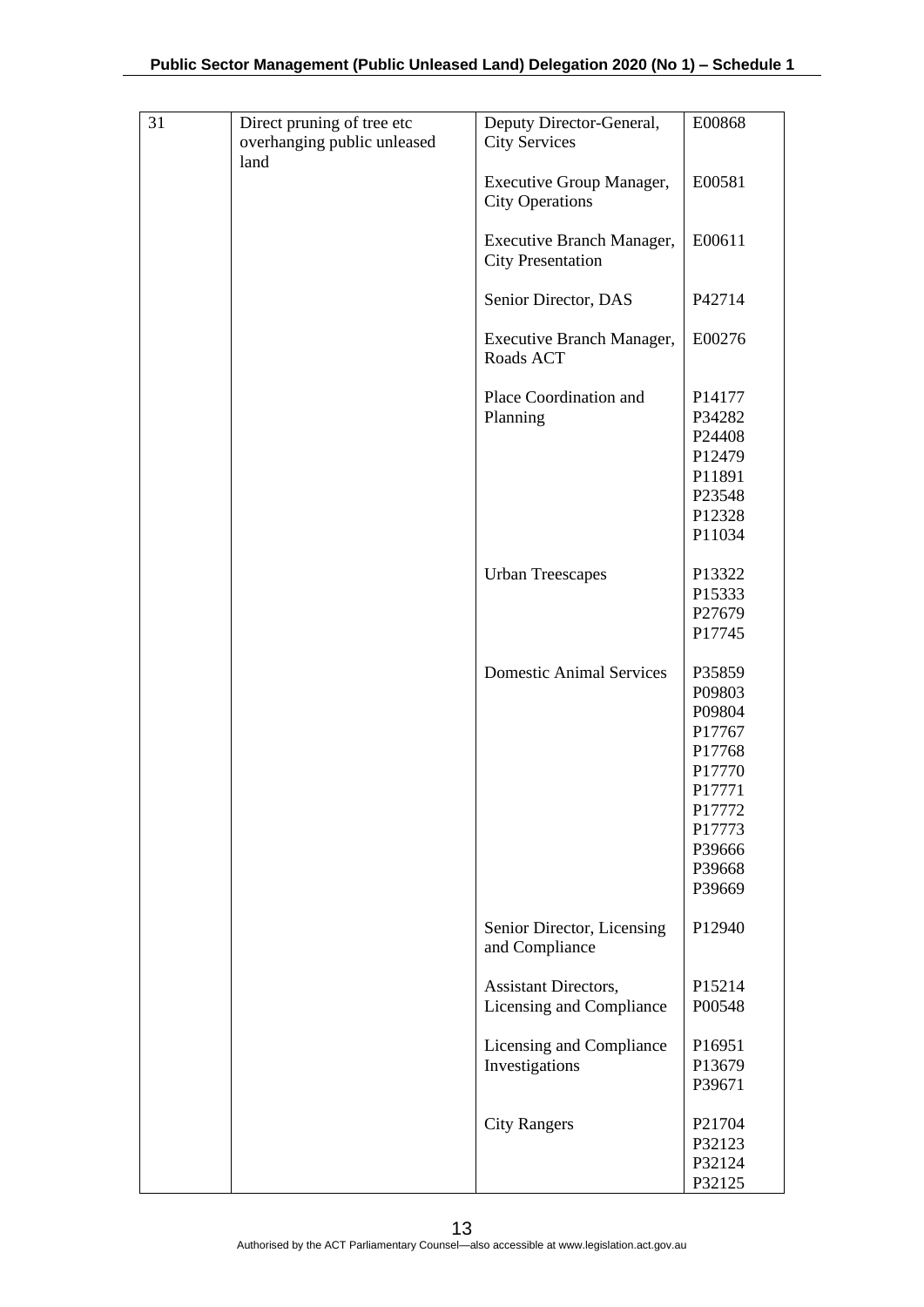| 31 | Direct pruning of tree etc<br>overhanging public unleased<br>land | Deputy Director-General,<br><b>City Services</b>      | E00868                                                                                                               |
|----|-------------------------------------------------------------------|-------------------------------------------------------|----------------------------------------------------------------------------------------------------------------------|
|    |                                                                   | Executive Group Manager,<br><b>City Operations</b>    | E00581                                                                                                               |
|    |                                                                   | Executive Branch Manager,<br><b>City Presentation</b> | E00611                                                                                                               |
|    |                                                                   | Senior Director, DAS                                  | P42714                                                                                                               |
|    |                                                                   | Executive Branch Manager,<br>Roads ACT                | E00276                                                                                                               |
|    |                                                                   | Place Coordination and<br>Planning                    | P14177<br>P34282<br>P24408<br>P12479<br>P11891<br>P23548<br>P12328<br>P11034                                         |
|    |                                                                   | <b>Urban Treescapes</b>                               | P13322<br>P15333<br>P27679<br>P17745                                                                                 |
|    |                                                                   | <b>Domestic Animal Services</b>                       | P35859<br>P09803<br>P09804<br>P17767<br>P17768<br>P17770<br>P17771<br>P17772<br>P17773<br>P39666<br>P39668<br>P39669 |
|    |                                                                   | Senior Director, Licensing<br>and Compliance          | P12940                                                                                                               |
|    |                                                                   | Assistant Directors,<br>Licensing and Compliance      | P15214<br>P00548                                                                                                     |
|    |                                                                   | Licensing and Compliance<br>Investigations            | P16951<br>P13679<br>P39671                                                                                           |
|    |                                                                   | <b>City Rangers</b>                                   | P21704<br>P32123<br>P32124<br>P32125                                                                                 |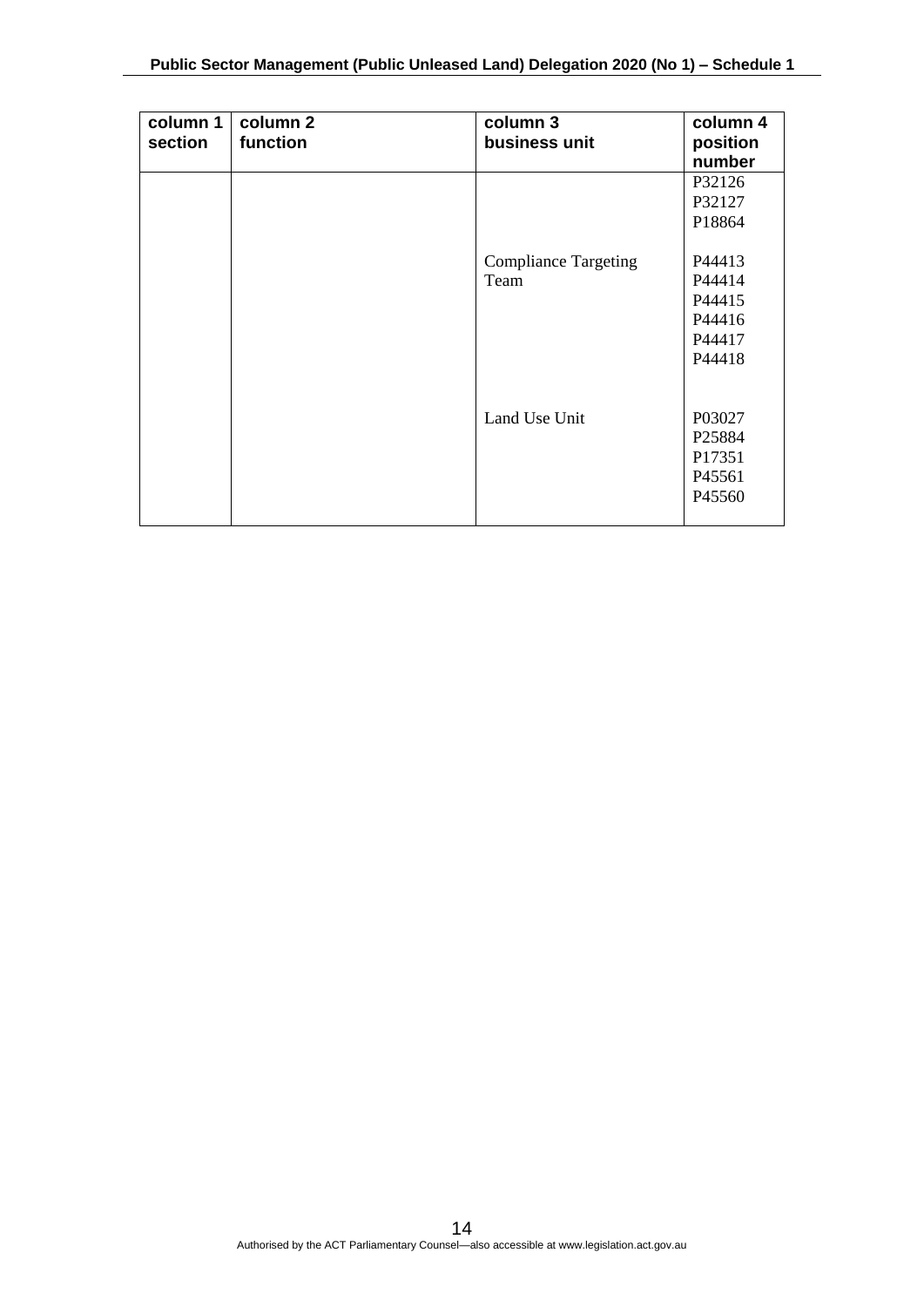| column 1<br>section | column 2<br>function | column 3<br>business unit           | column 4<br>position<br>number                           |
|---------------------|----------------------|-------------------------------------|----------------------------------------------------------|
|                     |                      |                                     | P32126<br>P32127<br>P18864                               |
|                     |                      | <b>Compliance Targeting</b><br>Team | P44413<br>P44414<br>P44415<br>P44416<br>P44417<br>P44418 |
|                     |                      | Land Use Unit                       | P03027<br>P25884<br>P17351<br>P45561<br>P45560           |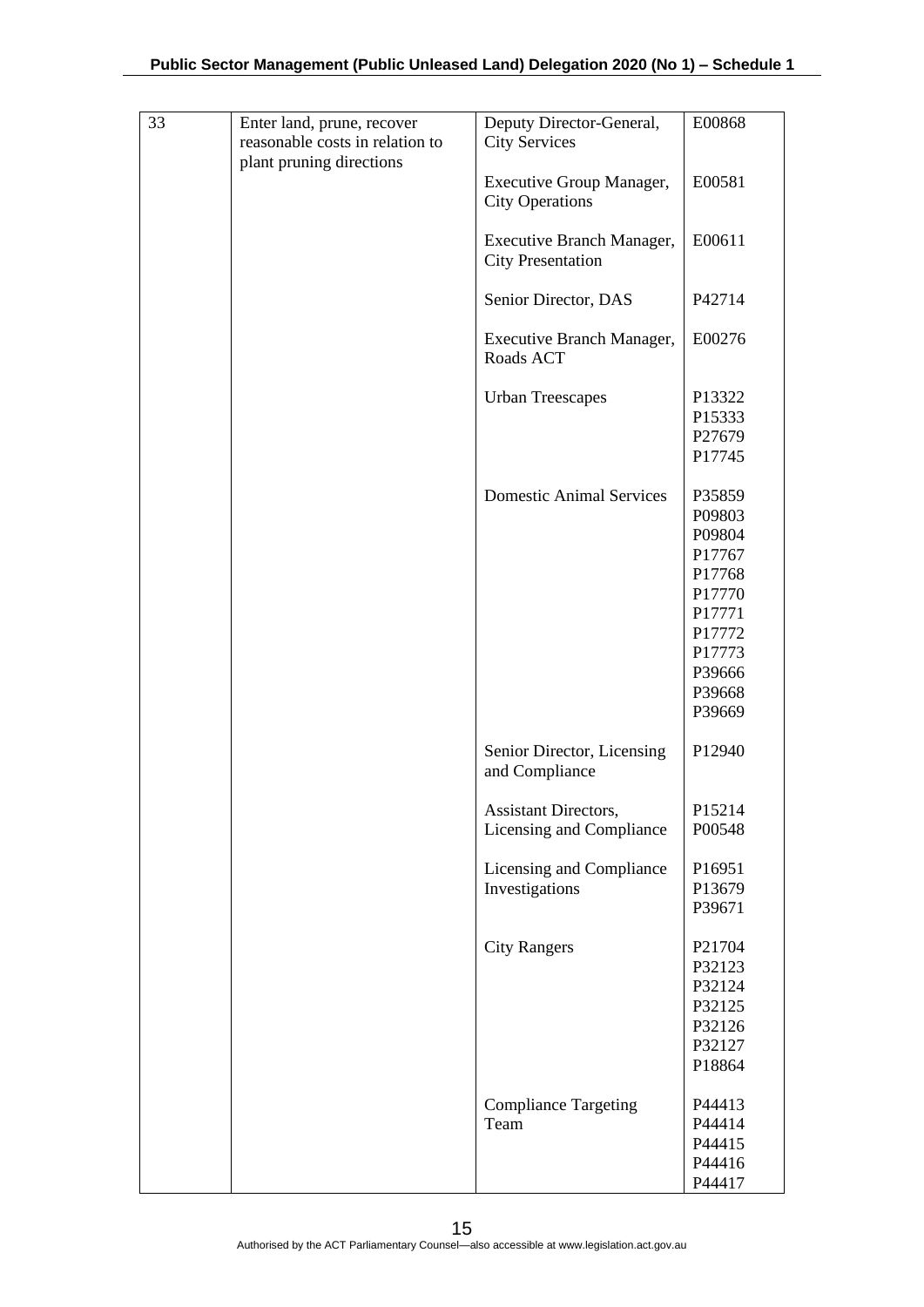| 33 | Enter land, prune, recover<br>reasonable costs in relation to<br>plant pruning directions | Deputy Director-General,<br><b>City Services</b>          | E00868                                                                                                               |
|----|-------------------------------------------------------------------------------------------|-----------------------------------------------------------|----------------------------------------------------------------------------------------------------------------------|
|    |                                                                                           | <b>Executive Group Manager,</b><br><b>City Operations</b> | E00581                                                                                                               |
|    |                                                                                           | Executive Branch Manager,<br><b>City Presentation</b>     | E00611                                                                                                               |
|    |                                                                                           | Senior Director, DAS                                      | P42714                                                                                                               |
|    |                                                                                           | Executive Branch Manager,<br>Roads ACT                    | E00276                                                                                                               |
|    |                                                                                           | <b>Urban Treescapes</b>                                   | P13322<br>P15333<br>P27679<br>P17745                                                                                 |
|    |                                                                                           | <b>Domestic Animal Services</b>                           | P35859<br>P09803<br>P09804<br>P17767<br>P17768<br>P17770<br>P17771<br>P17772<br>P17773<br>P39666<br>P39668<br>P39669 |
|    |                                                                                           | Senior Director, Licensing<br>and Compliance              | P12940                                                                                                               |
|    |                                                                                           | Assistant Directors,<br>Licensing and Compliance          | P15214<br>P00548                                                                                                     |
|    |                                                                                           | Licensing and Compliance<br>Investigations                | P16951<br>P13679<br>P39671                                                                                           |
|    |                                                                                           | <b>City Rangers</b>                                       | P21704<br>P32123<br>P32124<br>P32125<br>P32126<br>P32127<br>P18864                                                   |
|    |                                                                                           | <b>Compliance Targeting</b><br>Team                       | P44413<br>P44414<br>P44415<br>P44416<br>P44417                                                                       |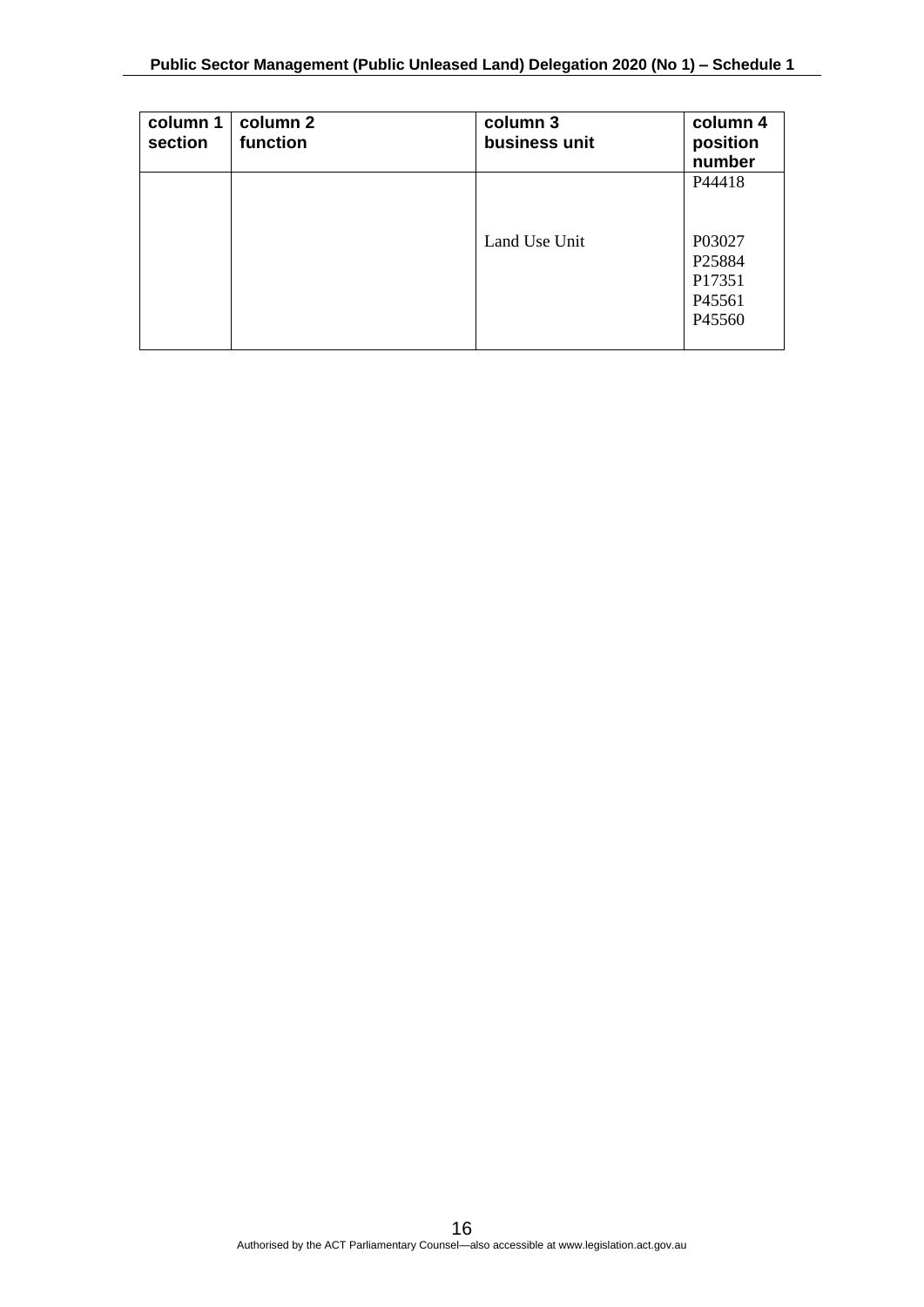| column 1<br>section | column 2<br>function | column 3<br>business unit | column 4<br>position<br>number                           |
|---------------------|----------------------|---------------------------|----------------------------------------------------------|
|                     |                      | Land Use Unit             | P44418<br>P03027<br>P25884<br>P17351<br>P45561<br>P45560 |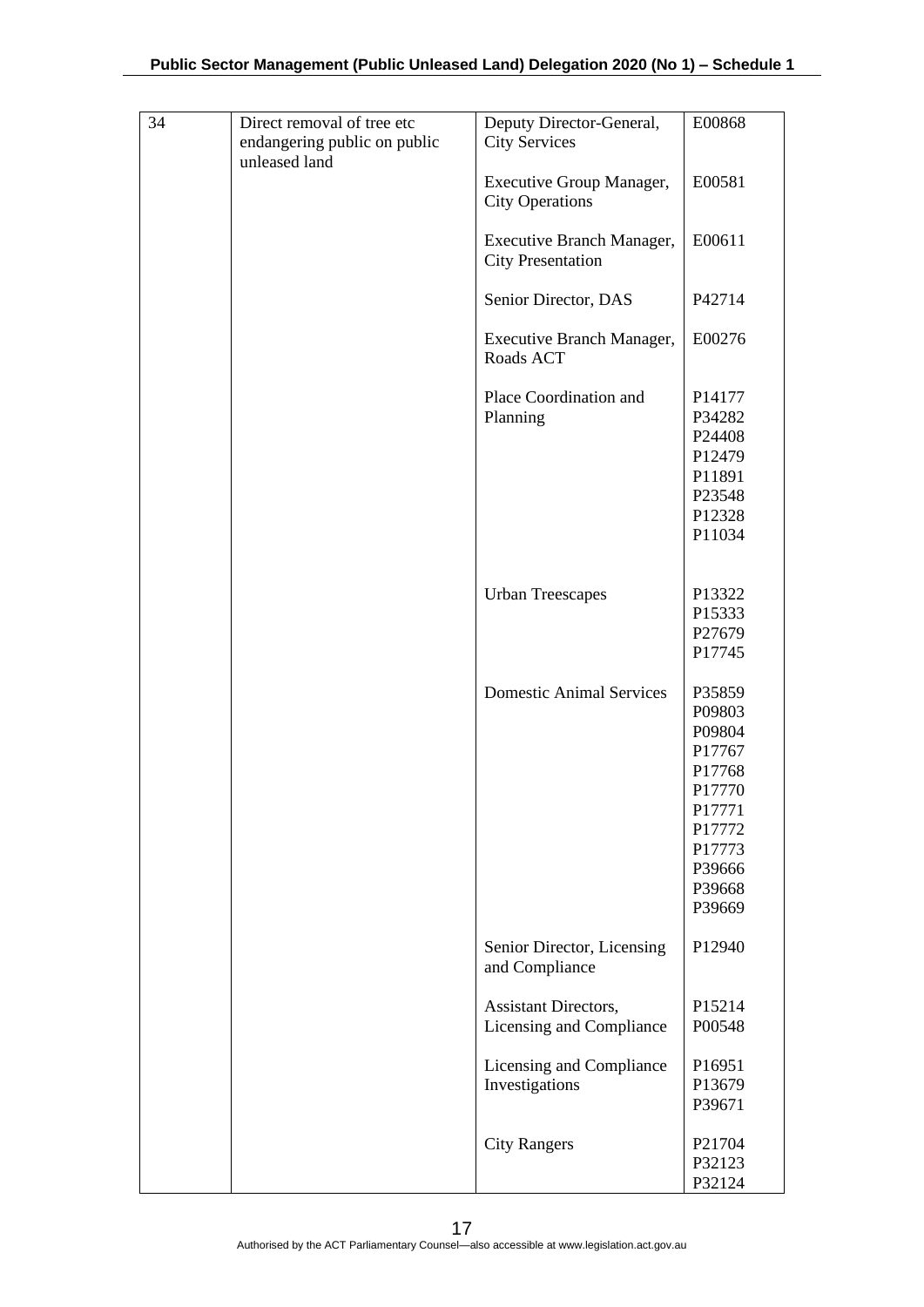| 34 | Direct removal of tree etc<br>endangering public on public<br>unleased land | Deputy Director-General,<br><b>City Services</b>          | E00868                                                                                                               |
|----|-----------------------------------------------------------------------------|-----------------------------------------------------------|----------------------------------------------------------------------------------------------------------------------|
|    |                                                                             | <b>Executive Group Manager,</b><br><b>City Operations</b> | E00581                                                                                                               |
|    |                                                                             | Executive Branch Manager,<br><b>City Presentation</b>     | E00611                                                                                                               |
|    |                                                                             | Senior Director, DAS                                      | P42714                                                                                                               |
|    |                                                                             | Executive Branch Manager,<br>Roads ACT                    | E00276                                                                                                               |
|    |                                                                             | Place Coordination and<br>Planning                        | P14177<br>P34282<br>P24408<br>P12479<br>P11891<br>P23548<br>P12328<br>P11034                                         |
|    |                                                                             | <b>Urban Treescapes</b>                                   | P13322<br>P15333<br>P27679<br>P17745                                                                                 |
|    |                                                                             | <b>Domestic Animal Services</b>                           | P35859<br>P09803<br>P09804<br>P17767<br>P17768<br>P17770<br>P17771<br>P17772<br>P17773<br>P39666<br>P39668<br>P39669 |
|    |                                                                             | Senior Director, Licensing<br>and Compliance              | P12940                                                                                                               |
|    |                                                                             | Assistant Directors,<br>Licensing and Compliance          | P15214<br>P00548                                                                                                     |
|    |                                                                             | Licensing and Compliance<br>Investigations                | P16951<br>P13679<br>P39671                                                                                           |
|    |                                                                             | <b>City Rangers</b>                                       | P21704<br>P32123<br>P32124                                                                                           |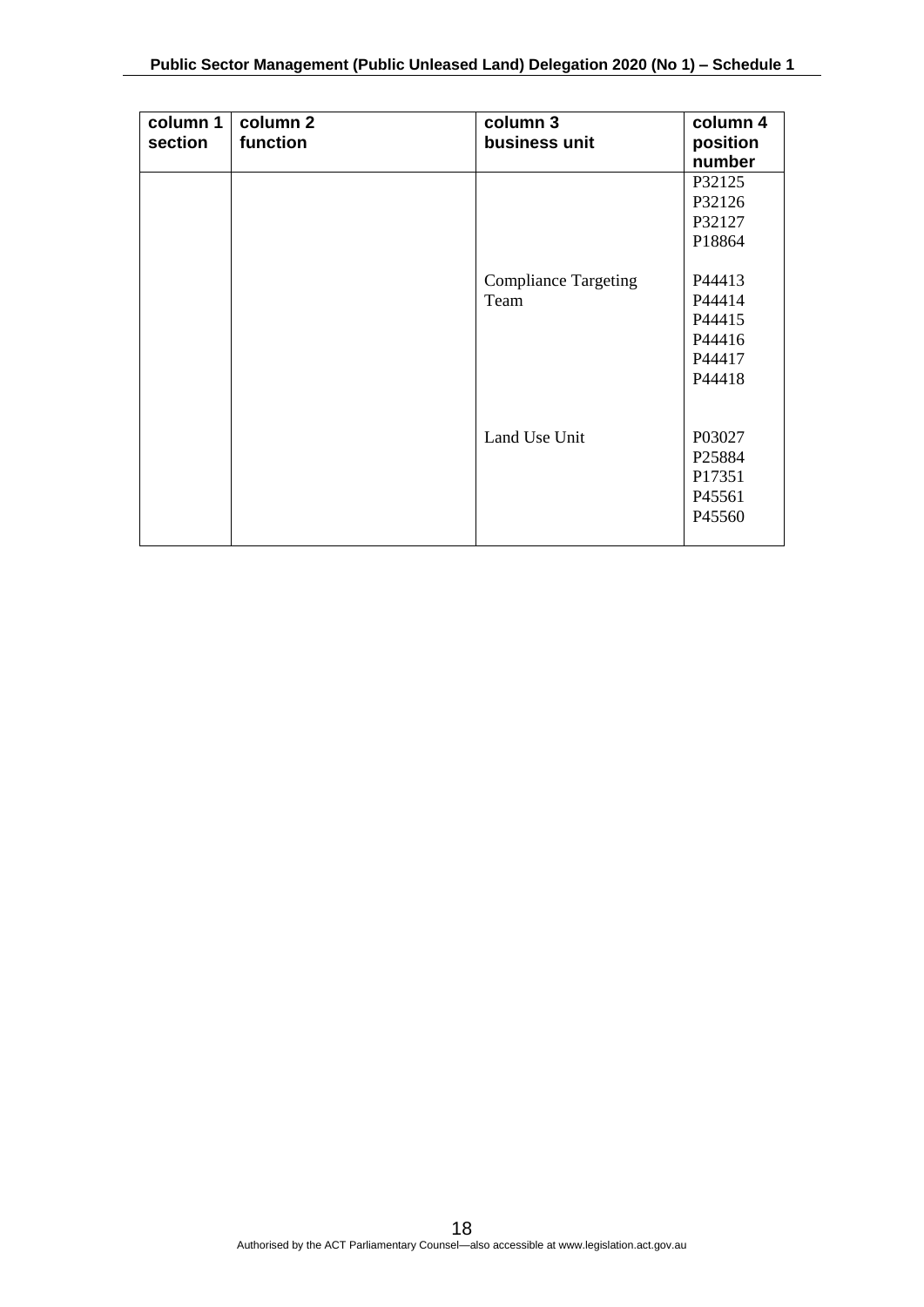| column 1<br>section | column 2<br>function | column 3<br>business unit   | column 4<br>position |
|---------------------|----------------------|-----------------------------|----------------------|
|                     |                      |                             | number               |
|                     |                      |                             | P32125               |
|                     |                      |                             | P32126               |
|                     |                      |                             | P32127               |
|                     |                      |                             | P18864               |
|                     |                      |                             |                      |
|                     |                      | <b>Compliance Targeting</b> | P44413               |
|                     |                      | Team                        | P44414               |
|                     |                      |                             | P44415               |
|                     |                      |                             | P44416               |
|                     |                      |                             | P44417               |
|                     |                      |                             | P44418               |
|                     |                      |                             |                      |
|                     |                      |                             |                      |
|                     |                      | Land Use Unit               | P03027               |
|                     |                      |                             | P <sub>25884</sub>   |
|                     |                      |                             | P17351               |
|                     |                      |                             | P45561               |
|                     |                      |                             | P45560               |
|                     |                      |                             |                      |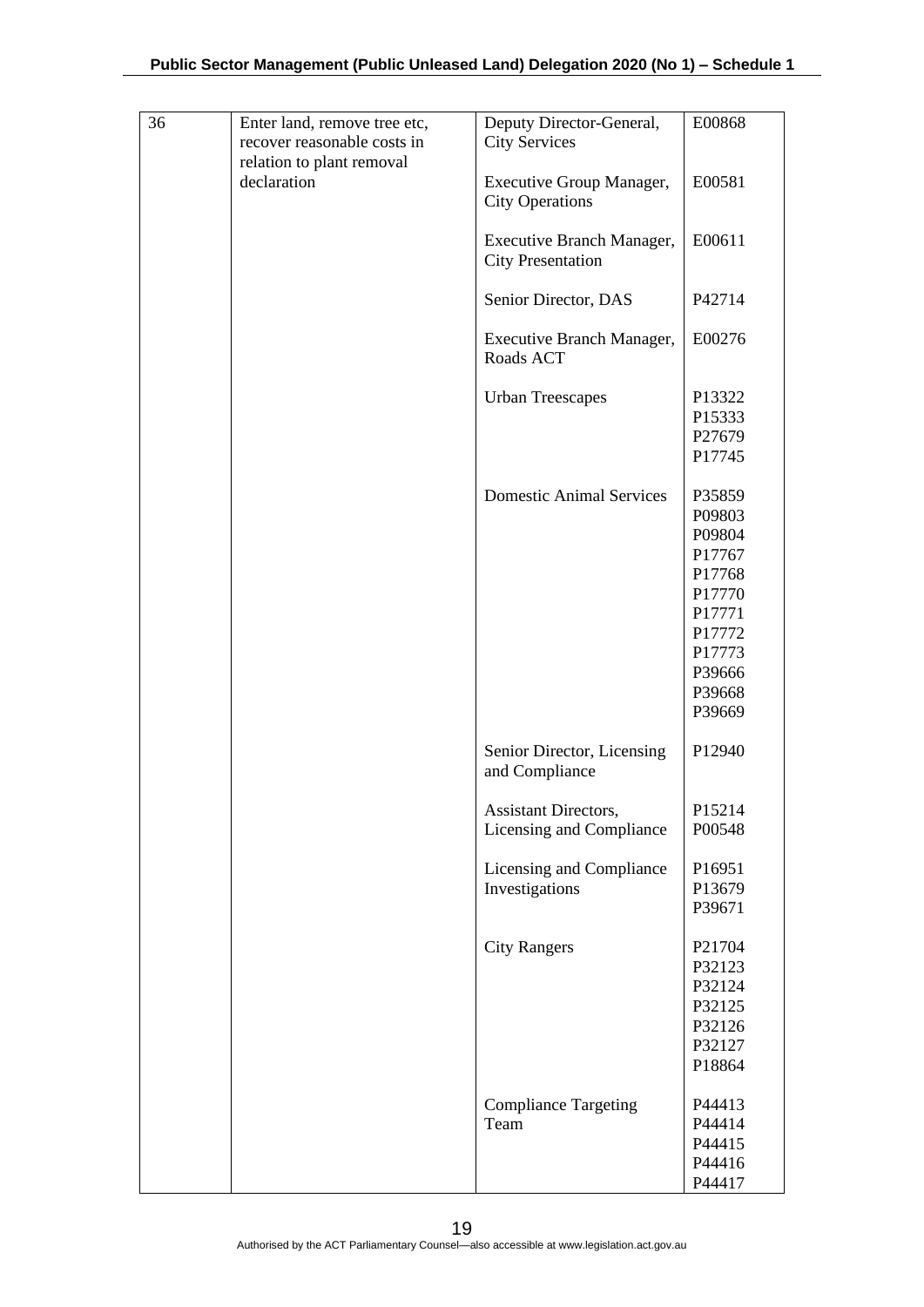| 36 | Enter land, remove tree etc,<br>recover reasonable costs in<br>relation to plant removal | Deputy Director-General,<br><b>City Services</b>          | E00868                                                                                                               |
|----|------------------------------------------------------------------------------------------|-----------------------------------------------------------|----------------------------------------------------------------------------------------------------------------------|
|    | declaration                                                                              | <b>Executive Group Manager,</b><br><b>City Operations</b> | E00581                                                                                                               |
|    |                                                                                          | Executive Branch Manager,<br><b>City Presentation</b>     | E00611                                                                                                               |
|    |                                                                                          | Senior Director, DAS                                      | P42714                                                                                                               |
|    |                                                                                          | <b>Executive Branch Manager,</b><br>Roads ACT             | E00276                                                                                                               |
|    |                                                                                          | <b>Urban Treescapes</b>                                   | P13322<br>P15333<br>P27679<br>P17745                                                                                 |
|    |                                                                                          | <b>Domestic Animal Services</b>                           | P35859<br>P09803<br>P09804<br>P17767<br>P17768<br>P17770<br>P17771<br>P17772<br>P17773<br>P39666<br>P39668<br>P39669 |
|    |                                                                                          | Senior Director, Licensing<br>and Compliance              | P12940                                                                                                               |
|    |                                                                                          | Assistant Directors,<br>Licensing and Compliance          | P15214<br>P00548                                                                                                     |
|    |                                                                                          | Licensing and Compliance<br>Investigations                | P16951<br>P13679<br>P39671                                                                                           |
|    |                                                                                          | <b>City Rangers</b>                                       | P21704<br>P32123<br>P32124<br>P32125<br>P32126<br>P32127<br>P18864                                                   |
|    |                                                                                          | <b>Compliance Targeting</b><br>Team                       | P44413<br>P44414<br>P44415<br>P44416<br>P44417                                                                       |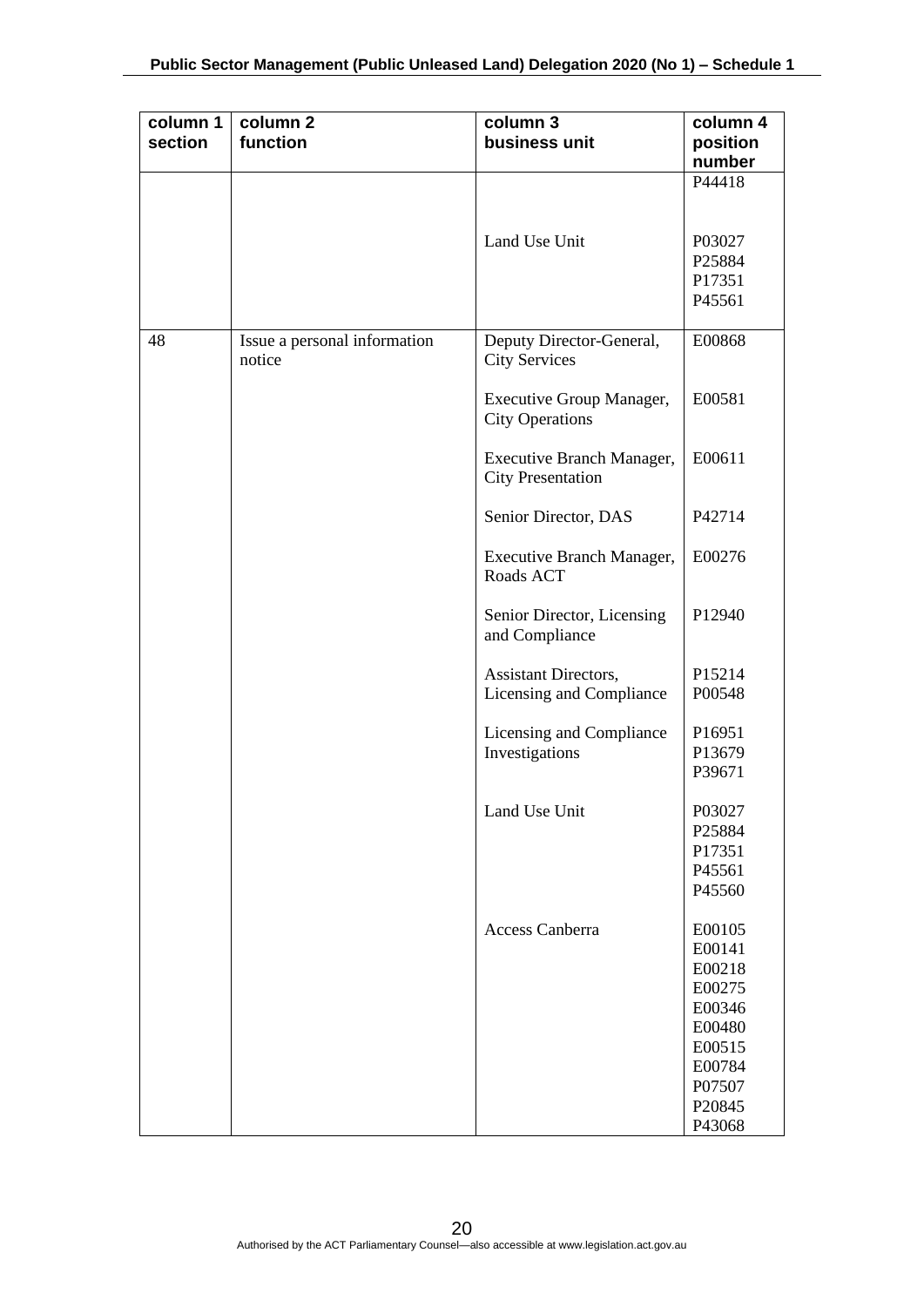| column 1<br>section | column <sub>2</sub><br>function        | column 3<br>business unit                             | column 4<br>position<br>number                                                                             |
|---------------------|----------------------------------------|-------------------------------------------------------|------------------------------------------------------------------------------------------------------------|
|                     |                                        |                                                       | P44418                                                                                                     |
|                     |                                        | Land Use Unit                                         | P03027<br>P25884<br>P17351<br>P45561                                                                       |
| 48                  | Issue a personal information<br>notice | Deputy Director-General,<br><b>City Services</b>      | E00868                                                                                                     |
|                     |                                        | Executive Group Manager,<br><b>City Operations</b>    | E00581                                                                                                     |
|                     |                                        | Executive Branch Manager,<br><b>City Presentation</b> | E00611                                                                                                     |
|                     |                                        | Senior Director, DAS                                  | P42714                                                                                                     |
|                     |                                        | Executive Branch Manager,<br>Roads ACT                | E00276                                                                                                     |
|                     |                                        | Senior Director, Licensing<br>and Compliance          | P12940                                                                                                     |
|                     |                                        | Assistant Directors,<br>Licensing and Compliance      | P15214<br>P00548                                                                                           |
|                     |                                        | Licensing and Compliance<br>Investigations            | P16951<br>P13679<br>P39671                                                                                 |
|                     |                                        | Land Use Unit                                         | P03027<br>P25884<br>P17351<br>P45561<br>P45560                                                             |
|                     |                                        | <b>Access Canberra</b>                                | E00105<br>E00141<br>E00218<br>E00275<br>E00346<br>E00480<br>E00515<br>E00784<br>P07507<br>P20845<br>P43068 |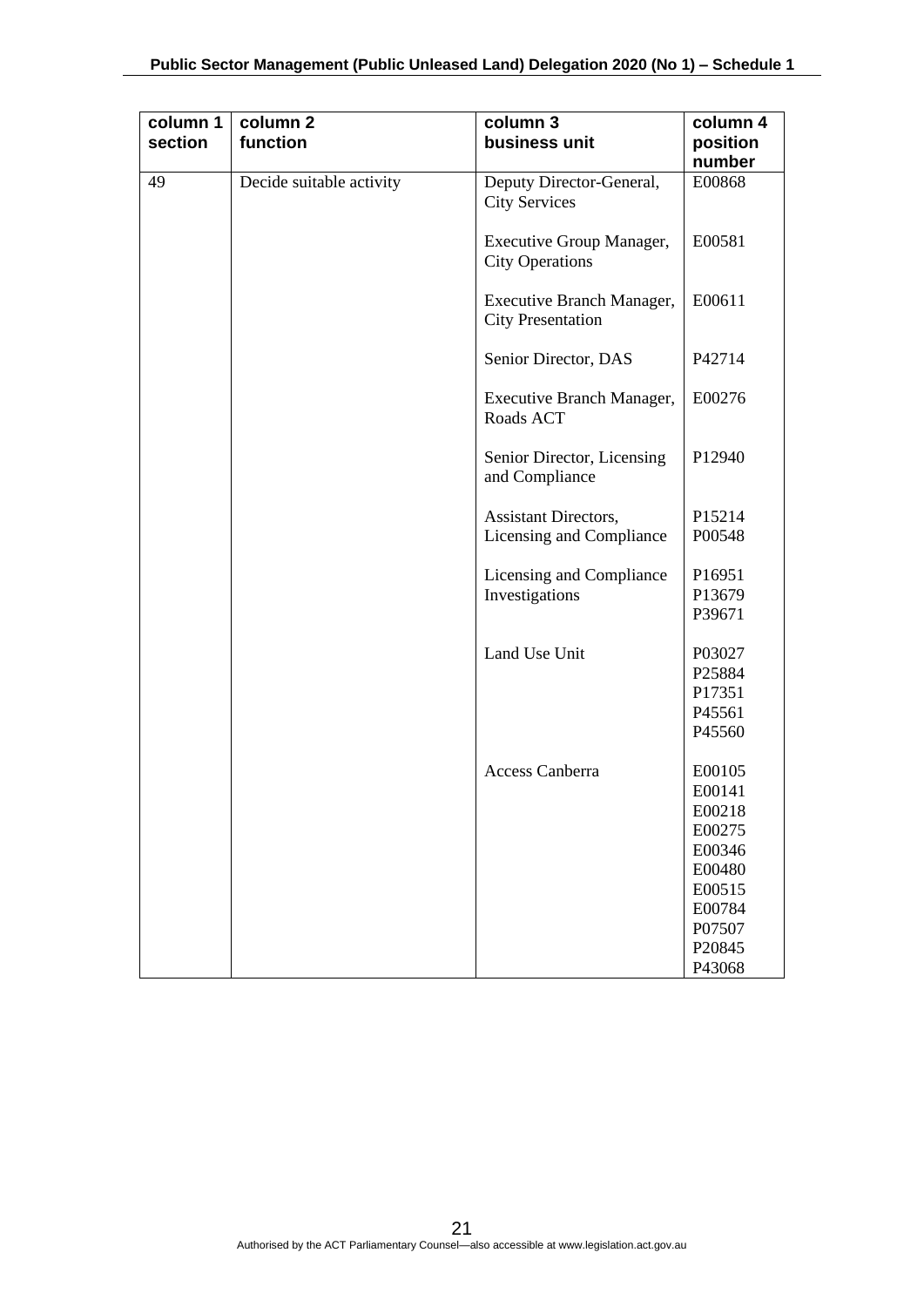| column 1<br>section | column <sub>2</sub><br>function | column 3<br>business unit                             | column 4<br>position<br>number                                                                             |
|---------------------|---------------------------------|-------------------------------------------------------|------------------------------------------------------------------------------------------------------------|
| 49                  | Decide suitable activity        | Deputy Director-General,<br><b>City Services</b>      | E00868                                                                                                     |
|                     |                                 | Executive Group Manager,<br><b>City Operations</b>    | E00581                                                                                                     |
|                     |                                 | Executive Branch Manager,<br><b>City Presentation</b> | E00611                                                                                                     |
|                     |                                 | Senior Director, DAS                                  | P42714                                                                                                     |
|                     |                                 | Executive Branch Manager,<br>Roads ACT                | E00276                                                                                                     |
|                     |                                 | Senior Director, Licensing<br>and Compliance          | P12940                                                                                                     |
|                     |                                 | Assistant Directors,<br>Licensing and Compliance      | P15214<br>P00548                                                                                           |
|                     |                                 | Licensing and Compliance<br>Investigations            | P16951<br>P13679<br>P39671                                                                                 |
|                     |                                 | Land Use Unit                                         | P03027<br>P25884<br>P17351<br>P45561<br>P45560                                                             |
|                     |                                 | <b>Access Canberra</b>                                | E00105<br>E00141<br>E00218<br>E00275<br>E00346<br>E00480<br>E00515<br>E00784<br>P07507<br>P20845<br>P43068 |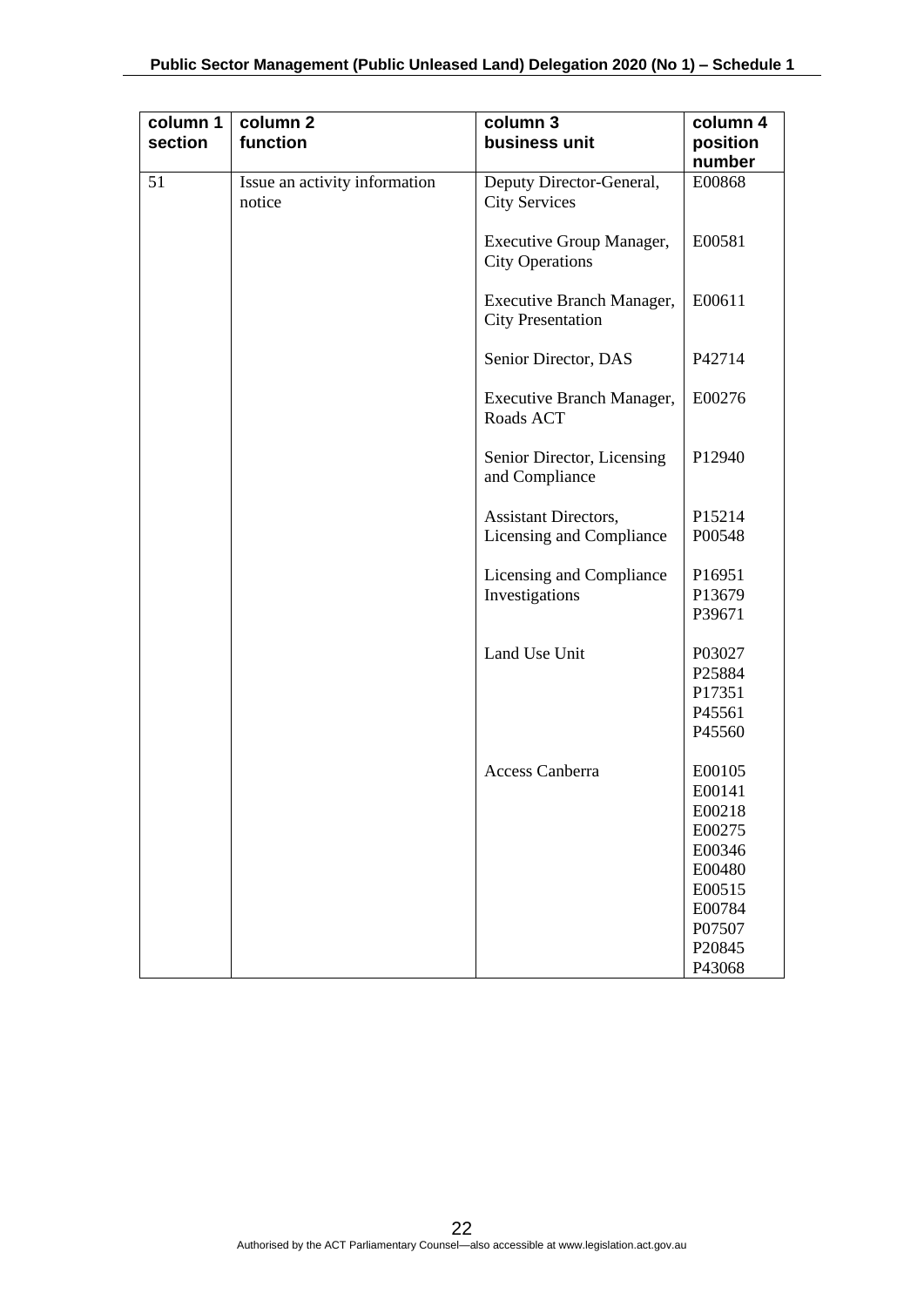|    | function                                | column 3<br>business unit                             | column 4<br>position<br>number                                                                             |
|----|-----------------------------------------|-------------------------------------------------------|------------------------------------------------------------------------------------------------------------|
| 51 | Issue an activity information<br>notice | Deputy Director-General,<br><b>City Services</b>      | E00868                                                                                                     |
|    |                                         | Executive Group Manager,<br><b>City Operations</b>    | E00581                                                                                                     |
|    |                                         | Executive Branch Manager,<br><b>City Presentation</b> | E00611                                                                                                     |
|    |                                         | Senior Director, DAS                                  | P42714                                                                                                     |
|    |                                         | Executive Branch Manager,<br>Roads ACT                | E00276                                                                                                     |
|    |                                         | Senior Director, Licensing<br>and Compliance          | P12940                                                                                                     |
|    |                                         | Assistant Directors,<br>Licensing and Compliance      | P15214<br>P00548                                                                                           |
|    |                                         | Licensing and Compliance<br>Investigations            | P16951<br>P13679<br>P39671                                                                                 |
|    |                                         | Land Use Unit                                         | P03027<br>P25884<br>P17351<br>P45561<br>P45560                                                             |
|    |                                         | Access Canberra                                       | E00105<br>E00141<br>E00218<br>E00275<br>E00346<br>E00480<br>E00515<br>E00784<br>P07507<br>P20845<br>P43068 |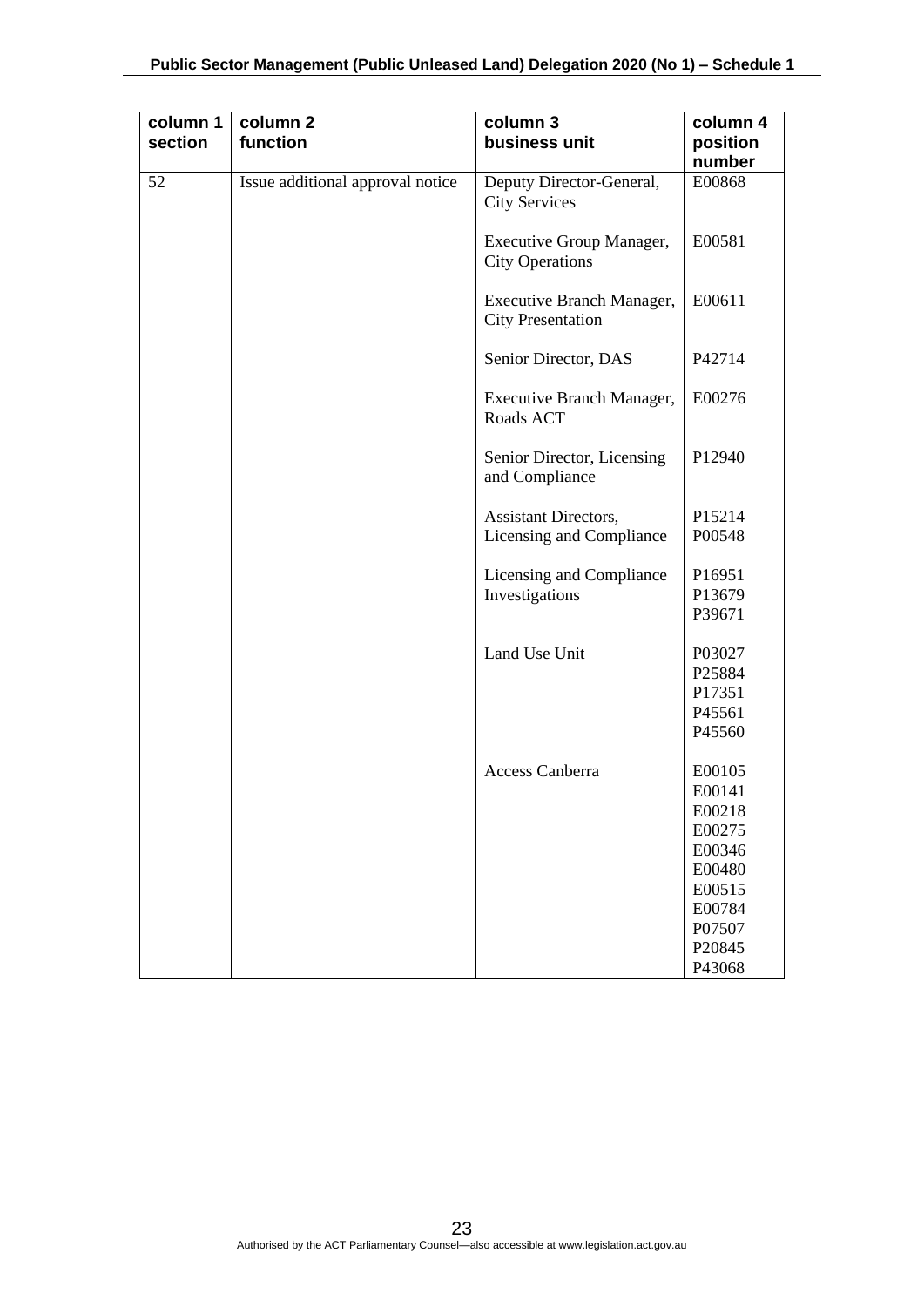| column 1<br>section | column <sub>2</sub><br>function  | column 3<br>business unit                             | column 4<br>position                                                                                       |
|---------------------|----------------------------------|-------------------------------------------------------|------------------------------------------------------------------------------------------------------------|
|                     |                                  |                                                       | number                                                                                                     |
| 52                  | Issue additional approval notice | Deputy Director-General,<br><b>City Services</b>      | E00868                                                                                                     |
|                     |                                  | Executive Group Manager,<br><b>City Operations</b>    | E00581                                                                                                     |
|                     |                                  | Executive Branch Manager,<br><b>City Presentation</b> | E00611                                                                                                     |
|                     |                                  | Senior Director, DAS                                  | P42714                                                                                                     |
|                     |                                  | Executive Branch Manager,<br>Roads ACT                | E00276                                                                                                     |
|                     |                                  | Senior Director, Licensing<br>and Compliance          | P12940                                                                                                     |
|                     |                                  | Assistant Directors,<br>Licensing and Compliance      | P15214<br>P00548                                                                                           |
|                     |                                  | Licensing and Compliance<br>Investigations            | P16951<br>P13679<br>P39671                                                                                 |
|                     |                                  | Land Use Unit                                         | P03027<br>P25884<br>P17351<br>P45561<br>P45560                                                             |
|                     |                                  | Access Canberra                                       | E00105<br>E00141<br>E00218<br>E00275<br>E00346<br>E00480<br>E00515<br>E00784<br>P07507<br>P20845<br>P43068 |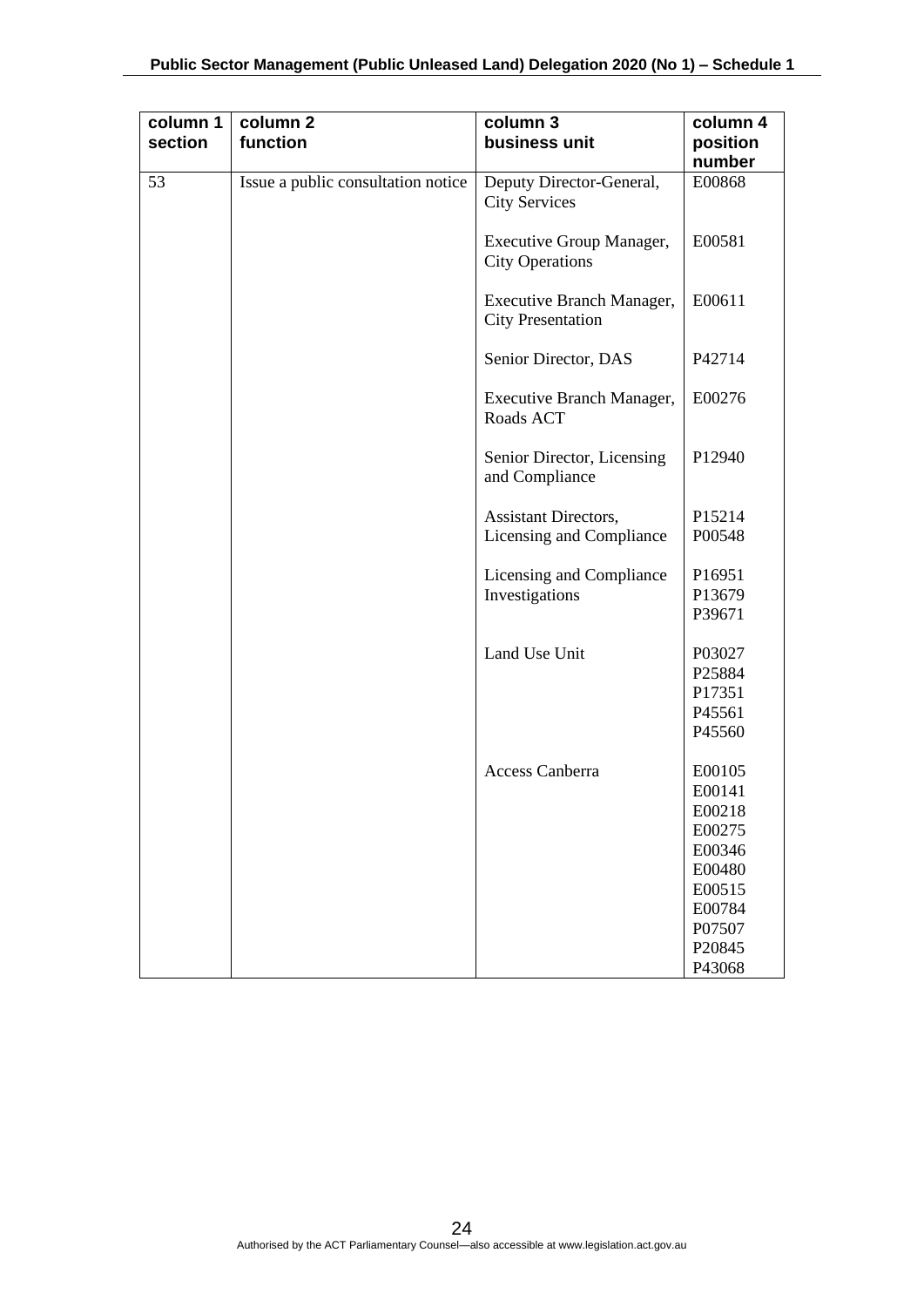| column 1<br>section | column 2<br>function               | column 3<br>business unit                             | column 4<br>position                                                                                       |
|---------------------|------------------------------------|-------------------------------------------------------|------------------------------------------------------------------------------------------------------------|
|                     |                                    |                                                       | number                                                                                                     |
| 53                  | Issue a public consultation notice | Deputy Director-General,<br><b>City Services</b>      | E00868                                                                                                     |
|                     |                                    | Executive Group Manager,<br><b>City Operations</b>    | E00581                                                                                                     |
|                     |                                    | Executive Branch Manager,<br><b>City Presentation</b> | E00611                                                                                                     |
|                     |                                    | Senior Director, DAS                                  | P42714                                                                                                     |
|                     |                                    | Executive Branch Manager,<br>Roads ACT                | E00276                                                                                                     |
|                     |                                    | Senior Director, Licensing<br>and Compliance          | P12940                                                                                                     |
|                     |                                    | Assistant Directors,<br>Licensing and Compliance      | P15214<br>P00548                                                                                           |
|                     |                                    | Licensing and Compliance<br>Investigations            | P16951<br>P13679<br>P39671                                                                                 |
|                     |                                    | Land Use Unit                                         | P03027<br>P25884<br>P17351<br>P45561<br>P45560                                                             |
|                     |                                    | Access Canberra                                       | E00105<br>E00141<br>E00218<br>E00275<br>E00346<br>E00480<br>E00515<br>E00784<br>P07507<br>P20845<br>P43068 |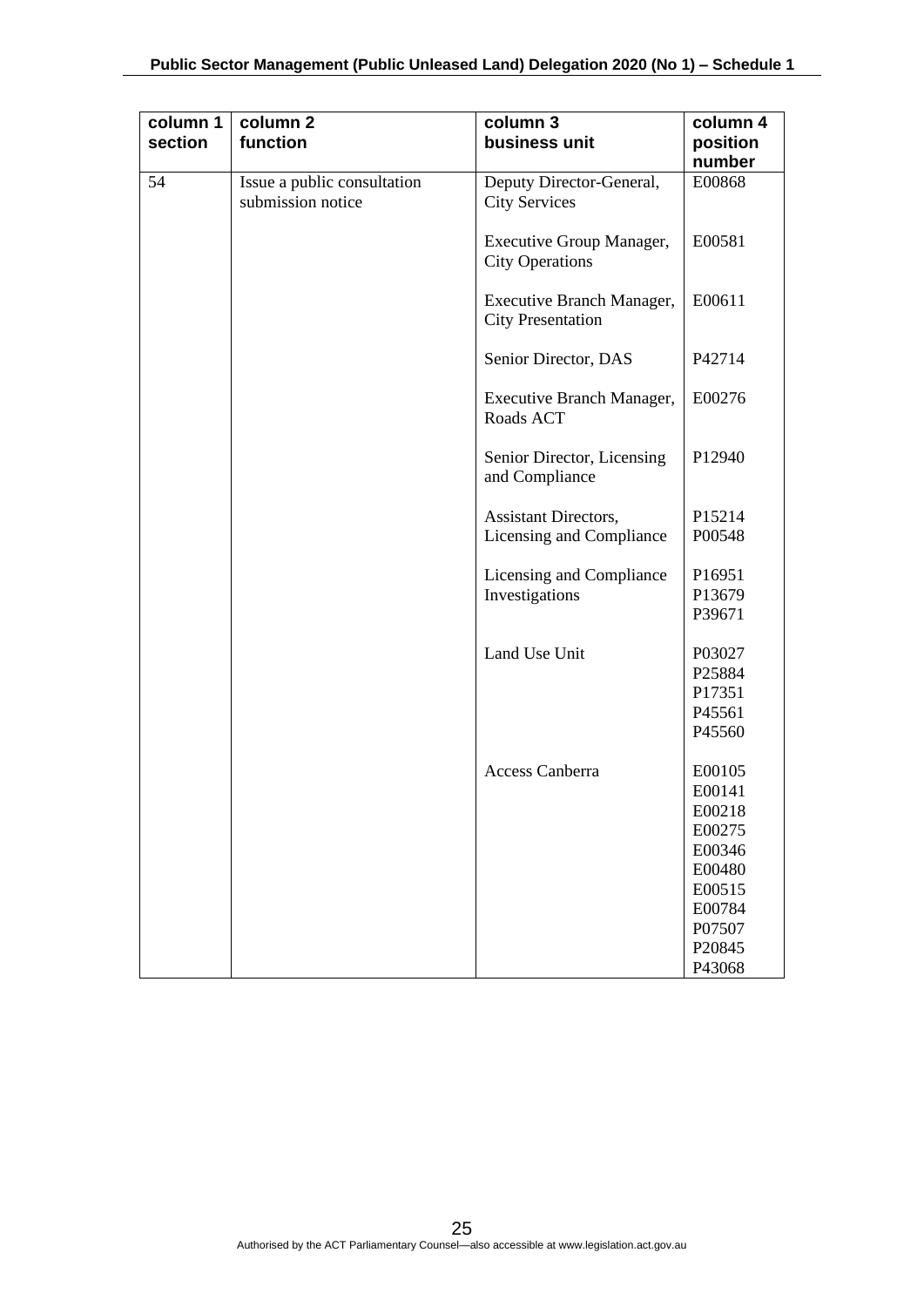| column 1<br>section | column <sub>2</sub><br>function                  | column 3<br>business unit                               | column 4<br>position<br>number                                                                             |
|---------------------|--------------------------------------------------|---------------------------------------------------------|------------------------------------------------------------------------------------------------------------|
| 54                  | Issue a public consultation<br>submission notice | Deputy Director-General,<br><b>City Services</b>        | E00868                                                                                                     |
|                     |                                                  | Executive Group Manager,<br><b>City Operations</b>      | E00581                                                                                                     |
|                     |                                                  | Executive Branch Manager,<br><b>City Presentation</b>   | E00611                                                                                                     |
|                     |                                                  | Senior Director, DAS                                    | P42714                                                                                                     |
|                     |                                                  | Executive Branch Manager,<br>Roads ACT                  | E00276                                                                                                     |
|                     |                                                  | Senior Director, Licensing<br>and Compliance            | P12940                                                                                                     |
|                     |                                                  | <b>Assistant Directors,</b><br>Licensing and Compliance | P15214<br>P00548                                                                                           |
|                     |                                                  | Licensing and Compliance<br>Investigations              | P16951<br>P13679<br>P39671                                                                                 |
|                     |                                                  | Land Use Unit                                           | P03027<br>P25884<br>P17351<br>P45561<br>P45560                                                             |
|                     |                                                  | Access Canberra                                         | E00105<br>E00141<br>E00218<br>E00275<br>E00346<br>E00480<br>E00515<br>E00784<br>P07507<br>P20845<br>P43068 |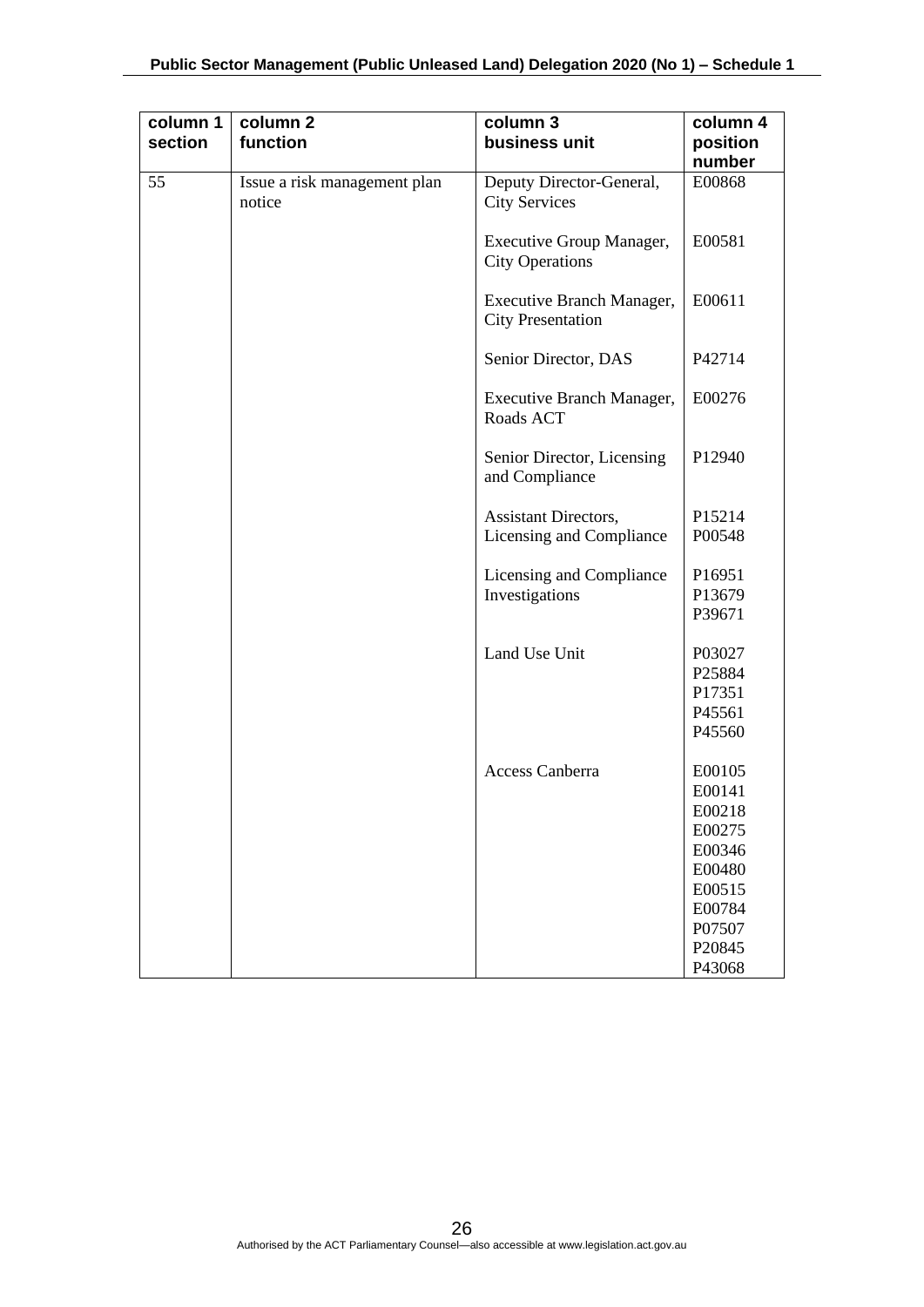| column 1<br>section | column <sub>2</sub><br>function        | column 3<br>business unit                             | column 4<br>position<br>number                                                                             |
|---------------------|----------------------------------------|-------------------------------------------------------|------------------------------------------------------------------------------------------------------------|
| 55                  | Issue a risk management plan<br>notice | Deputy Director-General,<br><b>City Services</b>      | E00868                                                                                                     |
|                     |                                        | Executive Group Manager,<br><b>City Operations</b>    | E00581                                                                                                     |
|                     |                                        | Executive Branch Manager,<br><b>City Presentation</b> | E00611                                                                                                     |
|                     |                                        | Senior Director, DAS                                  | P42714                                                                                                     |
|                     |                                        | Executive Branch Manager,<br>Roads ACT                | E00276                                                                                                     |
|                     |                                        | Senior Director, Licensing<br>and Compliance          | P12940                                                                                                     |
|                     |                                        | Assistant Directors,<br>Licensing and Compliance      | P15214<br>P00548                                                                                           |
|                     |                                        | Licensing and Compliance<br>Investigations            | P16951<br>P13679<br>P39671                                                                                 |
|                     |                                        | Land Use Unit                                         | P03027<br>P25884<br>P17351<br>P45561<br>P45560                                                             |
|                     |                                        | Access Canberra                                       | E00105<br>E00141<br>E00218<br>E00275<br>E00346<br>E00480<br>E00515<br>E00784<br>P07507<br>P20845<br>P43068 |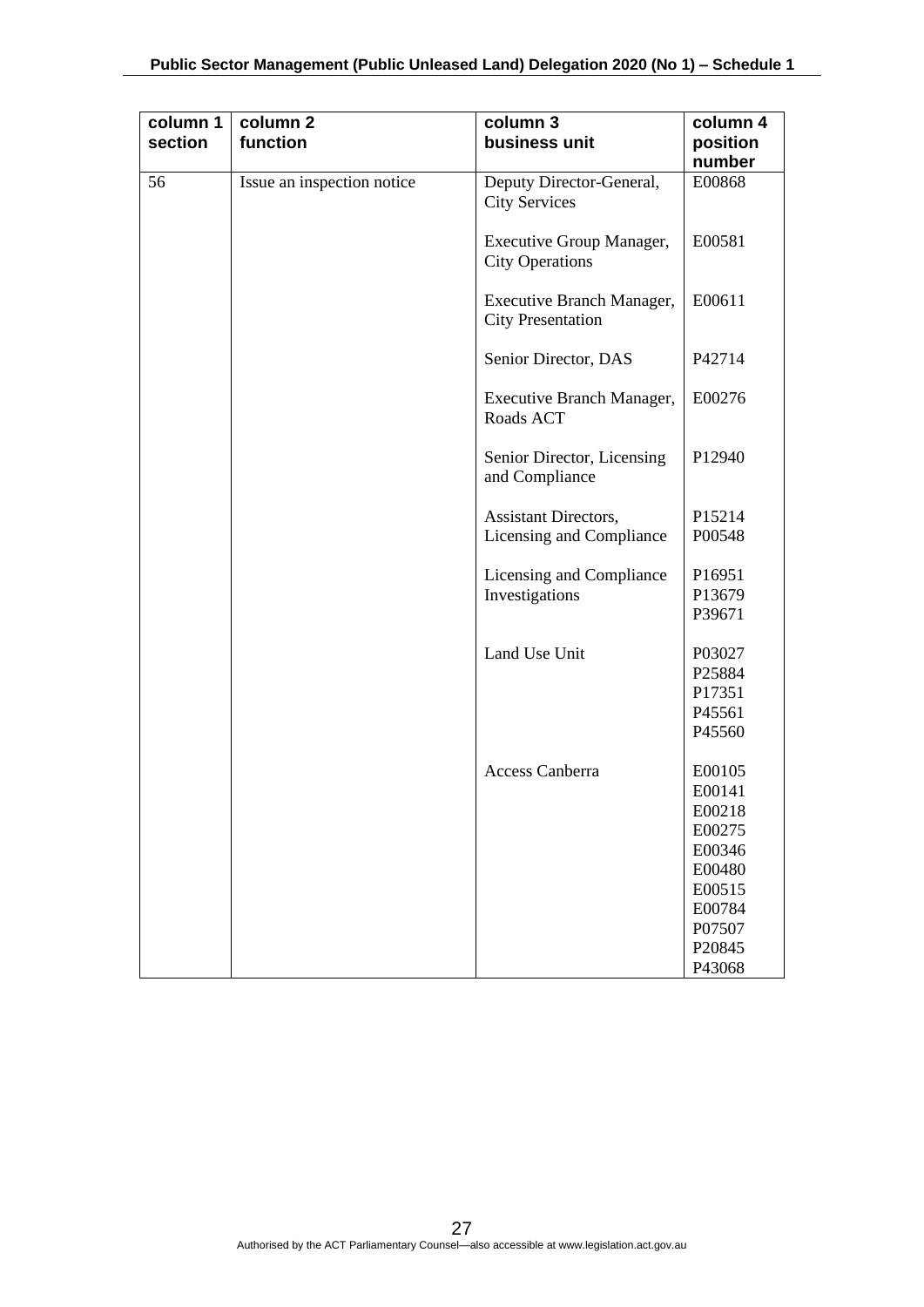| column 1<br>section | column <sub>2</sub><br>function | column 3<br>business unit                               | column 4<br>position                                                                                       |
|---------------------|---------------------------------|---------------------------------------------------------|------------------------------------------------------------------------------------------------------------|
|                     |                                 |                                                         | number                                                                                                     |
| 56                  | Issue an inspection notice      | Deputy Director-General,<br><b>City Services</b>        | E00868                                                                                                     |
|                     |                                 | Executive Group Manager,<br><b>City Operations</b>      | E00581                                                                                                     |
|                     |                                 | Executive Branch Manager,<br><b>City Presentation</b>   | E00611                                                                                                     |
|                     |                                 | Senior Director, DAS                                    | P42714                                                                                                     |
|                     |                                 | Executive Branch Manager,<br>Roads ACT                  | E00276                                                                                                     |
|                     |                                 | Senior Director, Licensing<br>and Compliance            | P12940                                                                                                     |
|                     |                                 | <b>Assistant Directors,</b><br>Licensing and Compliance | P15214<br>P00548                                                                                           |
|                     |                                 | Licensing and Compliance<br>Investigations              | P16951<br>P13679<br>P39671                                                                                 |
|                     |                                 | Land Use Unit                                           | P03027<br>P25884<br>P17351<br>P45561<br>P45560                                                             |
|                     |                                 | Access Canberra                                         | E00105<br>E00141<br>E00218<br>E00275<br>E00346<br>E00480<br>E00515<br>E00784<br>P07507<br>P20845<br>P43068 |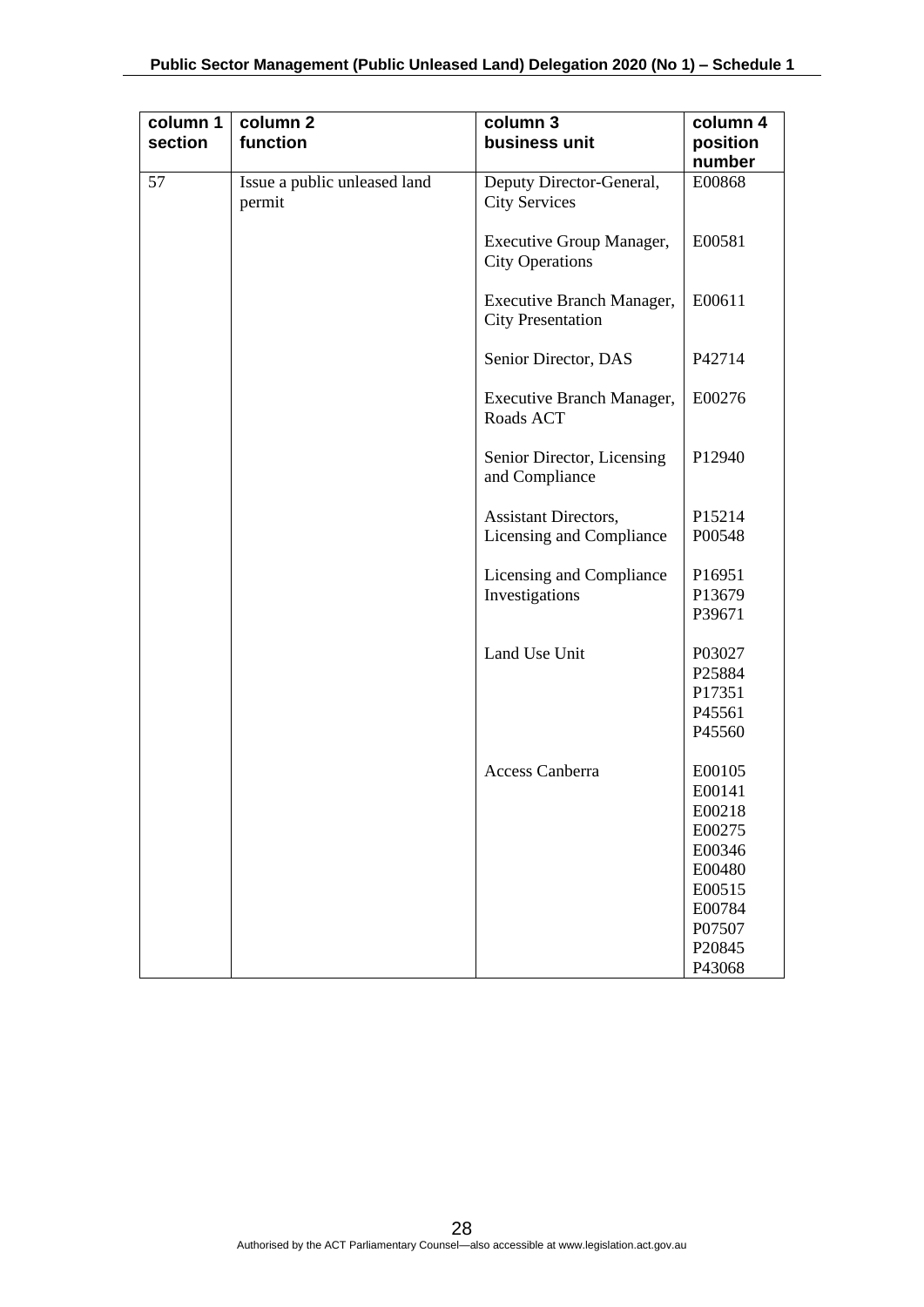| column 1<br>section | column <sub>2</sub><br>function        | column 3<br>business unit                             | column 4<br>position<br>number                                                                             |
|---------------------|----------------------------------------|-------------------------------------------------------|------------------------------------------------------------------------------------------------------------|
| 57                  | Issue a public unleased land<br>permit | Deputy Director-General,<br><b>City Services</b>      | E00868                                                                                                     |
|                     |                                        | Executive Group Manager,<br><b>City Operations</b>    | E00581                                                                                                     |
|                     |                                        | Executive Branch Manager,<br><b>City Presentation</b> | E00611                                                                                                     |
|                     |                                        | Senior Director, DAS                                  | P42714                                                                                                     |
|                     |                                        | Executive Branch Manager,<br>Roads ACT                | E00276                                                                                                     |
|                     |                                        | Senior Director, Licensing<br>and Compliance          | P12940                                                                                                     |
|                     |                                        | Assistant Directors,<br>Licensing and Compliance      | P15214<br>P00548                                                                                           |
|                     |                                        | Licensing and Compliance<br>Investigations            | P16951<br>P13679<br>P39671                                                                                 |
|                     |                                        | Land Use Unit                                         | P03027<br>P25884<br>P17351<br>P45561<br>P45560                                                             |
|                     |                                        | Access Canberra                                       | E00105<br>E00141<br>E00218<br>E00275<br>E00346<br>E00480<br>E00515<br>E00784<br>P07507<br>P20845<br>P43068 |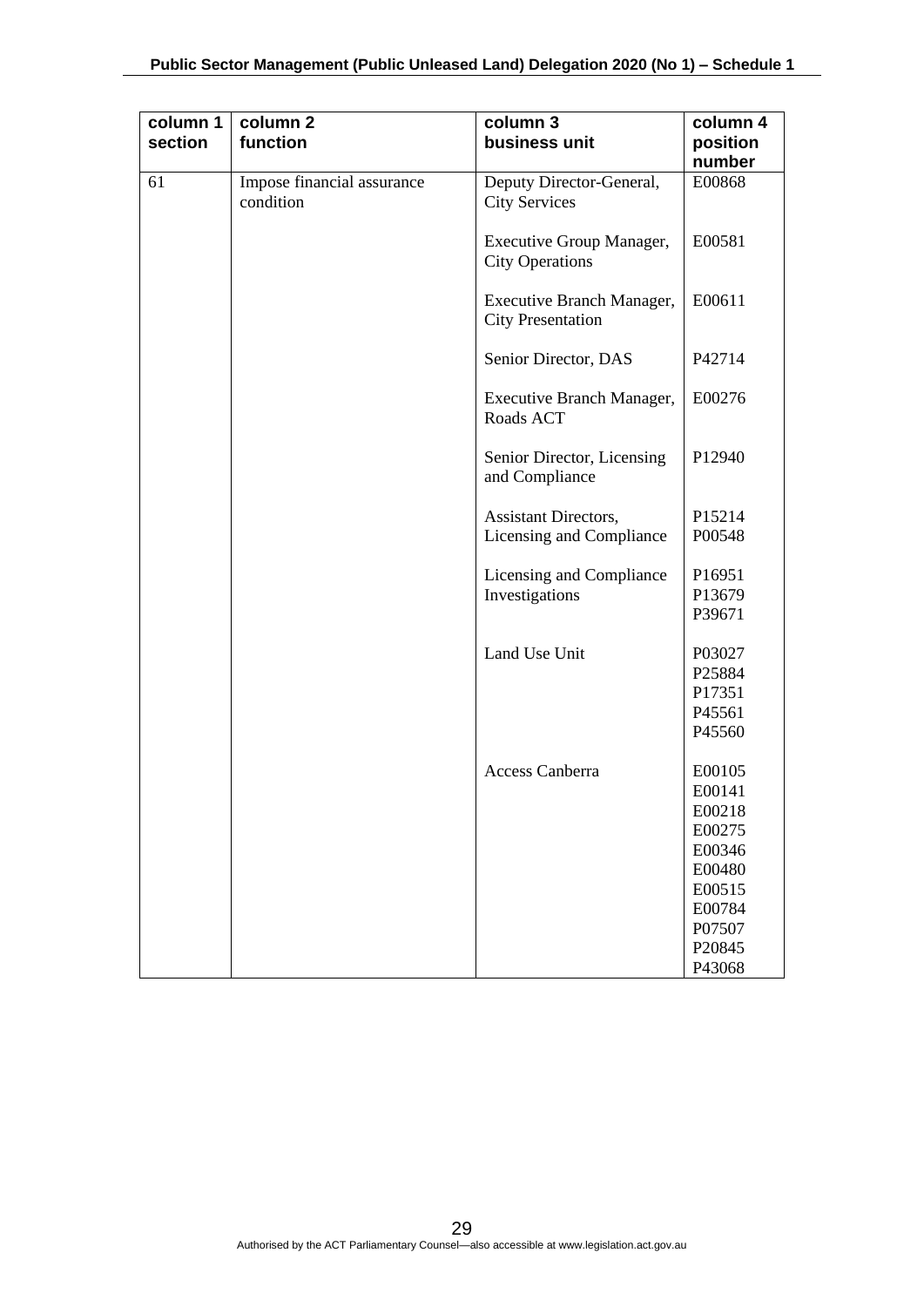| column 1<br>section | column <sub>2</sub><br>function         | column 3<br>business unit                               | column 4<br>position<br>number                                                                   |
|---------------------|-----------------------------------------|---------------------------------------------------------|--------------------------------------------------------------------------------------------------|
| 61                  | Impose financial assurance<br>condition | Deputy Director-General,<br><b>City Services</b>        | E00868                                                                                           |
|                     |                                         | Executive Group Manager,<br><b>City Operations</b>      | E00581                                                                                           |
|                     |                                         | Executive Branch Manager,<br><b>City Presentation</b>   | E00611                                                                                           |
|                     |                                         | Senior Director, DAS                                    | P42714                                                                                           |
|                     |                                         | Executive Branch Manager,<br>Roads ACT                  | E00276                                                                                           |
|                     |                                         | Senior Director, Licensing<br>and Compliance            | P12940                                                                                           |
|                     |                                         | <b>Assistant Directors,</b><br>Licensing and Compliance | P15214<br>P00548                                                                                 |
|                     |                                         | Licensing and Compliance<br>Investigations              | P16951<br>P13679<br>P39671                                                                       |
|                     |                                         | Land Use Unit                                           | P03027<br>P25884<br>P17351<br>P45561<br>P45560                                                   |
|                     |                                         | Access Canberra                                         | E00105<br>E00141<br>E00218<br>E00275<br>E00346<br>E00480<br>E00515<br>E00784<br>P07507<br>P20845 |
|                     |                                         |                                                         | P43068                                                                                           |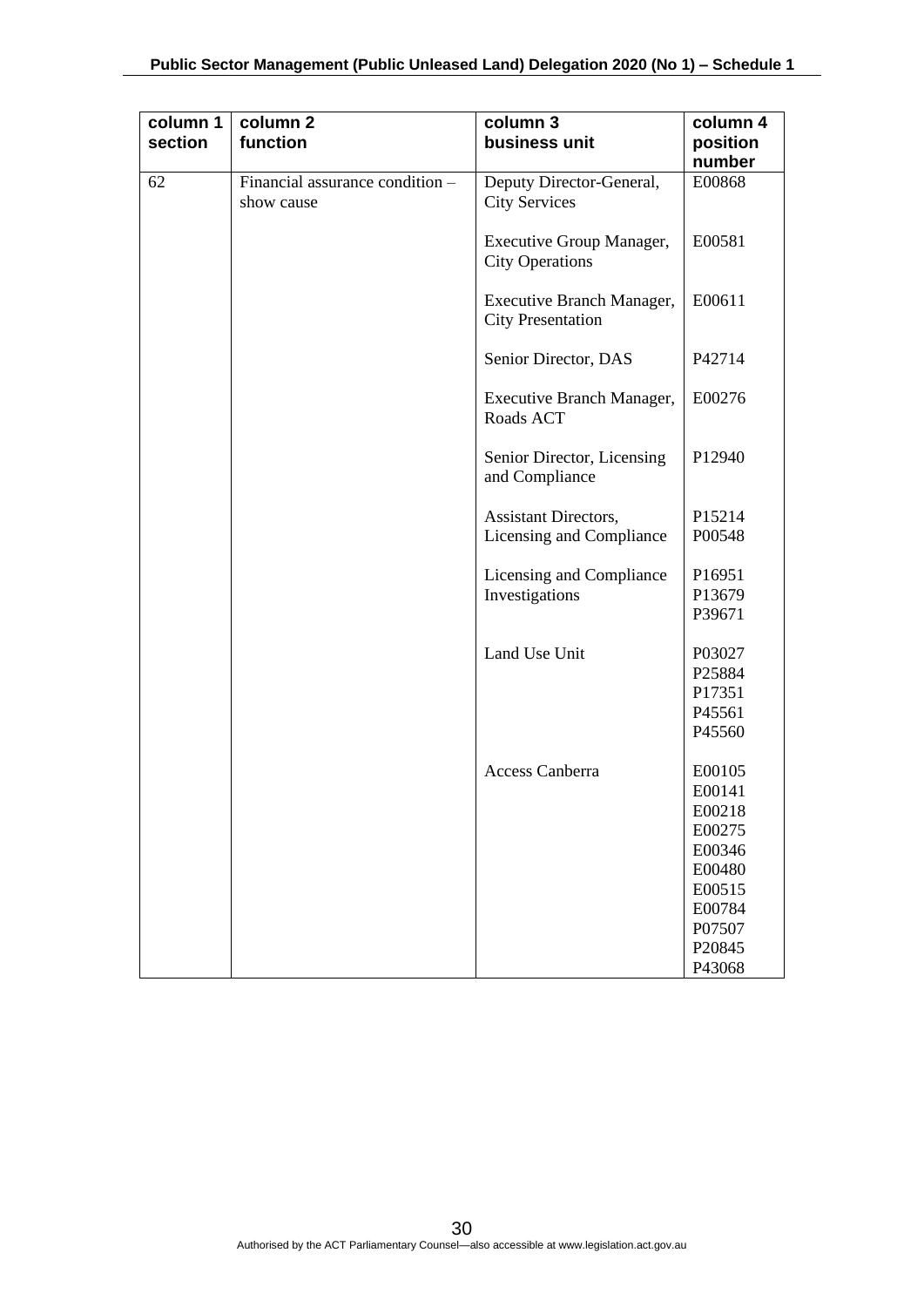| column 1<br>section | column <sub>2</sub><br>function               | column 3<br>business unit                               | column 4<br>position<br>number                                                                             |
|---------------------|-----------------------------------------------|---------------------------------------------------------|------------------------------------------------------------------------------------------------------------|
| 62                  | Financial assurance condition -<br>show cause | Deputy Director-General,<br><b>City Services</b>        | E00868                                                                                                     |
|                     |                                               | Executive Group Manager,<br><b>City Operations</b>      | E00581                                                                                                     |
|                     |                                               | Executive Branch Manager,<br><b>City Presentation</b>   | E00611                                                                                                     |
|                     |                                               | Senior Director, DAS                                    | P42714                                                                                                     |
|                     |                                               | Executive Branch Manager,<br>Roads ACT                  | E00276                                                                                                     |
|                     |                                               | Senior Director, Licensing<br>and Compliance            | P12940                                                                                                     |
|                     |                                               | <b>Assistant Directors,</b><br>Licensing and Compliance | P15214<br>P00548                                                                                           |
|                     |                                               | Licensing and Compliance<br>Investigations              | P16951<br>P13679<br>P39671                                                                                 |
|                     |                                               | Land Use Unit                                           | P03027<br>P25884<br>P17351<br>P45561<br>P45560                                                             |
|                     |                                               | <b>Access Canberra</b>                                  | E00105<br>E00141<br>E00218<br>E00275<br>E00346<br>E00480<br>E00515<br>E00784<br>P07507<br>P20845<br>P43068 |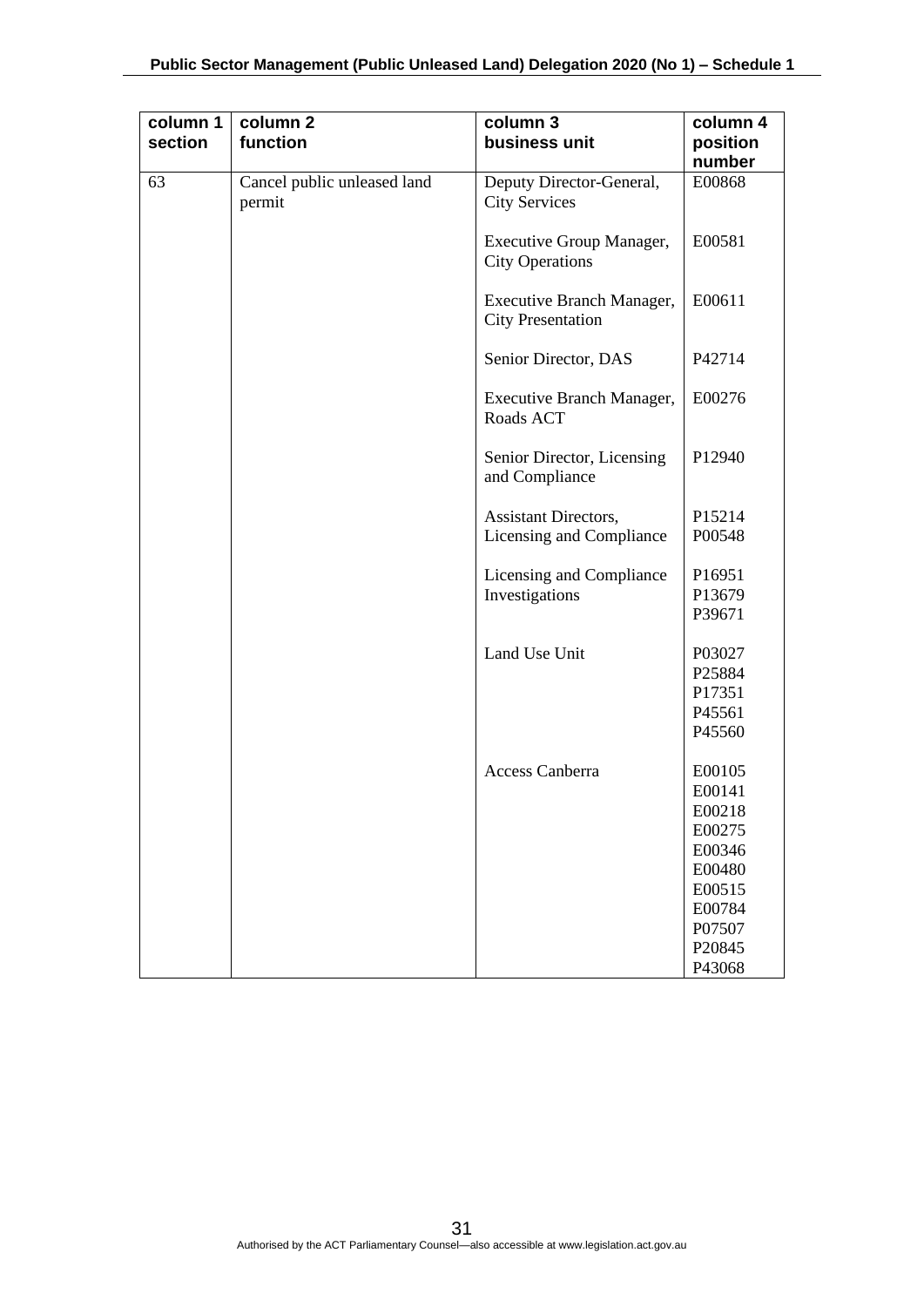| function                              | column 3<br>business unit                             | column 4<br>position<br>number                                                                             |
|---------------------------------------|-------------------------------------------------------|------------------------------------------------------------------------------------------------------------|
| Cancel public unleased land<br>permit | Deputy Director-General,<br><b>City Services</b>      | E00868                                                                                                     |
|                                       | Executive Group Manager,<br><b>City Operations</b>    | E00581                                                                                                     |
|                                       | Executive Branch Manager,<br><b>City Presentation</b> | E00611                                                                                                     |
|                                       | Senior Director, DAS                                  | P42714                                                                                                     |
|                                       | Executive Branch Manager,<br>Roads ACT                | E00276                                                                                                     |
|                                       | Senior Director, Licensing<br>and Compliance          | P12940                                                                                                     |
|                                       | Assistant Directors,<br>Licensing and Compliance      | P15214<br>P00548                                                                                           |
|                                       | Licensing and Compliance<br>Investigations            | P16951<br>P13679<br>P39671                                                                                 |
|                                       | Land Use Unit                                         | P03027<br>P25884<br>P17351<br>P45561<br>P45560                                                             |
|                                       | Access Canberra                                       | E00105<br>E00141<br>E00218<br>E00275<br>E00346<br>E00480<br>E00515<br>E00784<br>P07507<br>P20845<br>P43068 |
|                                       |                                                       |                                                                                                            |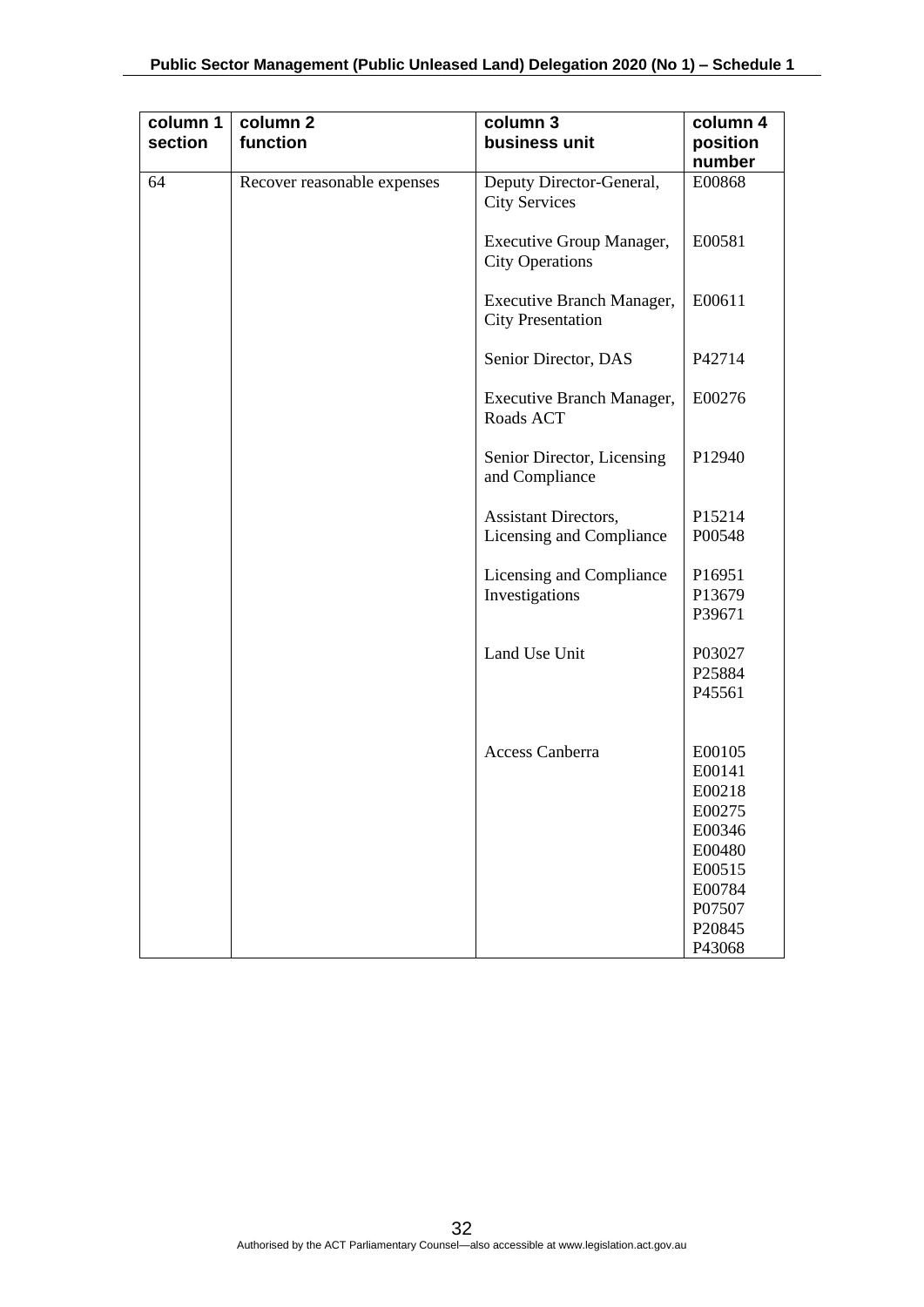| column 1<br>section | column 2<br>function        | column 3<br>business unit                             | column 4<br>position<br>number                                                                             |
|---------------------|-----------------------------|-------------------------------------------------------|------------------------------------------------------------------------------------------------------------|
| 64                  | Recover reasonable expenses | Deputy Director-General,<br><b>City Services</b>      | E00868                                                                                                     |
|                     |                             | Executive Group Manager,<br><b>City Operations</b>    | E00581                                                                                                     |
|                     |                             | Executive Branch Manager,<br><b>City Presentation</b> | E00611                                                                                                     |
|                     |                             | Senior Director, DAS                                  | P42714                                                                                                     |
|                     |                             | Executive Branch Manager,<br>Roads ACT                | E00276                                                                                                     |
|                     |                             | Senior Director, Licensing<br>and Compliance          | P12940                                                                                                     |
|                     |                             | <b>Assistant Directors,</b>                           | P15214                                                                                                     |
|                     |                             | Licensing and Compliance                              | P00548                                                                                                     |
|                     |                             | Licensing and Compliance<br>Investigations            | P16951<br>P13679<br>P39671                                                                                 |
|                     |                             | Land Use Unit                                         | P03027<br>P25884<br>P45561                                                                                 |
|                     |                             |                                                       |                                                                                                            |
|                     |                             | <b>Access Canberra</b>                                | E00105<br>E00141<br>E00218<br>E00275<br>E00346<br>E00480<br>E00515<br>E00784<br>P07507<br>P20845<br>P43068 |
|                     |                             |                                                       |                                                                                                            |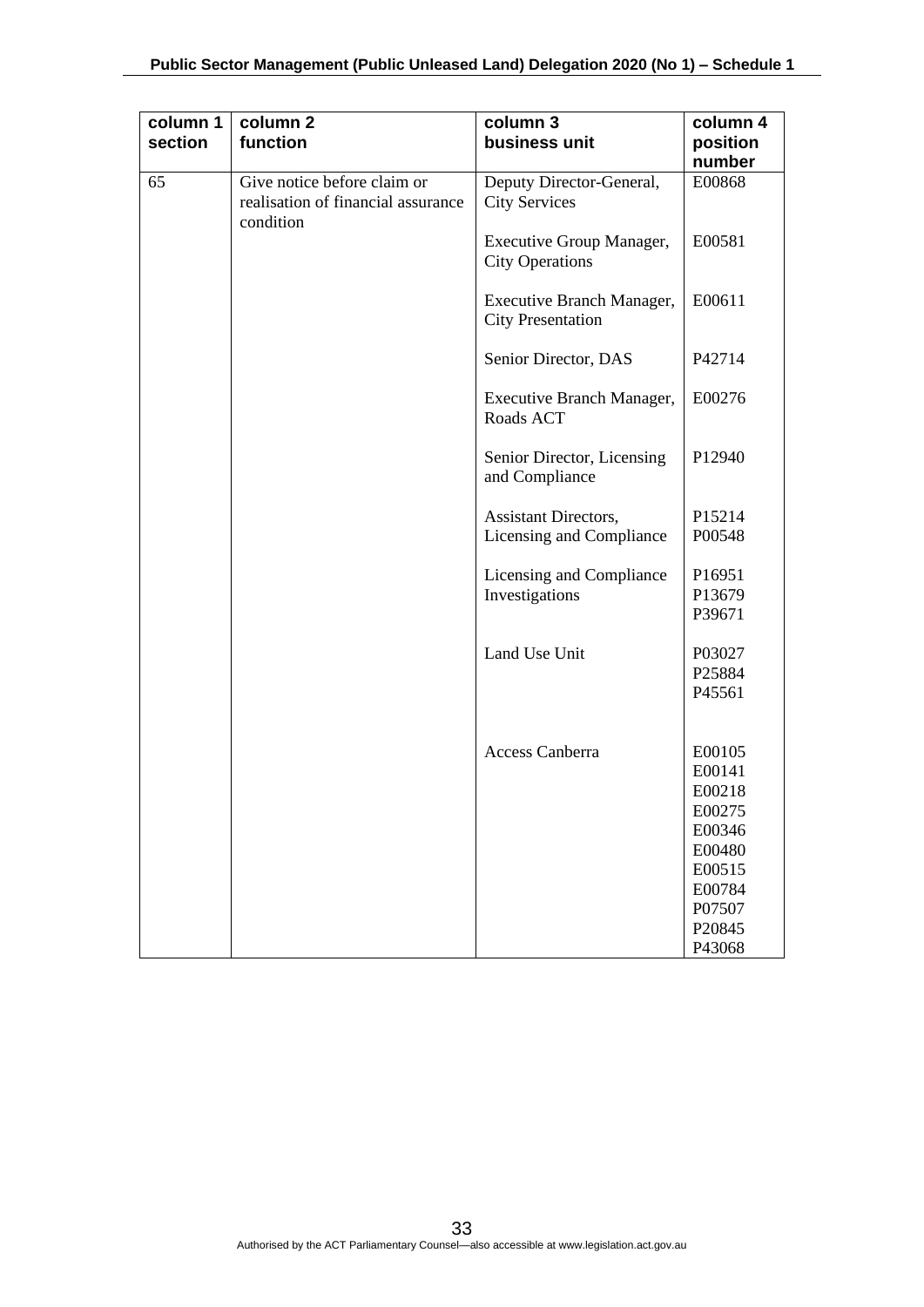| column 1<br>section | column <sub>2</sub><br>function                                                | column 3<br>business unit                                 | column 4<br>position<br>number |
|---------------------|--------------------------------------------------------------------------------|-----------------------------------------------------------|--------------------------------|
| 65                  | Give notice before claim or<br>realisation of financial assurance<br>condition | Deputy Director-General,<br><b>City Services</b>          | E00868                         |
|                     |                                                                                | <b>Executive Group Manager,</b><br><b>City Operations</b> | E00581                         |
|                     |                                                                                | Executive Branch Manager,<br><b>City Presentation</b>     | E00611                         |
|                     |                                                                                | Senior Director, DAS                                      | P42714                         |
|                     |                                                                                | Executive Branch Manager,<br>Roads ACT                    | E00276                         |
|                     |                                                                                | Senior Director, Licensing<br>and Compliance              | P12940                         |
|                     |                                                                                | Assistant Directors,                                      | P15214                         |
|                     |                                                                                | Licensing and Compliance                                  | P00548                         |
|                     |                                                                                | Licensing and Compliance                                  | P16951                         |
|                     |                                                                                | Investigations                                            | P13679                         |
|                     |                                                                                |                                                           | P39671                         |
|                     |                                                                                | Land Use Unit                                             | P03027                         |
|                     |                                                                                |                                                           | P25884                         |
|                     |                                                                                |                                                           | P45561                         |
|                     |                                                                                |                                                           |                                |
|                     |                                                                                | <b>Access Canberra</b>                                    | E00105                         |
|                     |                                                                                |                                                           | E00141<br>E00218               |
|                     |                                                                                |                                                           | E00275                         |
|                     |                                                                                |                                                           | E00346                         |
|                     |                                                                                |                                                           | E00480                         |
|                     |                                                                                |                                                           | E00515                         |
|                     |                                                                                |                                                           | E00784                         |
|                     |                                                                                |                                                           | P07507                         |
|                     |                                                                                |                                                           | P20845                         |
|                     |                                                                                |                                                           | P43068                         |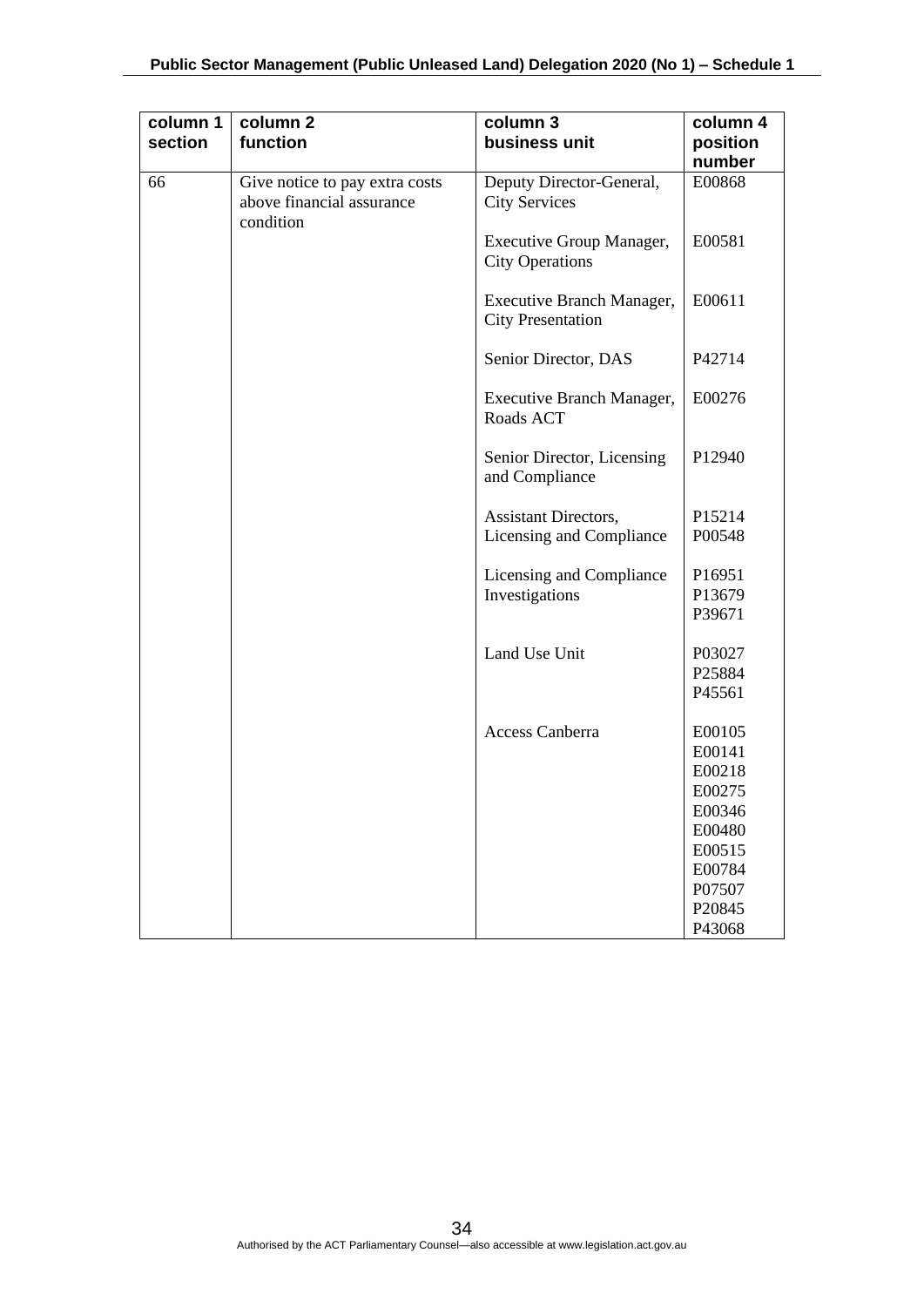| column 1<br>section | column <sub>2</sub><br>function                                          | column 3<br>business unit                                 | column 4<br>position<br>number |
|---------------------|--------------------------------------------------------------------------|-----------------------------------------------------------|--------------------------------|
| 66                  | Give notice to pay extra costs<br>above financial assurance<br>condition | Deputy Director-General,<br><b>City Services</b>          | E00868                         |
|                     |                                                                          | <b>Executive Group Manager,</b><br><b>City Operations</b> | E00581                         |
|                     |                                                                          | Executive Branch Manager,<br><b>City Presentation</b>     | E00611                         |
|                     |                                                                          | Senior Director, DAS                                      | P42714                         |
|                     |                                                                          | <b>Executive Branch Manager,</b><br>Roads ACT             | E00276                         |
|                     |                                                                          | Senior Director, Licensing<br>and Compliance              | P12940                         |
|                     |                                                                          | Assistant Directors,                                      | P15214                         |
|                     |                                                                          | Licensing and Compliance                                  | P00548                         |
|                     |                                                                          | Licensing and Compliance                                  | P16951                         |
|                     |                                                                          | Investigations                                            | P13679                         |
|                     |                                                                          |                                                           | P39671                         |
|                     |                                                                          | Land Use Unit                                             | P03027                         |
|                     |                                                                          |                                                           | P25884                         |
|                     |                                                                          |                                                           | P45561                         |
|                     |                                                                          | <b>Access Canberra</b>                                    | E00105                         |
|                     |                                                                          |                                                           | E00141                         |
|                     |                                                                          |                                                           | E00218                         |
|                     |                                                                          |                                                           | E00275                         |
|                     |                                                                          |                                                           | E00346                         |
|                     |                                                                          |                                                           | E00480                         |
|                     |                                                                          |                                                           | E00515                         |
|                     |                                                                          |                                                           | E00784                         |
|                     |                                                                          |                                                           | P07507<br>P20845               |
|                     |                                                                          |                                                           | P43068                         |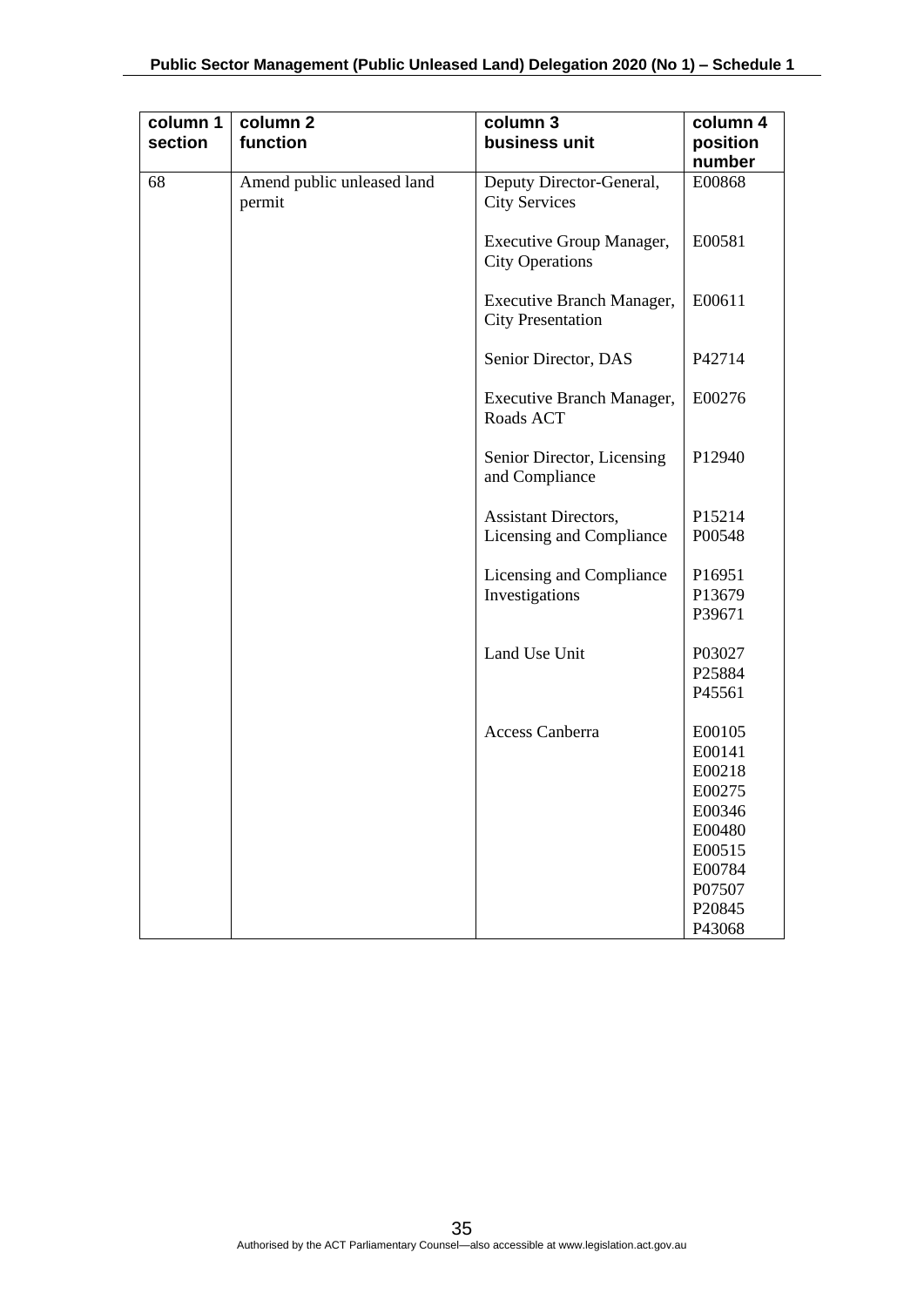| column 1<br>section | column <sub>2</sub><br>function      | column 3<br>business unit                                 | column 4<br>position |
|---------------------|--------------------------------------|-----------------------------------------------------------|----------------------|
|                     |                                      |                                                           | number               |
| 68                  | Amend public unleased land<br>permit | Deputy Director-General,<br><b>City Services</b>          | E00868               |
|                     |                                      | <b>Executive Group Manager,</b><br><b>City Operations</b> | E00581               |
|                     |                                      | Executive Branch Manager,<br><b>City Presentation</b>     | E00611               |
|                     |                                      | Senior Director, DAS                                      | P42714               |
|                     |                                      | Executive Branch Manager,<br>Roads ACT                    | E00276               |
|                     |                                      | Senior Director, Licensing<br>and Compliance              | P12940               |
|                     |                                      | <b>Assistant Directors,</b>                               | P15214               |
|                     |                                      | Licensing and Compliance                                  | P00548               |
|                     |                                      | Licensing and Compliance                                  | P16951               |
|                     |                                      | Investigations                                            | P13679               |
|                     |                                      |                                                           | P39671               |
|                     |                                      | Land Use Unit                                             | P03027               |
|                     |                                      |                                                           | P25884               |
|                     |                                      |                                                           | P45561               |
|                     |                                      | <b>Access Canberra</b>                                    | E00105               |
|                     |                                      |                                                           | E00141               |
|                     |                                      |                                                           | E00218               |
|                     |                                      |                                                           | E00275               |
|                     |                                      |                                                           | E00346               |
|                     |                                      |                                                           | E00480               |
|                     |                                      |                                                           | E00515               |
|                     |                                      |                                                           | E00784               |
|                     |                                      |                                                           | P07507               |
|                     |                                      |                                                           | P20845               |
|                     |                                      |                                                           | P43068               |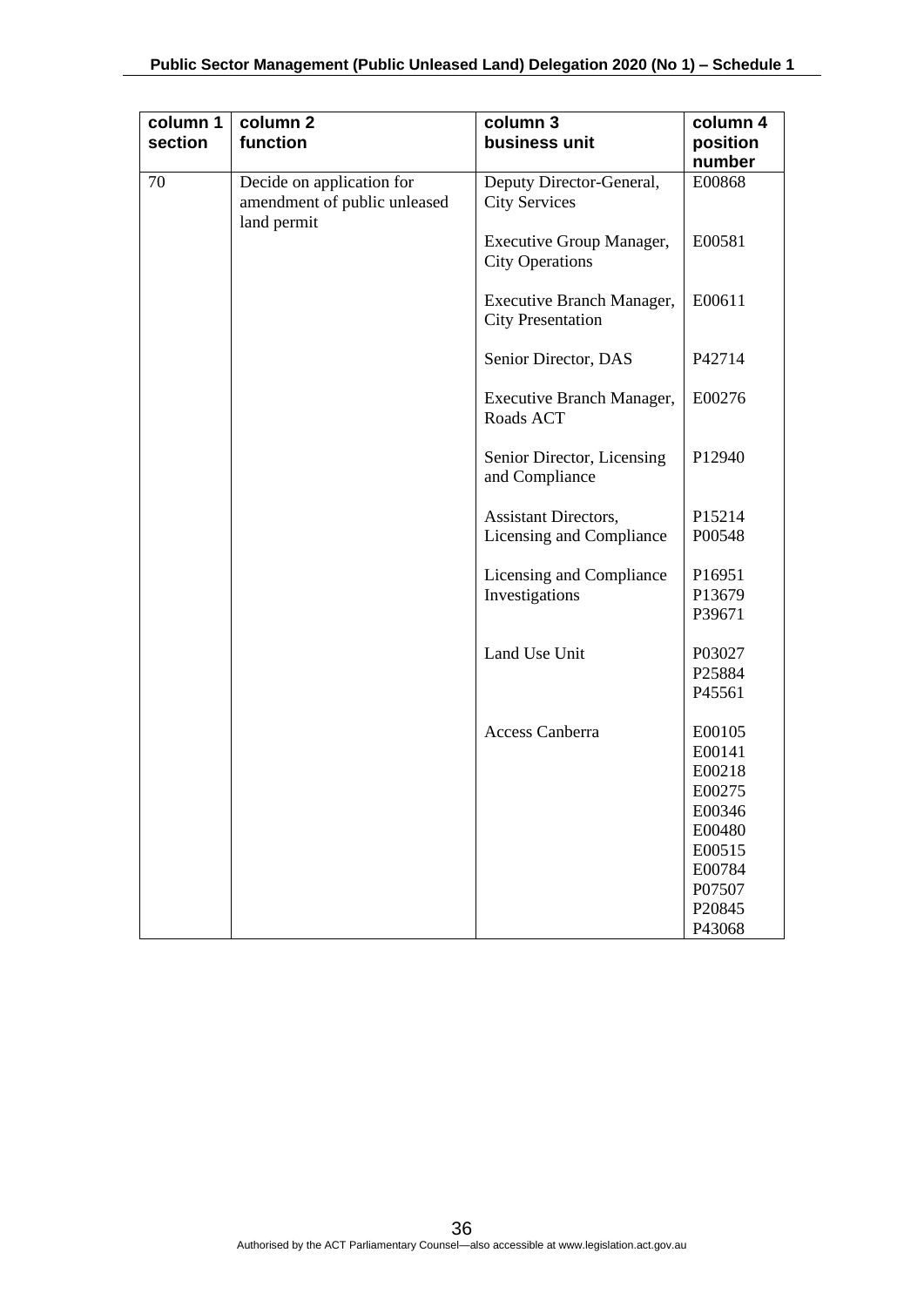| column 1<br>section | column 2<br>function                                                     | column 3<br>business unit                                 | column 4<br>position |
|---------------------|--------------------------------------------------------------------------|-----------------------------------------------------------|----------------------|
|                     |                                                                          |                                                           | number               |
| 70                  | Decide on application for<br>amendment of public unleased<br>land permit | Deputy Director-General,<br><b>City Services</b>          | E00868               |
|                     |                                                                          | <b>Executive Group Manager,</b><br><b>City Operations</b> | E00581               |
|                     |                                                                          | Executive Branch Manager,<br><b>City Presentation</b>     | E00611               |
|                     |                                                                          | Senior Director, DAS                                      | P42714               |
|                     |                                                                          | <b>Executive Branch Manager,</b><br>Roads ACT             | E00276               |
|                     |                                                                          | Senior Director, Licensing<br>and Compliance              | P12940               |
|                     |                                                                          | <b>Assistant Directors,</b>                               | P15214               |
|                     |                                                                          | Licensing and Compliance                                  | P00548               |
|                     |                                                                          | Licensing and Compliance                                  | P16951               |
|                     |                                                                          | Investigations                                            | P13679               |
|                     |                                                                          |                                                           | P39671               |
|                     |                                                                          | Land Use Unit                                             | P03027               |
|                     |                                                                          |                                                           | P25884               |
|                     |                                                                          |                                                           | P45561               |
|                     |                                                                          | Access Canberra                                           | E00105               |
|                     |                                                                          |                                                           | E00141               |
|                     |                                                                          |                                                           | E00218               |
|                     |                                                                          |                                                           | E00275               |
|                     |                                                                          |                                                           | E00346               |
|                     |                                                                          |                                                           | E00480               |
|                     |                                                                          |                                                           | E00515               |
|                     |                                                                          |                                                           | E00784               |
|                     |                                                                          |                                                           | P07507               |
|                     |                                                                          |                                                           | P20845<br>P43068     |
|                     |                                                                          |                                                           |                      |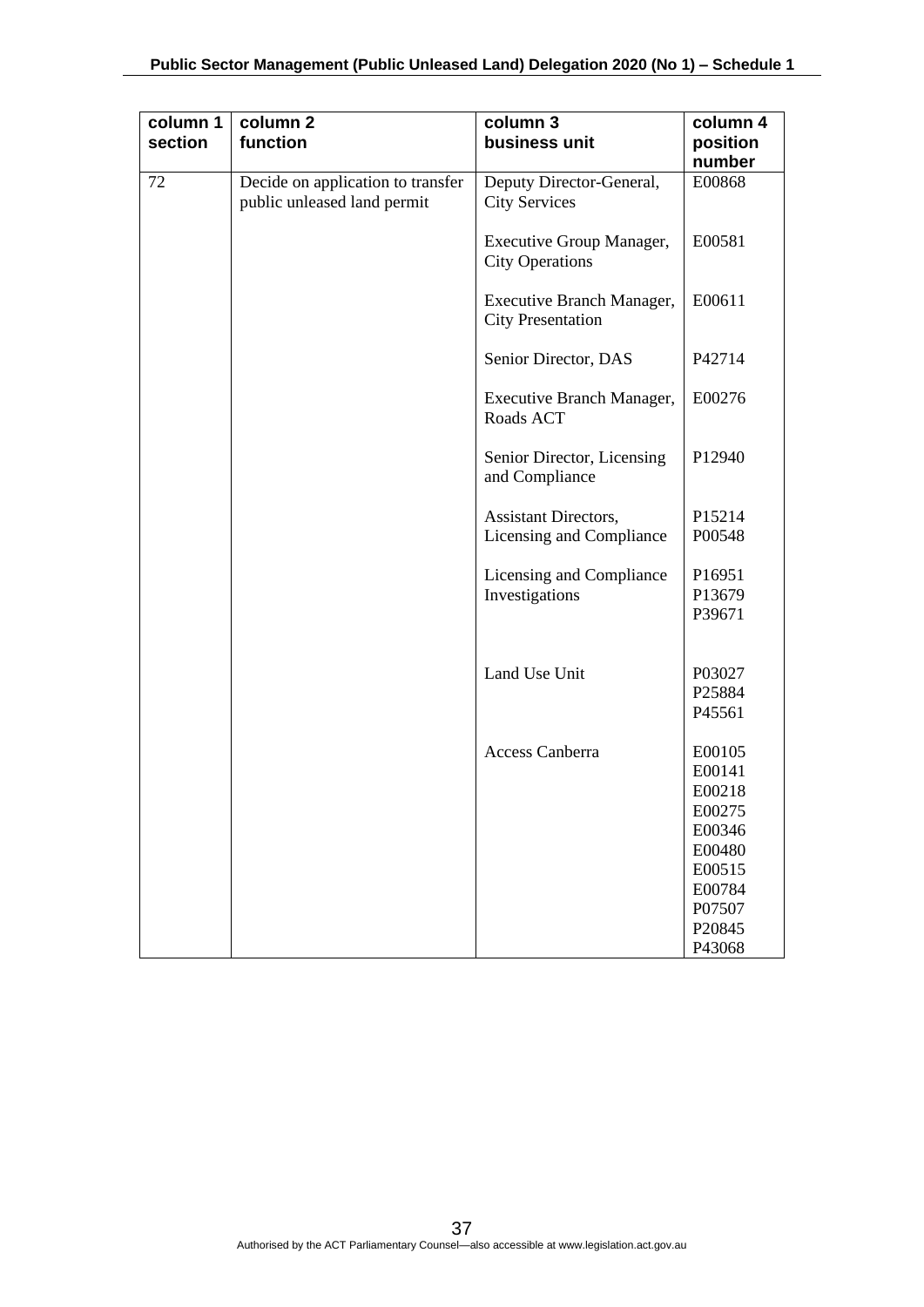| column 1<br>section | column <sub>2</sub><br>function                                  | column 3<br>business unit                                 | column 4<br>position<br>number |
|---------------------|------------------------------------------------------------------|-----------------------------------------------------------|--------------------------------|
| 72                  | Decide on application to transfer<br>public unleased land permit | Deputy Director-General,<br><b>City Services</b>          | E00868                         |
|                     |                                                                  | <b>Executive Group Manager,</b><br><b>City Operations</b> | E00581                         |
|                     |                                                                  | Executive Branch Manager,<br><b>City Presentation</b>     | E00611                         |
|                     |                                                                  | Senior Director, DAS                                      | P42714                         |
|                     |                                                                  | Executive Branch Manager,<br>Roads ACT                    | E00276                         |
|                     |                                                                  | Senior Director, Licensing<br>and Compliance              | P12940                         |
|                     |                                                                  | Assistant Directors,                                      | P15214                         |
|                     |                                                                  | Licensing and Compliance                                  | P00548                         |
|                     |                                                                  |                                                           |                                |
|                     |                                                                  | Licensing and Compliance                                  | P16951                         |
|                     |                                                                  | Investigations                                            | P13679                         |
|                     |                                                                  |                                                           | P39671                         |
|                     |                                                                  |                                                           |                                |
|                     |                                                                  |                                                           |                                |
|                     |                                                                  | Land Use Unit                                             | P03027                         |
|                     |                                                                  |                                                           | P25884                         |
|                     |                                                                  |                                                           | P45561                         |
|                     |                                                                  | <b>Access Canberra</b>                                    | E00105                         |
|                     |                                                                  |                                                           | E00141                         |
|                     |                                                                  |                                                           | E00218                         |
|                     |                                                                  |                                                           | E00275                         |
|                     |                                                                  |                                                           | E00346                         |
|                     |                                                                  |                                                           | E00480                         |
|                     |                                                                  |                                                           | E00515                         |
|                     |                                                                  |                                                           | E00784                         |
|                     |                                                                  |                                                           | P07507                         |
|                     |                                                                  |                                                           | P20845                         |
|                     |                                                                  |                                                           | P43068                         |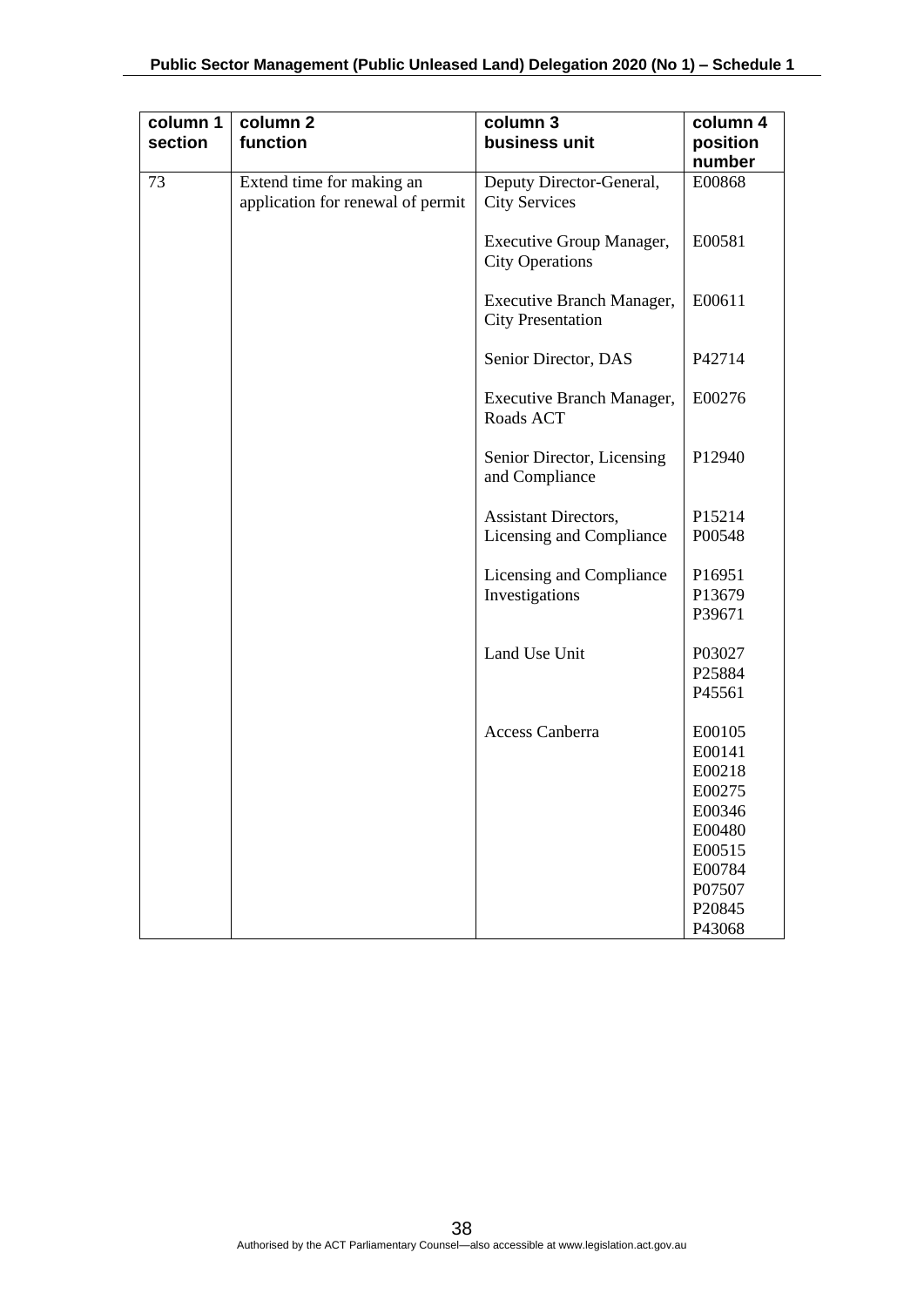| column 1<br>section | column <sub>2</sub><br>function                                | column 3<br>business unit                                 | column 4<br>position |
|---------------------|----------------------------------------------------------------|-----------------------------------------------------------|----------------------|
|                     |                                                                |                                                           | number               |
| 73                  | Extend time for making an<br>application for renewal of permit | Deputy Director-General,<br><b>City Services</b>          | E00868               |
|                     |                                                                | <b>Executive Group Manager,</b><br><b>City Operations</b> | E00581               |
|                     |                                                                | Executive Branch Manager,<br><b>City Presentation</b>     | E00611               |
|                     |                                                                | Senior Director, DAS                                      | P42714               |
|                     |                                                                | Executive Branch Manager,<br>Roads ACT                    | E00276               |
|                     |                                                                | Senior Director, Licensing<br>and Compliance              | P12940               |
|                     |                                                                | Assistant Directors,                                      | P15214               |
|                     |                                                                | Licensing and Compliance                                  | P00548               |
|                     |                                                                | Licensing and Compliance                                  | P16951               |
|                     |                                                                | Investigations                                            | P13679               |
|                     |                                                                |                                                           | P39671               |
|                     |                                                                | Land Use Unit                                             | P03027               |
|                     |                                                                |                                                           | P25884               |
|                     |                                                                |                                                           | P45561               |
|                     |                                                                | Access Canberra                                           | E00105               |
|                     |                                                                |                                                           | E00141               |
|                     |                                                                |                                                           | E00218               |
|                     |                                                                |                                                           | E00275               |
|                     |                                                                |                                                           | E00346               |
|                     |                                                                |                                                           | E00480               |
|                     |                                                                |                                                           | E00515               |
|                     |                                                                |                                                           | E00784               |
|                     |                                                                |                                                           | P07507               |
|                     |                                                                |                                                           | P20845               |
|                     |                                                                |                                                           | P43068               |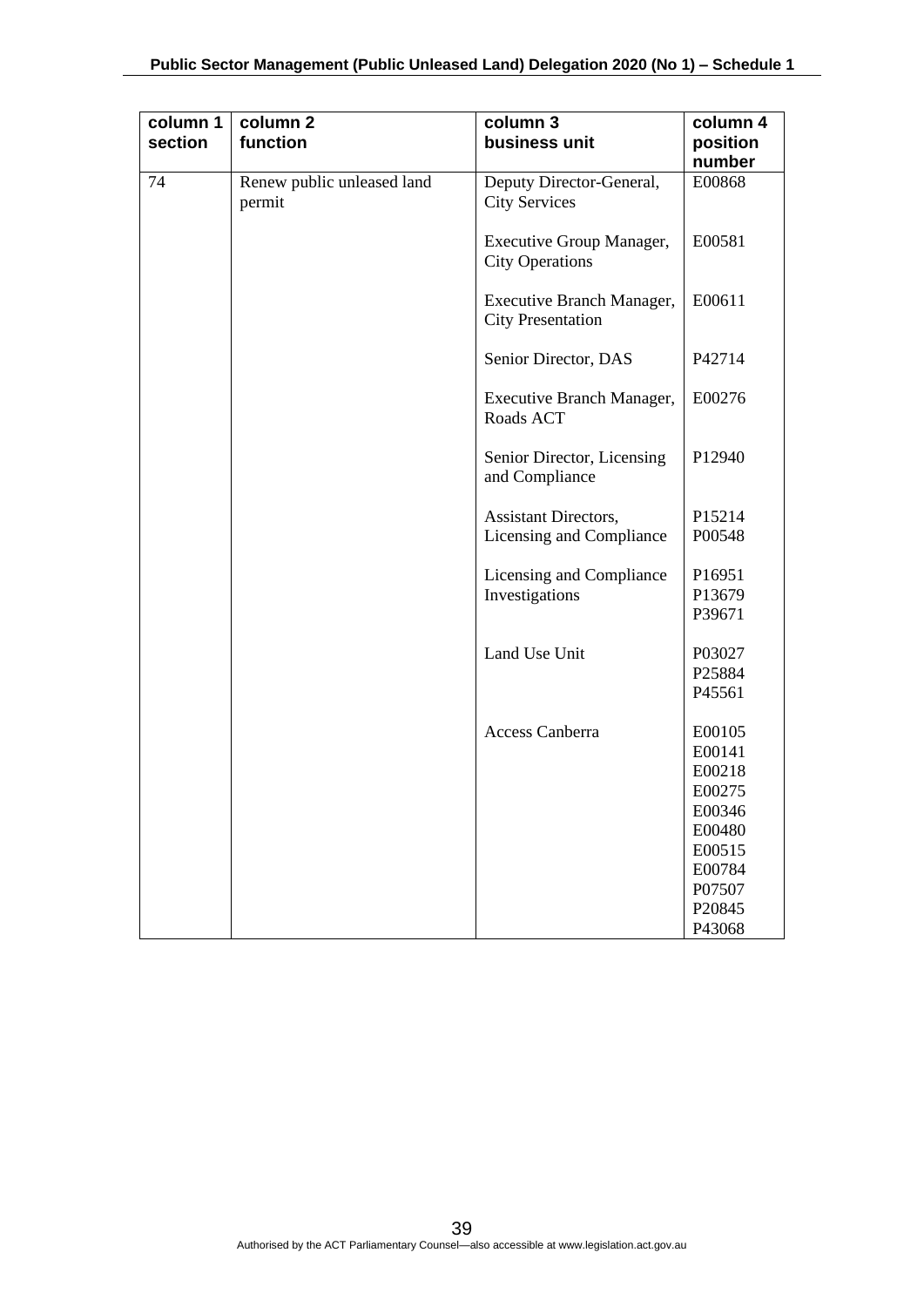| column 1<br>section | column 2<br>function                 | column 3<br>business unit                                 | column 4<br>position |
|---------------------|--------------------------------------|-----------------------------------------------------------|----------------------|
|                     |                                      |                                                           | number               |
| 74                  | Renew public unleased land<br>permit | Deputy Director-General,<br><b>City Services</b>          | E00868               |
|                     |                                      | <b>Executive Group Manager,</b><br><b>City Operations</b> | E00581               |
|                     |                                      | Executive Branch Manager,<br><b>City Presentation</b>     | E00611               |
|                     |                                      | Senior Director, DAS                                      | P42714               |
|                     |                                      | Executive Branch Manager,<br>Roads ACT                    | E00276               |
|                     |                                      | Senior Director, Licensing<br>and Compliance              | P12940               |
|                     |                                      | <b>Assistant Directors,</b>                               | P15214               |
|                     |                                      | Licensing and Compliance                                  | P00548               |
|                     |                                      | Licensing and Compliance                                  | P16951               |
|                     |                                      | Investigations                                            | P13679               |
|                     |                                      |                                                           | P39671               |
|                     |                                      | Land Use Unit                                             | P03027               |
|                     |                                      |                                                           | P25884               |
|                     |                                      |                                                           | P45561               |
|                     |                                      | Access Canberra                                           | E00105               |
|                     |                                      |                                                           | E00141               |
|                     |                                      |                                                           | E00218               |
|                     |                                      |                                                           | E00275               |
|                     |                                      |                                                           | E00346               |
|                     |                                      |                                                           | E00480               |
|                     |                                      |                                                           | E00515<br>E00784     |
|                     |                                      |                                                           | P07507               |
|                     |                                      |                                                           | P20845               |
|                     |                                      |                                                           | P43068               |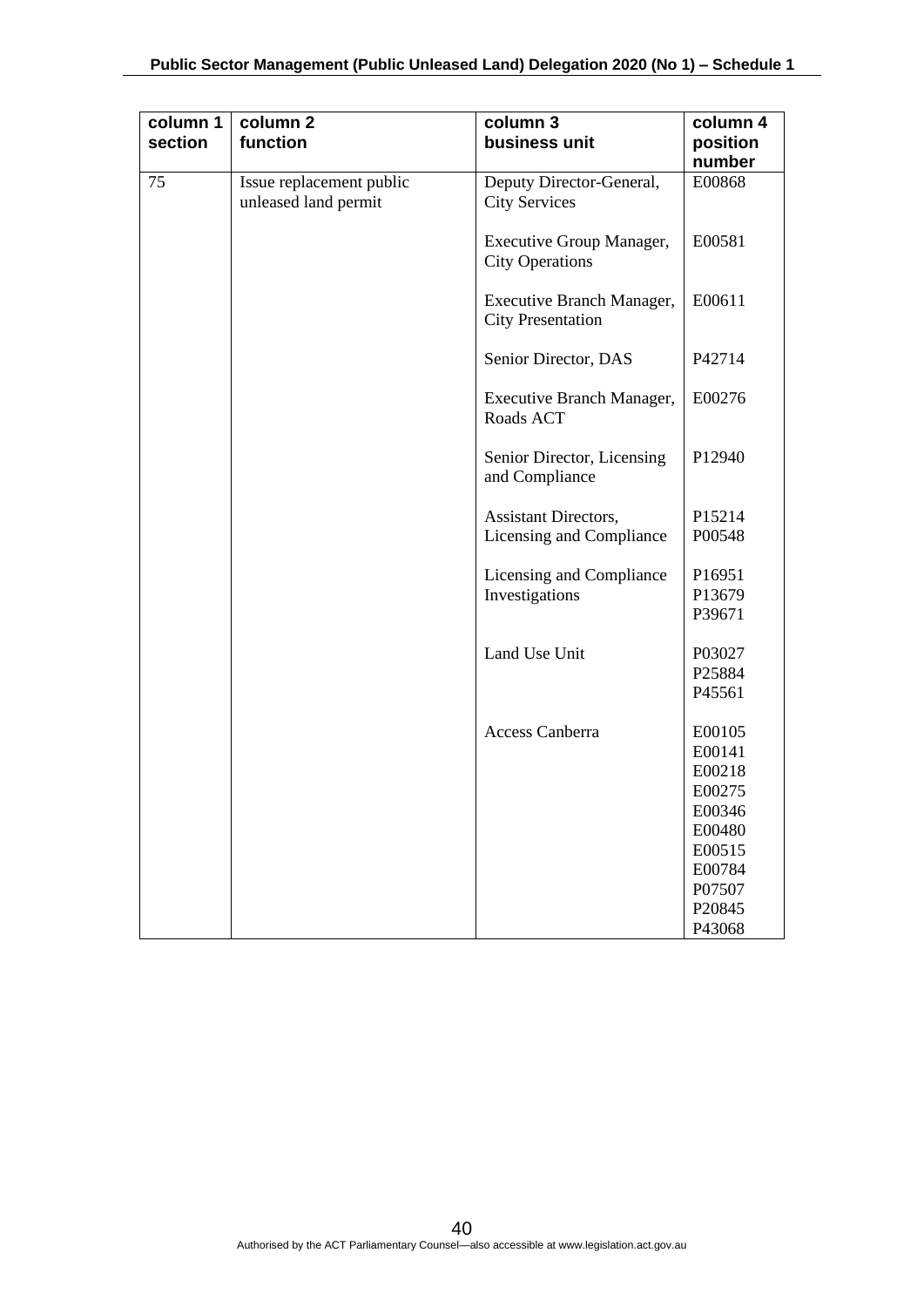| column 1<br>section | column <sub>2</sub><br>function                  | column 3<br>business unit                                 | column 4<br>position<br>number                                                                             |
|---------------------|--------------------------------------------------|-----------------------------------------------------------|------------------------------------------------------------------------------------------------------------|
| 75                  | Issue replacement public<br>unleased land permit | Deputy Director-General,<br><b>City Services</b>          | E00868                                                                                                     |
|                     |                                                  | <b>Executive Group Manager,</b><br><b>City Operations</b> | E00581                                                                                                     |
|                     |                                                  | Executive Branch Manager,<br><b>City Presentation</b>     | E00611                                                                                                     |
|                     |                                                  | Senior Director, DAS                                      | P42714                                                                                                     |
|                     |                                                  | Executive Branch Manager,<br>Roads ACT                    | E00276                                                                                                     |
|                     |                                                  | Senior Director, Licensing<br>and Compliance              | P12940                                                                                                     |
|                     |                                                  | Assistant Directors,<br>Licensing and Compliance          | P15214<br>P00548                                                                                           |
|                     |                                                  | Licensing and Compliance<br>Investigations                | P16951<br>P13679<br>P39671                                                                                 |
|                     |                                                  | Land Use Unit                                             | P03027<br>P25884<br>P45561                                                                                 |
|                     |                                                  | Access Canberra                                           | E00105<br>E00141<br>E00218<br>E00275<br>E00346<br>E00480<br>E00515<br>E00784<br>P07507<br>P20845<br>P43068 |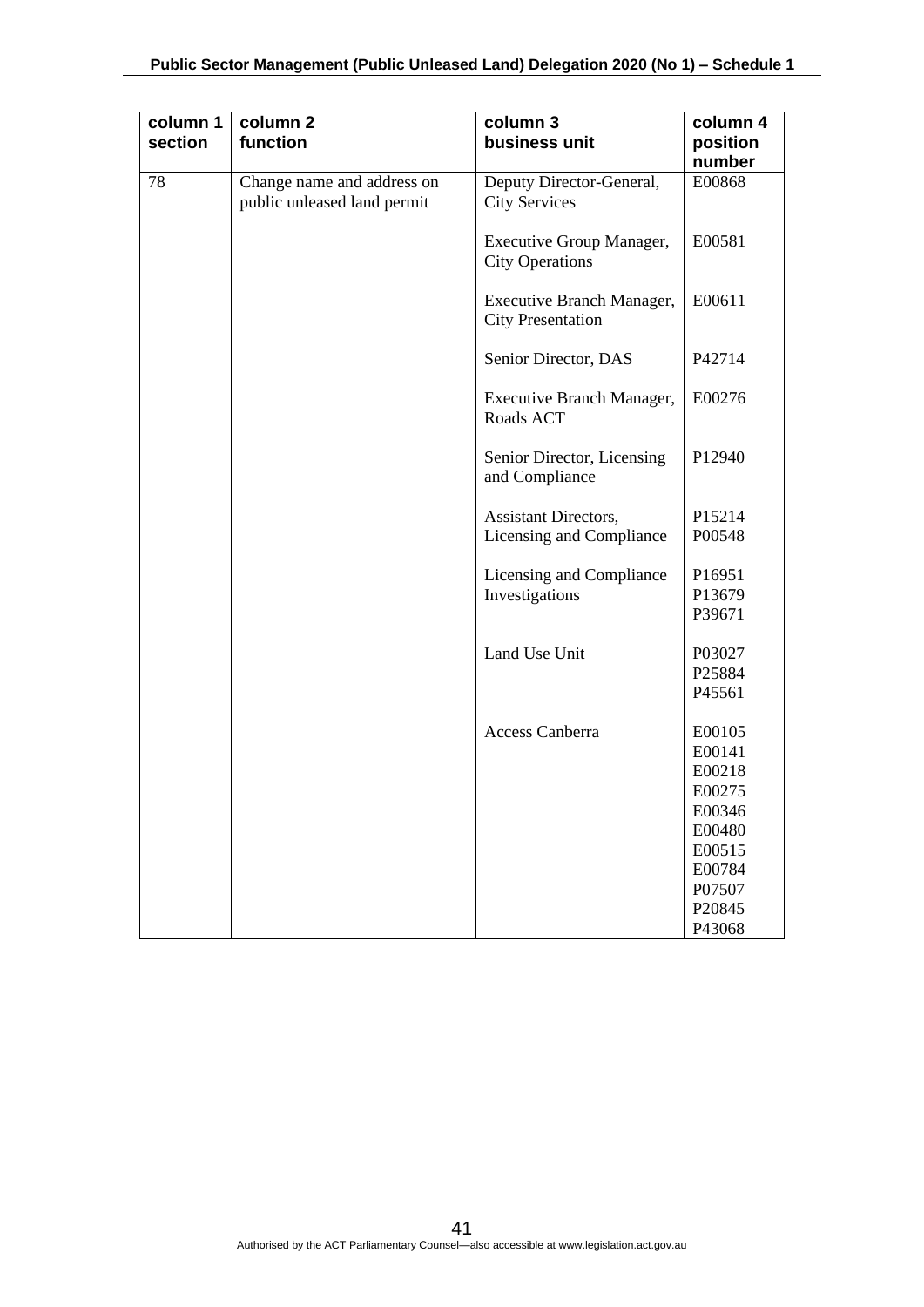| column 1<br>section | column <sub>2</sub><br>function                           | column 3<br>business unit                                 | column 4<br>position |
|---------------------|-----------------------------------------------------------|-----------------------------------------------------------|----------------------|
|                     |                                                           |                                                           | number               |
| 78                  | Change name and address on<br>public unleased land permit | Deputy Director-General,<br><b>City Services</b>          | E00868               |
|                     |                                                           | <b>Executive Group Manager,</b><br><b>City Operations</b> | E00581               |
|                     |                                                           | Executive Branch Manager,<br><b>City Presentation</b>     | E00611               |
|                     |                                                           | Senior Director, DAS                                      | P42714               |
|                     |                                                           | <b>Executive Branch Manager,</b><br>Roads ACT             | E00276               |
|                     |                                                           | Senior Director, Licensing<br>and Compliance              | P12940               |
|                     |                                                           | Assistant Directors,                                      | P15214               |
|                     |                                                           | Licensing and Compliance                                  | P00548               |
|                     |                                                           | Licensing and Compliance                                  | P16951               |
|                     |                                                           | Investigations                                            | P13679               |
|                     |                                                           |                                                           | P39671               |
|                     |                                                           | Land Use Unit                                             | P03027               |
|                     |                                                           |                                                           | P25884               |
|                     |                                                           |                                                           | P45561               |
|                     |                                                           | Access Canberra                                           | E00105               |
|                     |                                                           |                                                           | E00141               |
|                     |                                                           |                                                           | E00218               |
|                     |                                                           |                                                           | E00275               |
|                     |                                                           |                                                           | E00346               |
|                     |                                                           |                                                           | E00480               |
|                     |                                                           |                                                           | E00515               |
|                     |                                                           |                                                           | E00784<br>P07507     |
|                     |                                                           |                                                           | P20845               |
|                     |                                                           |                                                           | P43068               |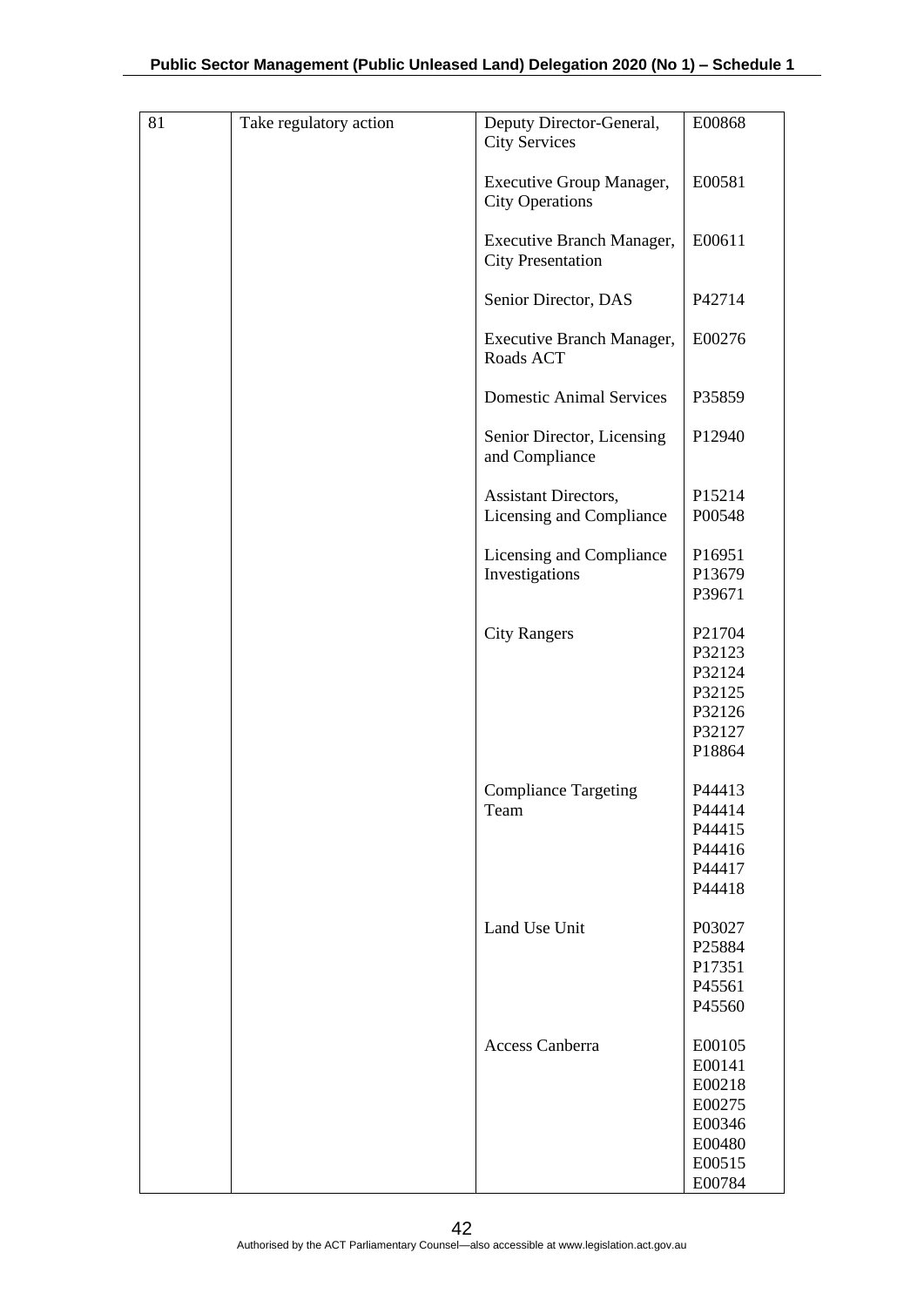| 81 | Take regulatory action | Deputy Director-General,<br><b>City Services</b>      | E00868                                                                       |
|----|------------------------|-------------------------------------------------------|------------------------------------------------------------------------------|
|    |                        | Executive Group Manager,<br><b>City Operations</b>    | E00581                                                                       |
|    |                        | Executive Branch Manager,<br><b>City Presentation</b> | E00611                                                                       |
|    |                        | Senior Director, DAS                                  | P42714                                                                       |
|    |                        | Executive Branch Manager,<br>Roads ACT                | E00276                                                                       |
|    |                        | <b>Domestic Animal Services</b>                       | P35859                                                                       |
|    |                        | Senior Director, Licensing<br>and Compliance          | P12940                                                                       |
|    |                        | Assistant Directors,<br>Licensing and Compliance      | P15214<br>P00548                                                             |
|    |                        | Licensing and Compliance<br>Investigations            | P16951<br>P13679<br>P39671                                                   |
|    |                        | <b>City Rangers</b>                                   | P21704<br>P32123<br>P32124<br>P32125<br>P32126<br>P32127<br>P18864           |
|    |                        | <b>Compliance Targeting</b><br>Team                   | P44413<br>P44414<br>P44415<br>P44416<br>P44417<br>P44418                     |
|    |                        | Land Use Unit                                         | P03027<br>P25884<br>P17351<br>P45561<br>P45560                               |
|    |                        | Access Canberra                                       | E00105<br>E00141<br>E00218<br>E00275<br>E00346<br>E00480<br>E00515<br>E00784 |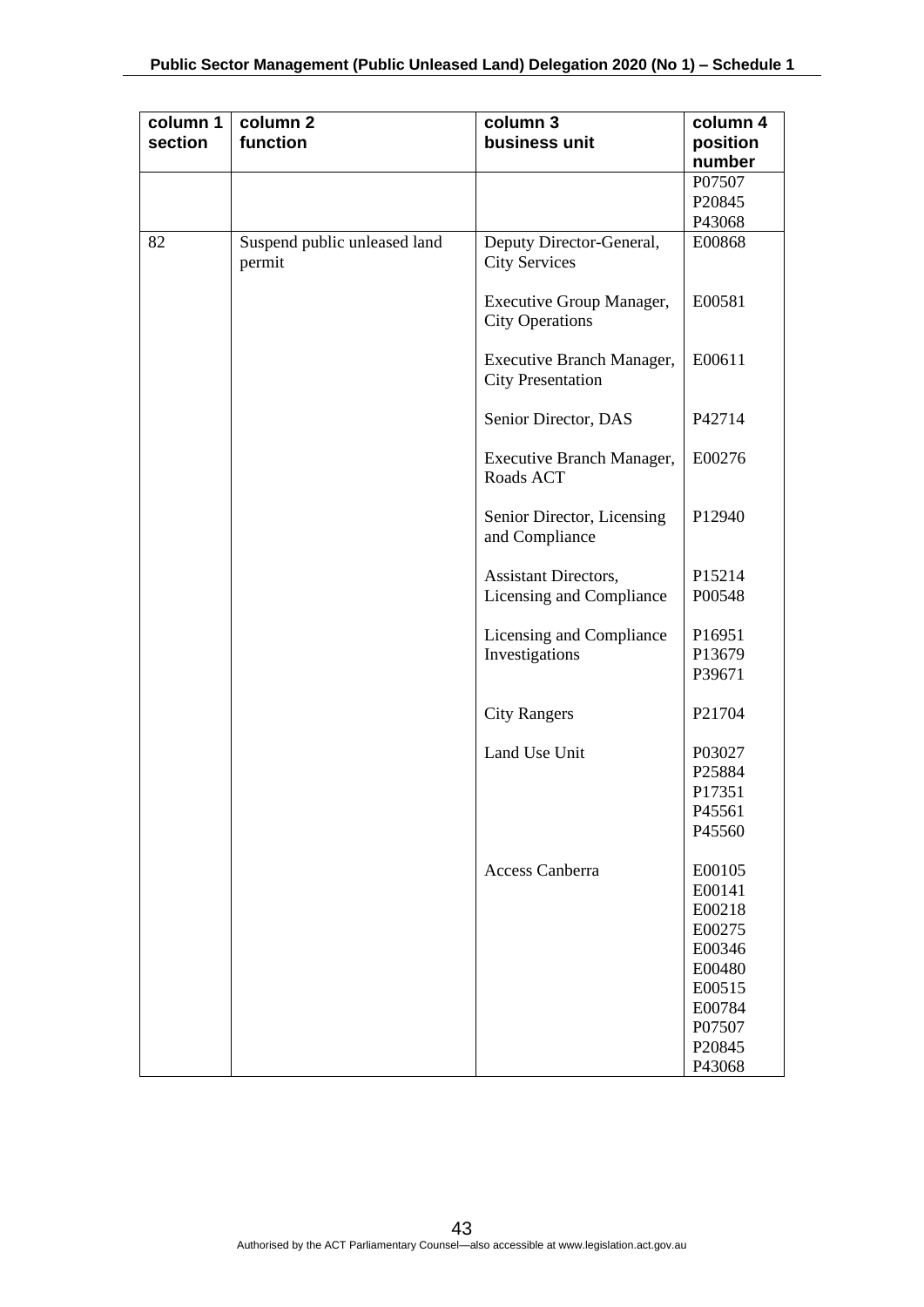| column 1<br>section | column <sub>2</sub><br>function        | column 3<br>business unit                                 | column 4<br>position |
|---------------------|----------------------------------------|-----------------------------------------------------------|----------------------|
|                     |                                        |                                                           | number               |
|                     |                                        |                                                           | P07507               |
|                     |                                        |                                                           | P20845               |
|                     |                                        |                                                           | P43068               |
| 82                  | Suspend public unleased land<br>permit | Deputy Director-General,<br><b>City Services</b>          | E00868               |
|                     |                                        | <b>Executive Group Manager,</b><br><b>City Operations</b> | E00581               |
|                     |                                        | Executive Branch Manager,<br><b>City Presentation</b>     | E00611               |
|                     |                                        | Senior Director, DAS                                      | P42714               |
|                     |                                        | Executive Branch Manager,<br>Roads ACT                    | E00276               |
|                     |                                        | Senior Director, Licensing<br>and Compliance              | P12940               |
|                     |                                        | Assistant Directors,                                      | P15214               |
|                     |                                        | Licensing and Compliance                                  | P00548               |
|                     |                                        |                                                           |                      |
|                     |                                        | Licensing and Compliance                                  | P16951               |
|                     |                                        | Investigations                                            | P13679               |
|                     |                                        |                                                           | P39671               |
|                     |                                        |                                                           |                      |
|                     |                                        | <b>City Rangers</b>                                       | P21704               |
|                     |                                        |                                                           |                      |
|                     |                                        | Land Use Unit                                             | P03027               |
|                     |                                        |                                                           | P25884               |
|                     |                                        |                                                           | P17351               |
|                     |                                        |                                                           | P45561               |
|                     |                                        |                                                           | P45560               |
|                     |                                        | Access Canberra                                           | E00105               |
|                     |                                        |                                                           | E00141               |
|                     |                                        |                                                           | E00218               |
|                     |                                        |                                                           | E00275               |
|                     |                                        |                                                           | E00346               |
|                     |                                        |                                                           | E00480               |
|                     |                                        |                                                           | E00515               |
|                     |                                        |                                                           | E00784               |
|                     |                                        |                                                           | P07507               |
|                     |                                        |                                                           | P20845               |
|                     |                                        |                                                           | P43068               |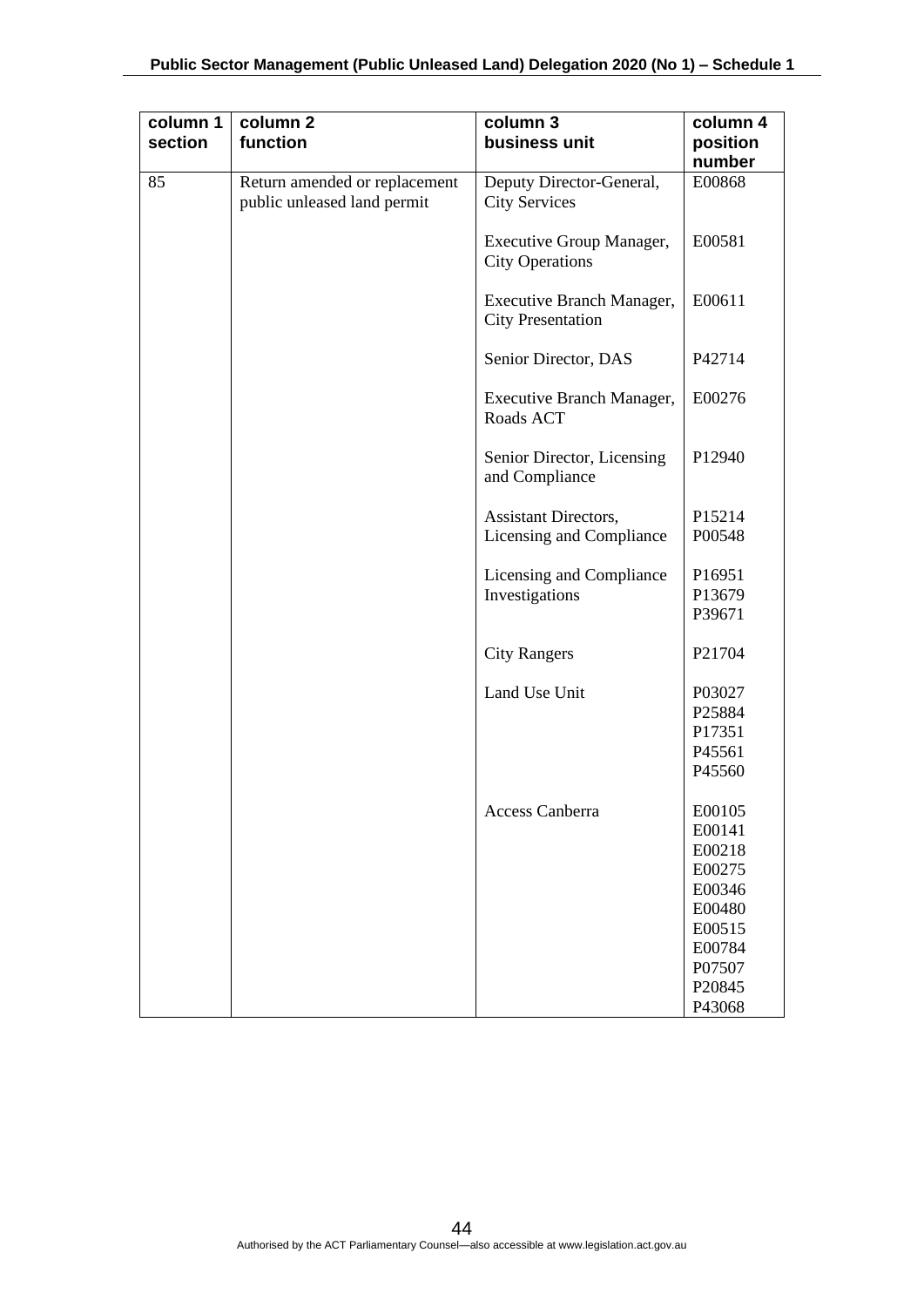| column 1<br>section | column <sub>2</sub><br>function                              | column 3<br>business unit                                 | column 4<br>position<br>number                                                                             |
|---------------------|--------------------------------------------------------------|-----------------------------------------------------------|------------------------------------------------------------------------------------------------------------|
| 85                  | Return amended or replacement<br>public unleased land permit | Deputy Director-General,<br><b>City Services</b>          | E00868                                                                                                     |
|                     |                                                              | <b>Executive Group Manager,</b><br><b>City Operations</b> | E00581                                                                                                     |
|                     |                                                              | Executive Branch Manager,<br><b>City Presentation</b>     | E00611                                                                                                     |
|                     |                                                              | Senior Director, DAS                                      | P42714                                                                                                     |
|                     |                                                              | Executive Branch Manager,<br>Roads ACT                    | E00276                                                                                                     |
|                     |                                                              | Senior Director, Licensing<br>and Compliance              | P12940                                                                                                     |
|                     |                                                              | Assistant Directors,                                      | P15214                                                                                                     |
|                     |                                                              | Licensing and Compliance                                  | P00548                                                                                                     |
|                     |                                                              | Licensing and Compliance<br>Investigations                | P16951<br>P13679<br>P39671                                                                                 |
|                     |                                                              | <b>City Rangers</b>                                       | P21704                                                                                                     |
|                     |                                                              | Land Use Unit                                             | P03027<br>P25884<br>P17351<br>P45561<br>P45560                                                             |
|                     |                                                              | Access Canberra                                           | E00105<br>E00141<br>E00218<br>E00275<br>E00346<br>E00480<br>E00515<br>E00784<br>P07507<br>P20845<br>P43068 |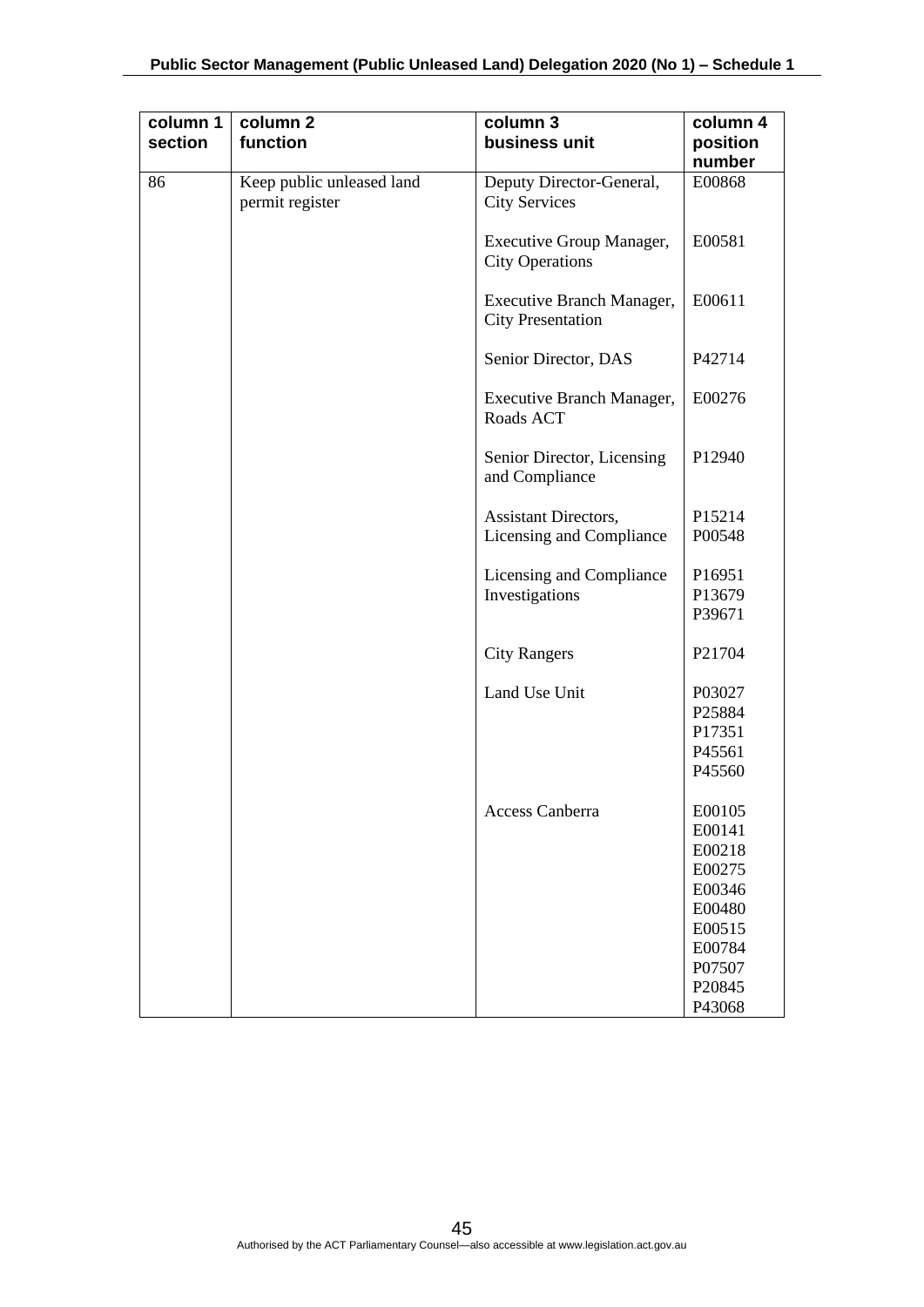| column 1<br>section | column <sub>2</sub><br>function              | column 3<br>business unit                                 | column 4<br>position<br>number |
|---------------------|----------------------------------------------|-----------------------------------------------------------|--------------------------------|
| 86                  | Keep public unleased land<br>permit register | Deputy Director-General,<br><b>City Services</b>          | E00868                         |
|                     |                                              | <b>Executive Group Manager,</b><br><b>City Operations</b> | E00581                         |
|                     |                                              | Executive Branch Manager,<br><b>City Presentation</b>     | E00611                         |
|                     |                                              | Senior Director, DAS                                      | P42714                         |
|                     |                                              | Executive Branch Manager,<br>Roads ACT                    | E00276                         |
|                     |                                              | Senior Director, Licensing<br>and Compliance              | P12940                         |
|                     |                                              | Assistant Directors,                                      | P15214                         |
|                     |                                              | Licensing and Compliance                                  | P00548                         |
|                     |                                              | Licensing and Compliance                                  | P16951                         |
|                     |                                              | Investigations                                            | P13679<br>P39671               |
|                     |                                              | <b>City Rangers</b>                                       | P21704                         |
|                     |                                              | Land Use Unit                                             | P03027                         |
|                     |                                              |                                                           | P25884                         |
|                     |                                              |                                                           | P17351<br>P45561               |
|                     |                                              |                                                           | P45560                         |
|                     |                                              | Access Canberra                                           | E00105                         |
|                     |                                              |                                                           | E00141                         |
|                     |                                              |                                                           | E00218                         |
|                     |                                              |                                                           | E00275                         |
|                     |                                              |                                                           | E00346                         |
|                     |                                              |                                                           | E00480                         |
|                     |                                              |                                                           | E00515                         |
|                     |                                              |                                                           | E00784                         |
|                     |                                              |                                                           | P07507                         |
|                     |                                              |                                                           | P20845<br>P43068               |
|                     |                                              |                                                           |                                |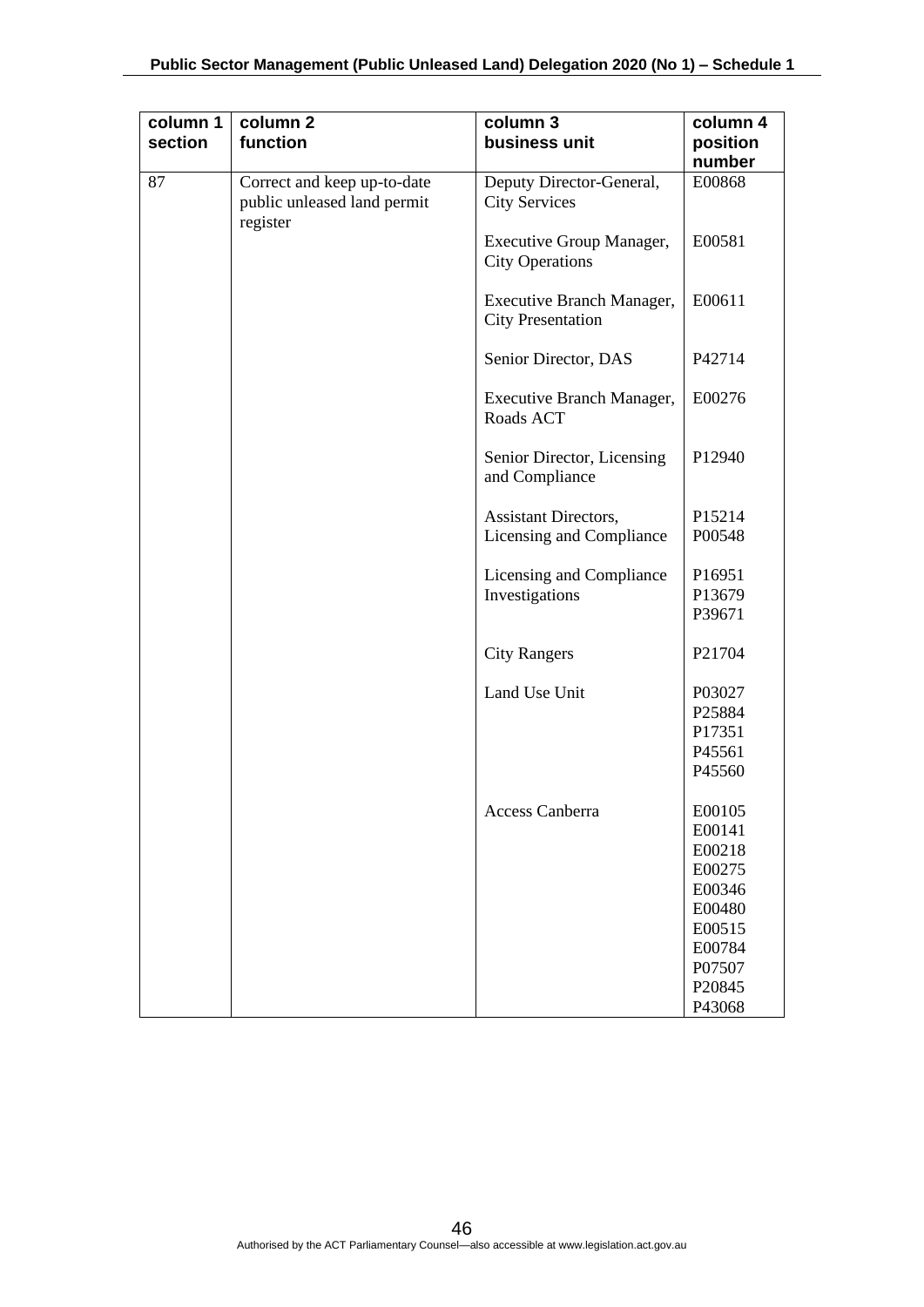| column 1<br>section | column <sub>2</sub><br>function                                        | column 3<br>business unit                                 | column 4<br>position<br>number                                                                             |
|---------------------|------------------------------------------------------------------------|-----------------------------------------------------------|------------------------------------------------------------------------------------------------------------|
| 87                  | Correct and keep up-to-date<br>public unleased land permit<br>register | Deputy Director-General,<br><b>City Services</b>          | E00868                                                                                                     |
|                     |                                                                        | <b>Executive Group Manager,</b><br><b>City Operations</b> | E00581                                                                                                     |
|                     |                                                                        | Executive Branch Manager,<br><b>City Presentation</b>     | E00611                                                                                                     |
|                     |                                                                        | Senior Director, DAS                                      | P42714                                                                                                     |
|                     |                                                                        | Executive Branch Manager,<br>Roads ACT                    | E00276                                                                                                     |
|                     |                                                                        | Senior Director, Licensing<br>and Compliance              | P12940                                                                                                     |
|                     |                                                                        | Assistant Directors,                                      | P15214                                                                                                     |
|                     |                                                                        | Licensing and Compliance                                  | P00548                                                                                                     |
|                     |                                                                        | Licensing and Compliance<br>Investigations                | P16951<br>P13679<br>P39671                                                                                 |
|                     |                                                                        | <b>City Rangers</b>                                       | P21704                                                                                                     |
|                     |                                                                        | Land Use Unit                                             | P03027<br>P25884<br>P17351<br>P45561<br>P45560                                                             |
|                     |                                                                        | Access Canberra                                           | E00105<br>E00141<br>E00218<br>E00275<br>E00346<br>E00480<br>E00515<br>E00784<br>P07507<br>P20845<br>P43068 |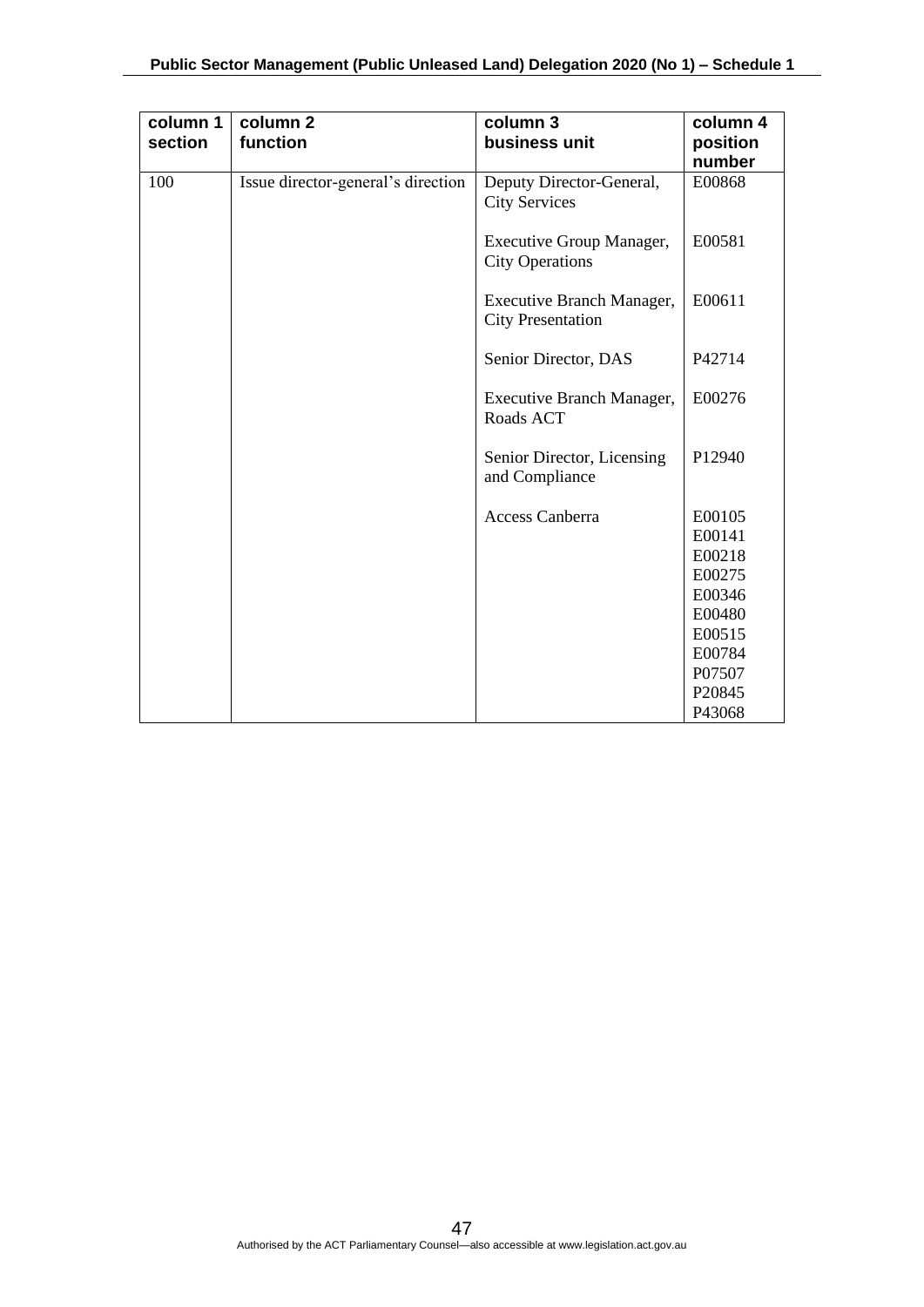| column 1<br>section | column <sub>2</sub><br>function    | column 3<br>business unit                             | column 4<br>position<br>number |
|---------------------|------------------------------------|-------------------------------------------------------|--------------------------------|
| 100                 | Issue director-general's direction | Deputy Director-General,<br><b>City Services</b>      | E00868                         |
|                     |                                    | Executive Group Manager,<br><b>City Operations</b>    | E00581                         |
|                     |                                    | Executive Branch Manager,<br><b>City Presentation</b> | E00611                         |
|                     |                                    | Senior Director, DAS                                  | P42714                         |
|                     |                                    | Executive Branch Manager,<br>Roads ACT                | E00276                         |
|                     |                                    | Senior Director, Licensing<br>and Compliance          | P12940                         |
|                     |                                    | <b>Access Canberra</b>                                | E00105                         |
|                     |                                    |                                                       | E00141                         |
|                     |                                    |                                                       | E00218                         |
|                     |                                    |                                                       | E00275                         |
|                     |                                    |                                                       | E00346                         |
|                     |                                    |                                                       | E00480                         |
|                     |                                    |                                                       | E00515                         |
|                     |                                    |                                                       | E00784                         |
|                     |                                    |                                                       | P07507<br>P20845               |
|                     |                                    |                                                       | P43068                         |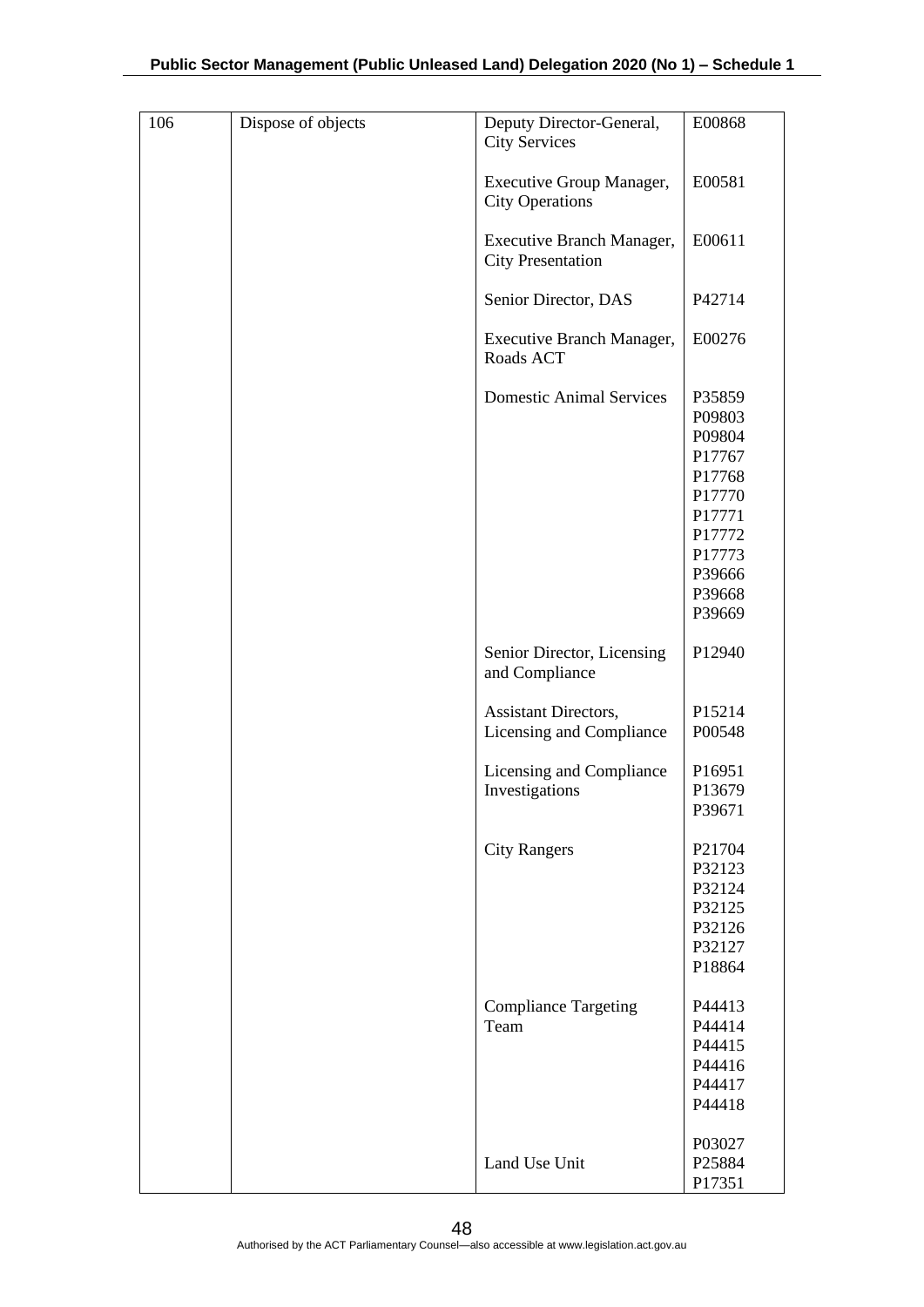| 106 | Dispose of objects | Deputy Director-General,<br><b>City Services</b>      | E00868                                                                                                               |
|-----|--------------------|-------------------------------------------------------|----------------------------------------------------------------------------------------------------------------------|
|     |                    | Executive Group Manager,<br><b>City Operations</b>    | E00581                                                                                                               |
|     |                    | Executive Branch Manager,<br><b>City Presentation</b> | E00611                                                                                                               |
|     |                    | Senior Director, DAS                                  | P42714                                                                                                               |
|     |                    | Executive Branch Manager,<br>Roads ACT                | E00276                                                                                                               |
|     |                    | <b>Domestic Animal Services</b>                       | P35859<br>P09803<br>P09804<br>P17767<br>P17768<br>P17770<br>P17771<br>P17772<br>P17773<br>P39666<br>P39668<br>P39669 |
|     |                    | Senior Director, Licensing<br>and Compliance          | P12940                                                                                                               |
|     |                    | Assistant Directors,<br>Licensing and Compliance      | P15214<br>P00548                                                                                                     |
|     |                    | Licensing and Compliance<br>Investigations            | P16951<br>P13679<br>P39671                                                                                           |
|     |                    | <b>City Rangers</b>                                   | P21704<br>P32123<br>P32124<br>P32125<br>P32126<br>P32127<br>P18864                                                   |
|     |                    | <b>Compliance Targeting</b><br>Team                   | P44413<br>P44414<br>P44415<br>P44416<br>P44417<br>P44418                                                             |
|     |                    | Land Use Unit                                         | P03027<br>P25884<br>P17351                                                                                           |